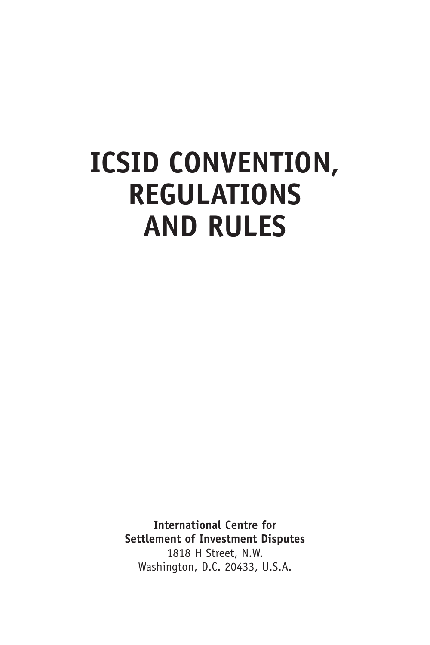# **ICSID CONVENTION, REGULATIONS AND RULES**

**International Centre for Settlement of Investment Disputes** 1818 H Street, N.W. Washington, D.C. 20433, U.S.A.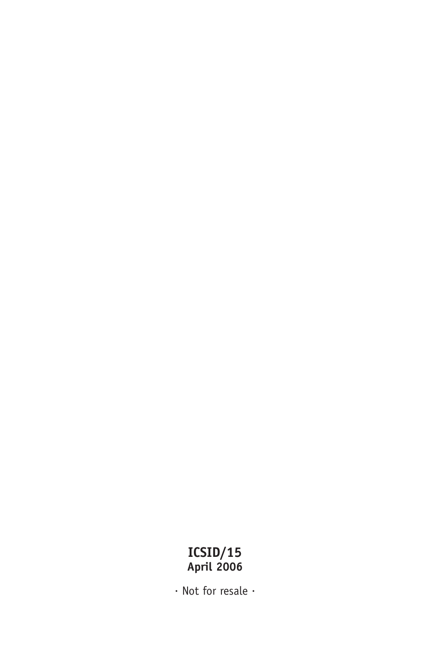## **ICSID/15 April 2006**

 $\cdot$  Not for resale  $\cdot$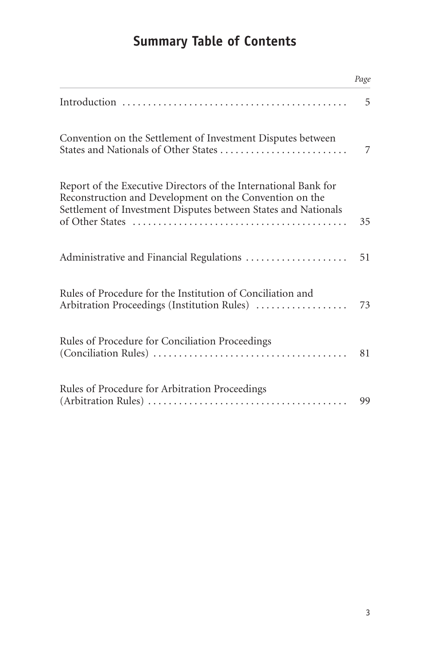# **Summary Table of Contents**

|                                                                                                                                                                                              | Page |
|----------------------------------------------------------------------------------------------------------------------------------------------------------------------------------------------|------|
|                                                                                                                                                                                              | 5    |
| Convention on the Settlement of Investment Disputes between<br>States and Nationals of Other States                                                                                          | 7    |
| Report of the Executive Directors of the International Bank for<br>Reconstruction and Development on the Convention on the<br>Settlement of Investment Disputes between States and Nationals | 35   |
| Administrative and Financial Regulations                                                                                                                                                     | 51   |
| Rules of Procedure for the Institution of Conciliation and<br>Arbitration Proceedings (Institution Rules)                                                                                    | 73   |
| Rules of Procedure for Conciliation Proceedings                                                                                                                                              | 81   |
| Rules of Procedure for Arbitration Proceedings                                                                                                                                               | 99   |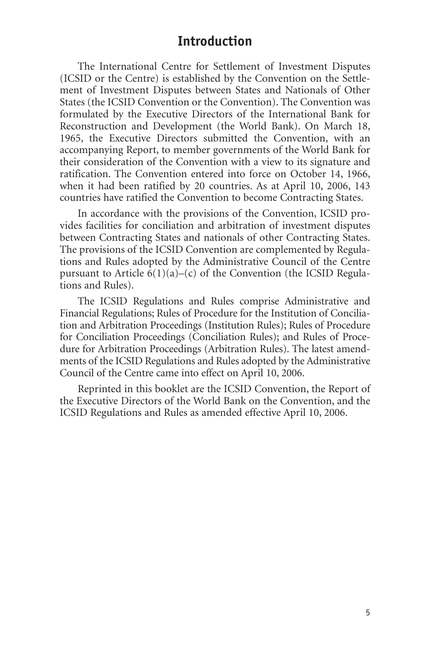## **Introduction**

The International Centre for Settlement of Investment Disputes (ICSID or the Centre) is established by the Convention on the Settlement of Investment Disputes between States and Nationals of Other States (the ICSID Convention or the Convention). The Convention was formulated by the Executive Directors of the International Bank for Reconstruction and Development (the World Bank). On March 18, 1965, the Executive Directors submitted the Convention, with an accompanying Report, to member governments of the World Bank for their consideration of the Convention with a view to its signature and ratification. The Convention entered into force on October 14, 1966, when it had been ratified by 20 countries. As at April 10, 2006, 143 countries have ratified the Convention to become Contracting States.

In accordance with the provisions of the Convention, ICSID provides facilities for conciliation and arbitration of investment disputes between Contracting States and nationals of other Contracting States. The provisions of the ICSID Convention are complemented by Regulations and Rules adopted by the Administrative Council of the Centre pursuant to Article  $6(1)(a)$ –(c) of the Convention (the ICSID Regulations and Rules).

The ICSID Regulations and Rules comprise Administrative and Financial Regulations; Rules of Procedure for the Institution of Conciliation and Arbitration Proceedings (Institution Rules); Rules of Procedure for Conciliation Proceedings (Conciliation Rules); and Rules of Procedure for Arbitration Proceedings (Arbitration Rules). The latest amendments of the ICSID Regulations and Rules adopted by the Administrative Council of the Centre came into effect on April 10, 2006.

Reprinted in this booklet are the ICSID Convention, the Report of the Executive Directors of the World Bank on the Convention, and the ICSID Regulations and Rules as amended effective April 10, 2006.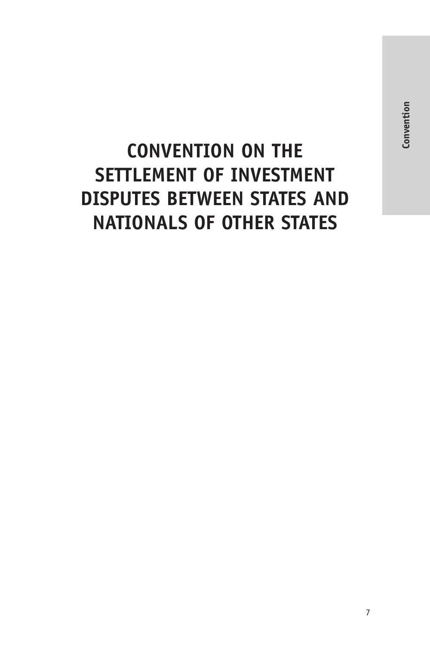# **CONVENTION ON THE SETTLEMENT OF INVESTMENT DISPUTES BETWEEN STATES AND NATIONALS OF OTHER STATES**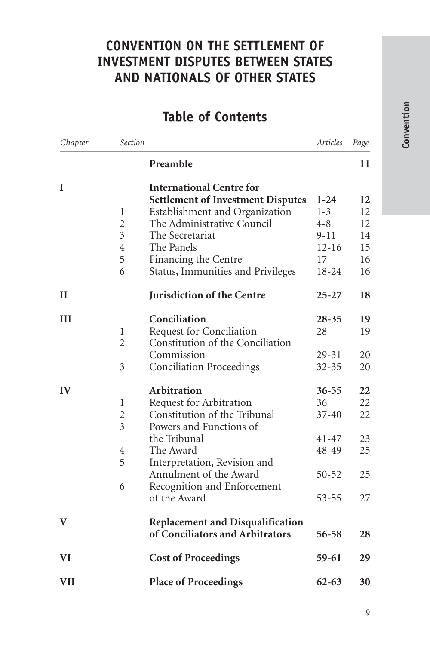# **CONVENTION ON THE SETTLEMENT OF INVESTMENT DISPUTES BETWEEN STATES AND NATIONALS OF OTHER STATES**

# **Table of Contents**

| Chapter      | Section        |                                                                                                               | Articles            | Page     |
|--------------|----------------|---------------------------------------------------------------------------------------------------------------|---------------------|----------|
|              |                | Preamble                                                                                                      |                     | 11       |
| I            | $\mathbf{1}$   | <b>International Centre for</b><br><b>Settlement of Investment Disputes</b><br>Establishment and Organization | $1 - 24$<br>$1 - 3$ | 12<br>12 |
|              | $\overline{2}$ | The Administrative Council                                                                                    | $4 - 8$             | 12       |
|              | $\overline{3}$ | The Secretariat                                                                                               | $9 - 11$            | 14       |
|              | $\overline{4}$ | The Panels                                                                                                    | $12 - 16$           | 15       |
|              | 5              | Financing the Centre                                                                                          | 17                  | 16       |
|              | 6              | Status, Immunities and Privileges                                                                             | 18-24               | 16       |
| $\mathbf{I}$ |                | Jurisdiction of the Centre                                                                                    | $25 - 27$           | 18       |
| III          |                | Conciliation                                                                                                  | $28 - 35$           | 19       |
|              | 1              | Request for Conciliation                                                                                      | 28                  | 19       |
|              | $\overline{2}$ | Constitution of the Conciliation<br>Commission                                                                | 29-31               | 20       |
|              | 3              | <b>Conciliation Proceedings</b>                                                                               | $32 - 35$           | 20       |
| IV           |                | Arbitration                                                                                                   | $36 - 55$           | 22       |
|              | $\mathbf{1}$   | Request for Arbitration                                                                                       | 36                  | 22       |
|              | $\overline{2}$ | Constitution of the Tribunal                                                                                  | $37 - 40$           | 22       |
|              | 3              | Powers and Functions of                                                                                       |                     |          |
|              |                | the Tribunal                                                                                                  | 41-47               | 23       |
|              | 4              | The Award                                                                                                     | 48-49               | 25       |
|              | 5              | Interpretation, Revision and<br>Annulment of the Award                                                        | $50 - 52$           | 25       |
|              | 6              | Recognition and Enforcement                                                                                   |                     |          |
|              |                | of the Award                                                                                                  | $53 - 55$           | 27       |
| V            |                | <b>Replacement and Disqualification</b><br>of Conciliators and Arbitrators                                    | 56-58               | 28       |
| VI           |                | <b>Cost of Proceedings</b>                                                                                    | 59-61               | 29       |
| <b>VII</b>   |                | <b>Place of Proceedings</b>                                                                                   | $62 - 63$           | 30       |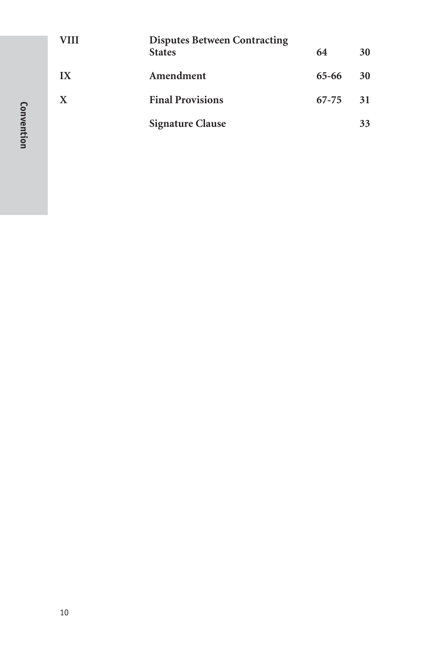| VIII         | <b>Disputes Between Contracting</b><br><b>States</b> | 64    | 30 |
|--------------|------------------------------------------------------|-------|----|
| IX           | Amendment                                            | 65-66 | 30 |
| $\mathbf{X}$ | <b>Final Provisions</b>                              | 67-75 | 31 |
|              | <b>Signature Clause</b>                              |       | 33 |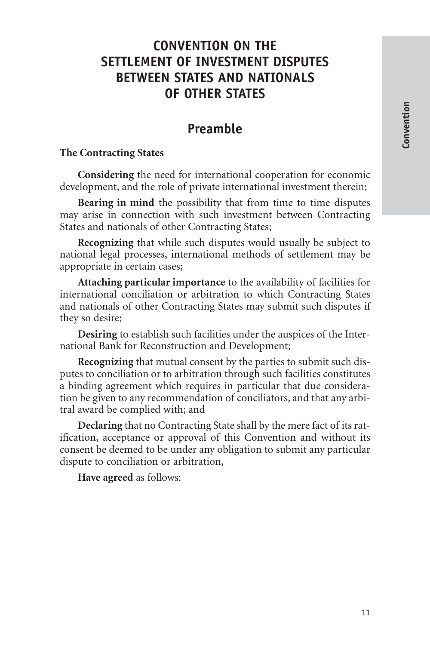# **CONVENTION ON THE SETTLEMENT OF INVESTMENT DISPUTES BETWEEN STATES AND NATIONALS OF OTHER STATES**

# **Preamble**

## **The Contracting States**

**Considering** the need for international cooperation for economic development, and the role of private international investment therein;

**Bearing in mind** the possibility that from time to time disputes may arise in connection with such investment between Contracting States and nationals of other Contracting States;

**Recognizing** that while such disputes would usually be subject to national legal processes, international methods of settlement may be appropriate in certain cases;

**Attaching particular importance** to the availability of facilities for international conciliation or arbitration to which Contracting States and nationals of other Contracting States may submit such disputes if they so desire;

**Desiring** to establish such facilities under the auspices of the International Bank for Reconstruction and Development;

**Recognizing** that mutual consent by the parties to submit such disputes to conciliation or to arbitration through such facilities constitutes a binding agreement which requires in particular that due consideration be given to any recommendation of conciliators, and that any arbitral award be complied with; and

**Declaring** that no Contracting State shall by the mere fact of its ratification, acceptance or approval of this Convention and without its consent be deemed to be under any obligation to submit any particular dispute to conciliation or arbitration,

**Have agreed** as follows: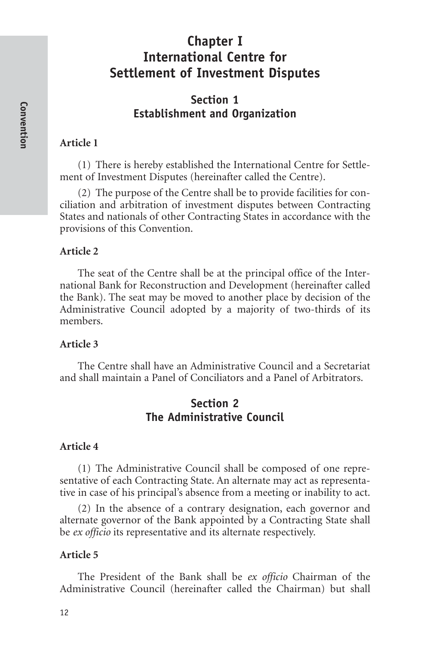# **Chapter I International Centre for Settlement of Investment Disputes**

## **Section 1 Establishment and Organization**

## **Article 1**

(1) There is hereby established the International Centre for Settlement of Investment Disputes (hereinafter called the Centre).

(2) The purpose of the Centre shall be to provide facilities for conciliation and arbitration of investment disputes between Contracting States and nationals of other Contracting States in accordance with the provisions of this Convention.

## **Article 2**

The seat of the Centre shall be at the principal office of the International Bank for Reconstruction and Development (hereinafter called the Bank). The seat may be moved to another place by decision of the Administrative Council adopted by a majority of two-thirds of its members.

## **Article 3**

The Centre shall have an Administrative Council and a Secretariat and shall maintain a Panel of Conciliators and a Panel of Arbitrators.

## **Section 2 The Administrative Council**

#### **Article 4**

(1) The Administrative Council shall be composed of one representative of each Contracting State. An alternate may act as representative in case of his principal's absence from a meeting or inability to act.

(2) In the absence of a contrary designation, each governor and alternate governor of the Bank appointed by a Contracting State shall be *ex officio* its representative and its alternate respectively.

## **Article 5**

The President of the Bank shall be *ex officio* Chairman of the Administrative Council (hereinafter called the Chairman) but shall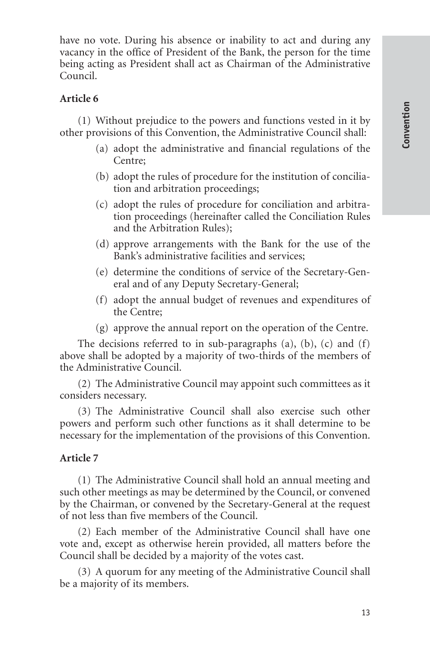have no vote. During his absence or inability to act and during any vacancy in the office of President of the Bank, the person for the time being acting as President shall act as Chairman of the Administrative Council.

## **Article 6**

(1) Without prejudice to the powers and functions vested in it by other provisions of this Convention, the Administrative Council shall:

- (a) adopt the administrative and financial regulations of the Centre;
- (b) adopt the rules of procedure for the institution of conciliation and arbitration proceedings;
- (c) adopt the rules of procedure for conciliation and arbitration proceedings (hereinafter called the Conciliation Rules and the Arbitration Rules);
- (d) approve arrangements with the Bank for the use of the Bank's administrative facilities and services;
- (e) determine the conditions of service of the Secretary-General and of any Deputy Secretary-General;
- (f) adopt the annual budget of revenues and expenditures of the Centre;
- (g) approve the annual report on the operation of the Centre.

The decisions referred to in sub-paragraphs  $(a)$ ,  $(b)$ ,  $(c)$  and  $(f)$ above shall be adopted by a majority of two-thirds of the members of the Administrative Council.

(2) The Administrative Council may appoint such committees as it considers necessary.

(3) The Administrative Council shall also exercise such other powers and perform such other functions as it shall determine to be necessary for the implementation of the provisions of this Convention.

## **Article 7**

(1) The Administrative Council shall hold an annual meeting and such other meetings as may be determined by the Council, or convened by the Chairman, or convened by the Secretary-General at the request of not less than five members of the Council.

(2) Each member of the Administrative Council shall have one vote and, except as otherwise herein provided, all matters before the Council shall be decided by a majority of the votes cast.

(3) A quorum for any meeting of the Administrative Council shall be a majority of its members.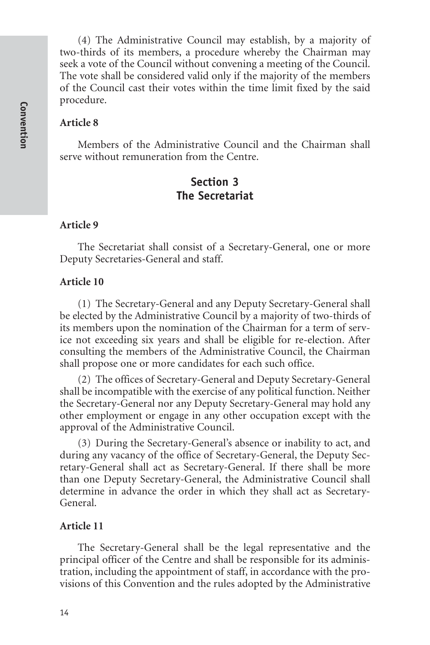(4) The Administrative Council may establish, by a majority of two-thirds of its members, a procedure whereby the Chairman may seek a vote of the Council without convening a meeting of the Council. The vote shall be considered valid only if the majority of the members of the Council cast their votes within the time limit fixed by the said procedure.

#### **Article 8**

Members of the Administrative Council and the Chairman shall serve without remuneration from the Centre.

## **Section 3 The Secretariat**

#### **Article 9**

The Secretariat shall consist of a Secretary-General, one or more Deputy Secretaries-General and staff.

#### **Article 10**

(1) The Secretary-General and any Deputy Secretary-General shall be elected by the Administrative Council by a majority of two-thirds of its members upon the nomination of the Chairman for a term of service not exceeding six years and shall be eligible for re-election. After consulting the members of the Administrative Council, the Chairman shall propose one or more candidates for each such office.

(2) The offices of Secretary-General and Deputy Secretary-General shall be incompatible with the exercise of any political function. Neither the Secretary-General nor any Deputy Secretary-General may hold any other employment or engage in any other occupation except with the approval of the Administrative Council.

(3) During the Secretary-General's absence or inability to act, and during any vacancy of the office of Secretary-General, the Deputy Secretary-General shall act as Secretary-General. If there shall be more than one Deputy Secretary-General, the Administrative Council shall determine in advance the order in which they shall act as Secretary-General.

#### **Article 11**

The Secretary-General shall be the legal representative and the principal officer of the Centre and shall be responsible for its administration, including the appointment of staff, in accordance with the provisions of this Convention and the rules adopted by the Administrative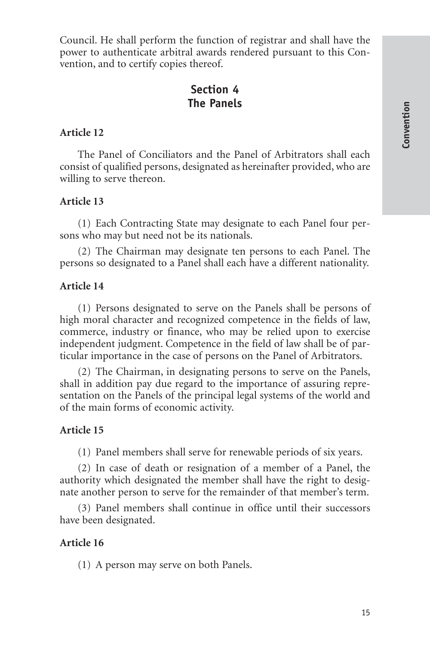Council. He shall perform the function of registrar and shall have the power to authenticate arbitral awards rendered pursuant to this Convention, and to certify copies thereof.

## **Section 4 The Panels**

## **Article 12**

The Panel of Conciliators and the Panel of Arbitrators shall each consist of qualified persons, designated as hereinafter provided, who are willing to serve thereon.

## **Article 13**

(1) Each Contracting State may designate to each Panel four persons who may but need not be its nationals.

(2) The Chairman may designate ten persons to each Panel. The persons so designated to a Panel shall each have a different nationality.

## **Article 14**

(1) Persons designated to serve on the Panels shall be persons of high moral character and recognized competence in the fields of law, commerce, industry or finance, who may be relied upon to exercise independent judgment. Competence in the field of law shall be of particular importance in the case of persons on the Panel of Arbitrators.

(2) The Chairman, in designating persons to serve on the Panels, shall in addition pay due regard to the importance of assuring representation on the Panels of the principal legal systems of the world and of the main forms of economic activity.

## **Article 15**

(1) Panel members shall serve for renewable periods of six years.

(2) In case of death or resignation of a member of a Panel, the authority which designated the member shall have the right to designate another person to serve for the remainder of that member's term.

(3) Panel members shall continue in office until their successors have been designated.

## **Article 16**

(1) A person may serve on both Panels.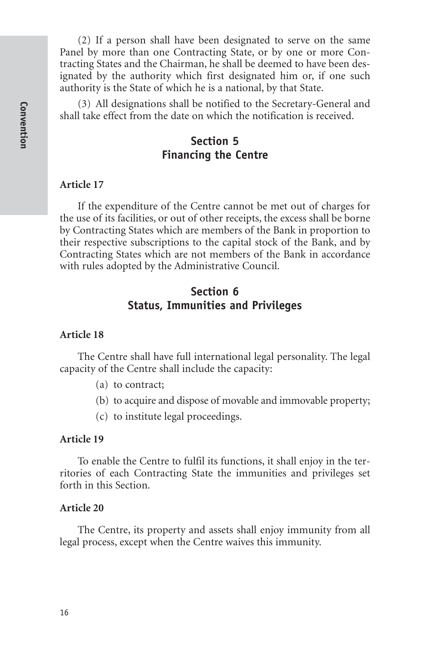(2) If a person shall have been designated to serve on the same Panel by more than one Contracting State, or by one or more Contracting States and the Chairman, he shall be deemed to have been designated by the authority which first designated him or, if one such authority is the State of which he is a national, by that State.

(3) All designations shall be notified to the Secretary-General and shall take effect from the date on which the notification is received.

## **Section 5 Financing the Centre**

#### **Article 17**

If the expenditure of the Centre cannot be met out of charges for the use of its facilities, or out of other receipts, the excess shall be borne by Contracting States which are members of the Bank in proportion to their respective subscriptions to the capital stock of the Bank, and by Contracting States which are not members of the Bank in accordance with rules adopted by the Administrative Council.

## **Section 6 Status, Immunities and Privileges**

#### **Article 18**

The Centre shall have full international legal personality. The legal capacity of the Centre shall include the capacity:

- (a) to contract;
- (b) to acquire and dispose of movable and immovable property;
- (c) to institute legal proceedings.

#### **Article 19**

To enable the Centre to fulfil its functions, it shall enjoy in the territories of each Contracting State the immunities and privileges set forth in this Section.

#### **Article 20**

The Centre, its property and assets shall enjoy immunity from all legal process, except when the Centre waives this immunity.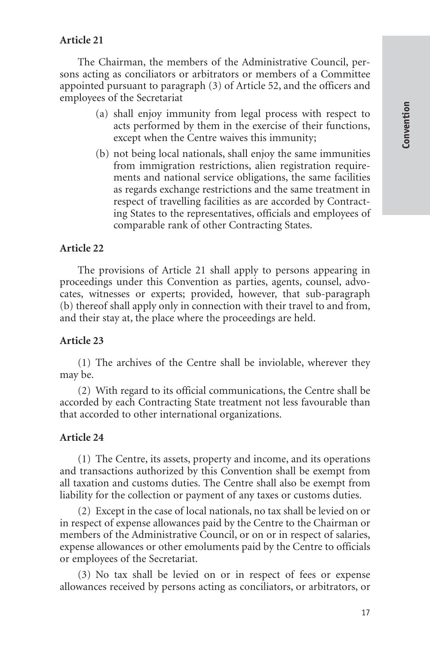## **Article 21**

The Chairman, the members of the Administrative Council, persons acting as conciliators or arbitrators or members of a Committee appointed pursuant to paragraph (3) of Article 52, and the officers and employees of the Secretariat

- (a) shall enjoy immunity from legal process with respect to acts performed by them in the exercise of their functions, except when the Centre waives this immunity;
- (b) not being local nationals, shall enjoy the same immunities from immigration restrictions, alien registration requirements and national service obligations, the same facilities as regards exchange restrictions and the same treatment in respect of travelling facilities as are accorded by Contracting States to the representatives, officials and employees of comparable rank of other Contracting States.

## **Article 22**

The provisions of Article 21 shall apply to persons appearing in proceedings under this Convention as parties, agents, counsel, advocates, witnesses or experts; provided, however, that sub-paragraph (b) thereof shall apply only in connection with their travel to and from, and their stay at, the place where the proceedings are held.

## **Article 23**

(1) The archives of the Centre shall be inviolable, wherever they may be.

(2) With regard to its official communications, the Centre shall be accorded by each Contracting State treatment not less favourable than that accorded to other international organizations.

#### **Article 24**

(1) The Centre, its assets, property and income, and its operations and transactions authorized by this Convention shall be exempt from all taxation and customs duties. The Centre shall also be exempt from liability for the collection or payment of any taxes or customs duties.

(2) Except in the case of local nationals, no tax shall be levied on or in respect of expense allowances paid by the Centre to the Chairman or members of the Administrative Council, or on or in respect of salaries, expense allowances or other emoluments paid by the Centre to officials or employees of the Secretariat.

(3) No tax shall be levied on or in respect of fees or expense allowances received by persons acting as conciliators, or arbitrators, or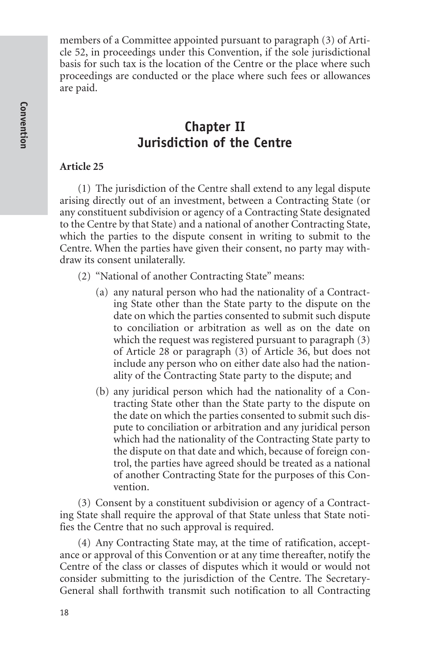members of a Committee appointed pursuant to paragraph (3) of Article 52, in proceedings under this Convention, if the sole jurisdictional basis for such tax is the location of the Centre or the place where such proceedings are conducted or the place where such fees or allowances are paid.

# **Chapter II Jurisdiction of the Centre**

#### **Article 25**

(1) The jurisdiction of the Centre shall extend to any legal dispute arising directly out of an investment, between a Contracting State (or any constituent subdivision or agency of a Contracting State designated to the Centre by that State) and a national of another Contracting State, which the parties to the dispute consent in writing to submit to the Centre. When the parties have given their consent, no party may withdraw its consent unilaterally.

- (2) "National of another Contracting State" means:
	- (a) any natural person who had the nationality of a Contracting State other than the State party to the dispute on the date on which the parties consented to submit such dispute to conciliation or arbitration as well as on the date on which the request was registered pursuant to paragraph (3) of Article 28 or paragraph (3) of Article 36, but does not include any person who on either date also had the nationality of the Contracting State party to the dispute; and
	- (b) any juridical person which had the nationality of a Contracting State other than the State party to the dispute on the date on which the parties consented to submit such dispute to conciliation or arbitration and any juridical person which had the nationality of the Contracting State party to the dispute on that date and which, because of foreign control, the parties have agreed should be treated as a national of another Contracting State for the purposes of this Convention.

(3) Consent by a constituent subdivision or agency of a Contracting State shall require the approval of that State unless that State notifies the Centre that no such approval is required.

(4) Any Contracting State may, at the time of ratification, acceptance or approval of this Convention or at any time thereafter, notify the Centre of the class or classes of disputes which it would or would not consider submitting to the jurisdiction of the Centre. The Secretary-General shall forthwith transmit such notification to all Contracting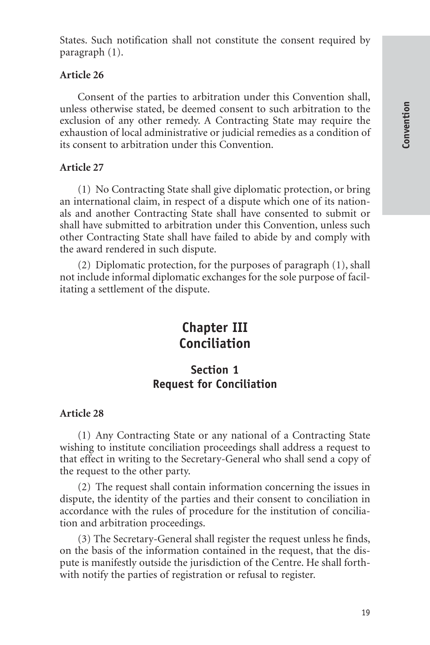States. Such notification shall not constitute the consent required by paragraph (1).

## **Article 26**

Consent of the parties to arbitration under this Convention shall, unless otherwise stated, be deemed consent to such arbitration to the exclusion of any other remedy. A Contracting State may require the exhaustion of local administrative or judicial remedies as a condition of its consent to arbitration under this Convention.

## **Article 27**

(1) No Contracting State shall give diplomatic protection, or bring an international claim, in respect of a dispute which one of its nationals and another Contracting State shall have consented to submit or shall have submitted to arbitration under this Convention, unless such other Contracting State shall have failed to abide by and comply with the award rendered in such dispute.

(2) Diplomatic protection, for the purposes of paragraph (1), shall not include informal diplomatic exchanges for the sole purpose of facilitating a settlement of the dispute.

# **Chapter III Conciliation**

## **Section 1 Request for Conciliation**

## **Article 28**

(1) Any Contracting State or any national of a Contracting State wishing to institute conciliation proceedings shall address a request to that effect in writing to the Secretary-General who shall send a copy of the request to the other party.

(2) The request shall contain information concerning the issues in dispute, the identity of the parties and their consent to conciliation in accordance with the rules of procedure for the institution of conciliation and arbitration proceedings.

(3) The Secretary-General shall register the request unless he finds, on the basis of the information contained in the request, that the dispute is manifestly outside the jurisdiction of the Centre. He shall forthwith notify the parties of registration or refusal to register.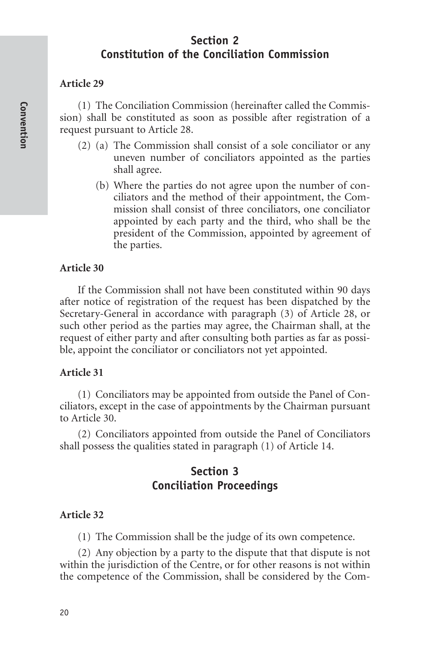## **Section 2 Constitution of the Conciliation Commission**

## **Article 29**

(1) The Conciliation Commission (hereinafter called the Commission) shall be constituted as soon as possible after registration of a request pursuant to Article 28.

- (2) (a) The Commission shall consist of a sole conciliator or any uneven number of conciliators appointed as the parties shall agree.
	- (b) Where the parties do not agree upon the number of conciliators and the method of their appointment, the Commission shall consist of three conciliators, one conciliator appointed by each party and the third, who shall be the president of the Commission, appointed by agreement of the parties.

## **Article 30**

If the Commission shall not have been constituted within 90 days after notice of registration of the request has been dispatched by the Secretary-General in accordance with paragraph (3) of Article 28, or such other period as the parties may agree, the Chairman shall, at the request of either party and after consulting both parties as far as possible, appoint the conciliator or conciliators not yet appointed.

## **Article 31**

(1) Conciliators may be appointed from outside the Panel of Conciliators, except in the case of appointments by the Chairman pursuant to Article 30.

(2) Conciliators appointed from outside the Panel of Conciliators shall possess the qualities stated in paragraph (1) of Article 14.

## **Section 3 Conciliation Proceedings**

## **Article 32**

(1) The Commission shall be the judge of its own competence.

(2) Any objection by a party to the dispute that that dispute is not within the jurisdiction of the Centre, or for other reasons is not within the competence of the Commission, shall be considered by the Com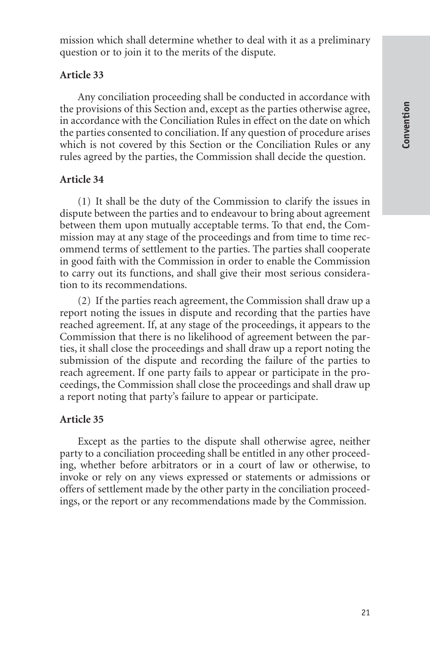mission which shall determine whether to deal with it as a preliminary question or to join it to the merits of the dispute.

## **Article 33**

Any conciliation proceeding shall be conducted in accordance with the provisions of this Section and, except as the parties otherwise agree, in accordance with the Conciliation Rules in effect on the date on which the parties consented to conciliation. If any question of procedure arises which is not covered by this Section or the Conciliation Rules or any rules agreed by the parties, the Commission shall decide the question.

## **Article 34**

(1) It shall be the duty of the Commission to clarify the issues in dispute between the parties and to endeavour to bring about agreement between them upon mutually acceptable terms. To that end, the Commission may at any stage of the proceedings and from time to time recommend terms of settlement to the parties. The parties shall cooperate in good faith with the Commission in order to enable the Commission to carry out its functions, and shall give their most serious consideration to its recommendations.

(2) If the parties reach agreement, the Commission shall draw up a report noting the issues in dispute and recording that the parties have reached agreement. If, at any stage of the proceedings, it appears to the Commission that there is no likelihood of agreement between the parties, it shall close the proceedings and shall draw up a report noting the submission of the dispute and recording the failure of the parties to reach agreement. If one party fails to appear or participate in the proceedings, the Commission shall close the proceedings and shall draw up a report noting that party's failure to appear or participate.

## **Article 35**

Except as the parties to the dispute shall otherwise agree, neither party to a conciliation proceeding shall be entitled in any other proceeding, whether before arbitrators or in a court of law or otherwise, to invoke or rely on any views expressed or statements or admissions or offers of settlement made by the other party in the conciliation proceedings, or the report or any recommendations made by the Commission.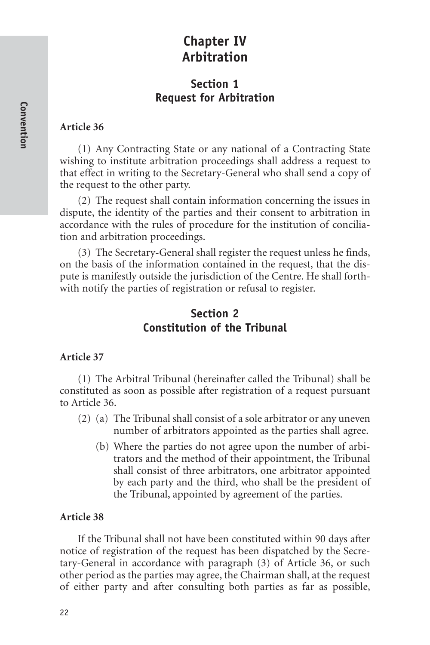# **Chapter IV Arbitration**

## **Section 1 Request for Arbitration**

#### **Article 36**

(1) Any Contracting State or any national of a Contracting State wishing to institute arbitration proceedings shall address a request to that effect in writing to the Secretary-General who shall send a copy of the request to the other party.

(2) The request shall contain information concerning the issues in dispute, the identity of the parties and their consent to arbitration in accordance with the rules of procedure for the institution of conciliation and arbitration proceedings.

(3) The Secretary-General shall register the request unless he finds, on the basis of the information contained in the request, that the dispute is manifestly outside the jurisdiction of the Centre. He shall forthwith notify the parties of registration or refusal to register.

## **Section 2 Constitution of the Tribunal**

## **Article 37**

(1) The Arbitral Tribunal (hereinafter called the Tribunal) shall be constituted as soon as possible after registration of a request pursuant to Article 36.

- (2) (a) The Tribunal shall consist of a sole arbitrator or any uneven number of arbitrators appointed as the parties shall agree.
	- (b) Where the parties do not agree upon the number of arbitrators and the method of their appointment, the Tribunal shall consist of three arbitrators, one arbitrator appointed by each party and the third, who shall be the president of the Tribunal, appointed by agreement of the parties.

## **Article 38**

If the Tribunal shall not have been constituted within 90 days after notice of registration of the request has been dispatched by the Secretary-General in accordance with paragraph (3) of Article 36, or such other period as the parties may agree, the Chairman shall, at the request of either party and after consulting both parties as far as possible,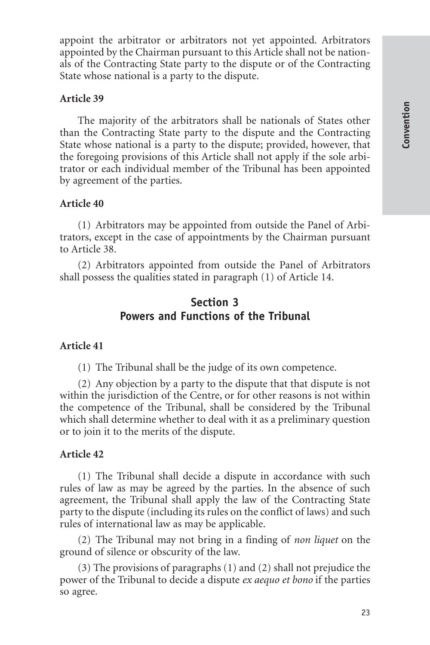appoint the arbitrator or arbitrators not yet appointed. Arbitrators appointed by the Chairman pursuant to this Article shall not be nationals of the Contracting State party to the dispute or of the Contracting State whose national is a party to the dispute.

## **Article 39**

The majority of the arbitrators shall be nationals of States other than the Contracting State party to the dispute and the Contracting State whose national is a party to the dispute; provided, however, that the foregoing provisions of this Article shall not apply if the sole arbitrator or each individual member of the Tribunal has been appointed by agreement of the parties.

## **Article 40**

(1) Arbitrators may be appointed from outside the Panel of Arbitrators, except in the case of appointments by the Chairman pursuant to Article 38.

(2) Arbitrators appointed from outside the Panel of Arbitrators shall possess the qualities stated in paragraph (1) of Article 14.

## **Section 3 Powers and Functions of the Tribunal**

## **Article 41**

(1) The Tribunal shall be the judge of its own competence.

(2) Any objection by a party to the dispute that that dispute is not within the jurisdiction of the Centre, or for other reasons is not within the competence of the Tribunal, shall be considered by the Tribunal which shall determine whether to deal with it as a preliminary question or to join it to the merits of the dispute.

## **Article 42**

(1) The Tribunal shall decide a dispute in accordance with such rules of law as may be agreed by the parties. In the absence of such agreement, the Tribunal shall apply the law of the Contracting State party to the dispute (including its rules on the conflict of laws) and such rules of international law as may be applicable.

(2) The Tribunal may not bring in a finding of *non liquet* on the ground of silence or obscurity of the law.

(3) The provisions of paragraphs (1) and (2) shall not prejudice the power of the Tribunal to decide a dispute *ex aequo et bono* if the parties so agree.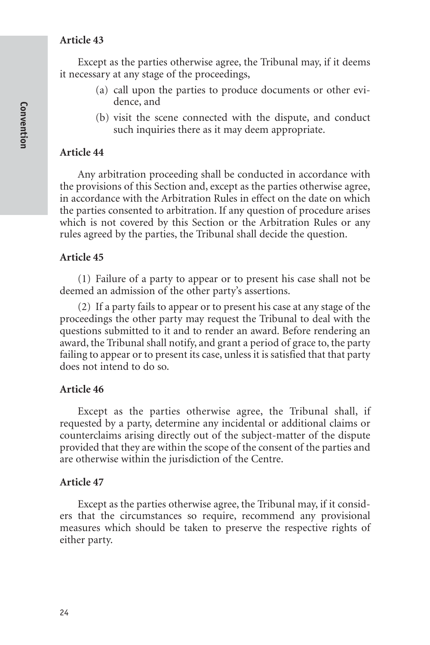## **Article 43**

Except as the parties otherwise agree, the Tribunal may, if it deems it necessary at any stage of the proceedings,

- (a) call upon the parties to produce documents or other evidence, and
- (b) visit the scene connected with the dispute, and conduct such inquiries there as it may deem appropriate.

## **Article 44**

Any arbitration proceeding shall be conducted in accordance with the provisions of this Section and, except as the parties otherwise agree, in accordance with the Arbitration Rules in effect on the date on which the parties consented to arbitration. If any question of procedure arises which is not covered by this Section or the Arbitration Rules or any rules agreed by the parties, the Tribunal shall decide the question.

#### **Article 45**

(1) Failure of a party to appear or to present his case shall not be deemed an admission of the other party's assertions.

(2) If a party fails to appear or to present his case at any stage of the proceedings the other party may request the Tribunal to deal with the questions submitted to it and to render an award. Before rendering an award, the Tribunal shall notify, and grant a period of grace to, the party failing to appear or to present its case, unless it is satisfied that that party does not intend to do so.

#### **Article 46**

Except as the parties otherwise agree, the Tribunal shall, if requested by a party, determine any incidental or additional claims or counterclaims arising directly out of the subject-matter of the dispute provided that they are within the scope of the consent of the parties and are otherwise within the jurisdiction of the Centre.

#### **Article 47**

Except as the parties otherwise agree, the Tribunal may, if it considers that the circumstances so require, recommend any provisional measures which should be taken to preserve the respective rights of either party.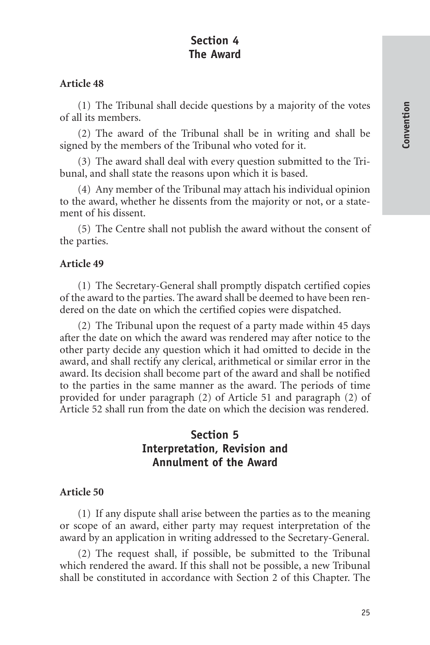## **Section 4 The Award**

## **Article 48**

(1) The Tribunal shall decide questions by a majority of the votes of all its members.

(2) The award of the Tribunal shall be in writing and shall be signed by the members of the Tribunal who voted for it.

(3) The award shall deal with every question submitted to the Tribunal, and shall state the reasons upon which it is based.

(4) Any member of the Tribunal may attach his individual opinion to the award, whether he dissents from the majority or not, or a statement of his dissent.

(5) The Centre shall not publish the award without the consent of the parties.

## **Article 49**

(1) The Secretary-General shall promptly dispatch certified copies of the award to the parties. The award shall be deemed to have been rendered on the date on which the certified copies were dispatched.

(2) The Tribunal upon the request of a party made within 45 days after the date on which the award was rendered may after notice to the other party decide any question which it had omitted to decide in the award, and shall rectify any clerical, arithmetical or similar error in the award. Its decision shall become part of the award and shall be notified to the parties in the same manner as the award. The periods of time provided for under paragraph (2) of Article 51 and paragraph (2) of Article 52 shall run from the date on which the decision was rendered.

## **Section 5 Interpretation, Revision and Annulment of the Award**

## **Article 50**

(1) If any dispute shall arise between the parties as to the meaning or scope of an award, either party may request interpretation of the award by an application in writing addressed to the Secretary-General.

(2) The request shall, if possible, be submitted to the Tribunal which rendered the award. If this shall not be possible, a new Tribunal shall be constituted in accordance with Section 2 of this Chapter. The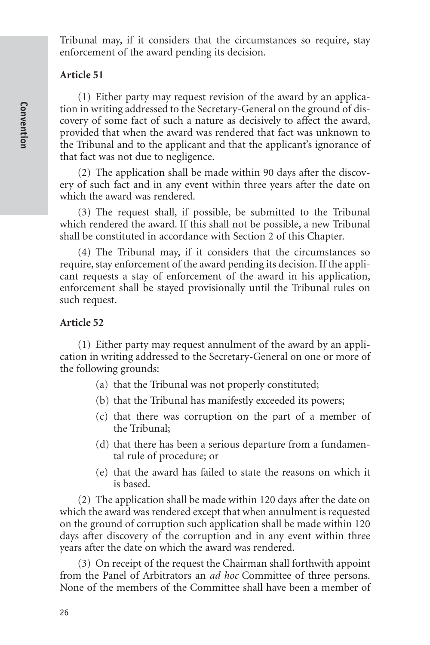Tribunal may, if it considers that the circumstances so require, stay enforcement of the award pending its decision.

## **Article 51**

(1) Either party may request revision of the award by an application in writing addressed to the Secretary-General on the ground of discovery of some fact of such a nature as decisively to affect the award, provided that when the award was rendered that fact was unknown to the Tribunal and to the applicant and that the applicant's ignorance of that fact was not due to negligence.

(2) The application shall be made within 90 days after the discovery of such fact and in any event within three years after the date on which the award was rendered.

(3) The request shall, if possible, be submitted to the Tribunal which rendered the award. If this shall not be possible, a new Tribunal shall be constituted in accordance with Section 2 of this Chapter.

(4) The Tribunal may, if it considers that the circumstances so require, stay enforcement of the award pending its decision. If the applicant requests a stay of enforcement of the award in his application, enforcement shall be stayed provisionally until the Tribunal rules on such request.

## **Article 52**

(1) Either party may request annulment of the award by an application in writing addressed to the Secretary-General on one or more of the following grounds:

- (a) that the Tribunal was not properly constituted;
- (b) that the Tribunal has manifestly exceeded its powers;
- (c) that there was corruption on the part of a member of the Tribunal;
- (d) that there has been a serious departure from a fundamental rule of procedure; or
- (e) that the award has failed to state the reasons on which it is based.

(2) The application shall be made within 120 days after the date on which the award was rendered except that when annulment is requested on the ground of corruption such application shall be made within 120 days after discovery of the corruption and in any event within three years after the date on which the award was rendered.

(3) On receipt of the request the Chairman shall forthwith appoint from the Panel of Arbitrators an *ad hoc* Committee of three persons. None of the members of the Committee shall have been a member of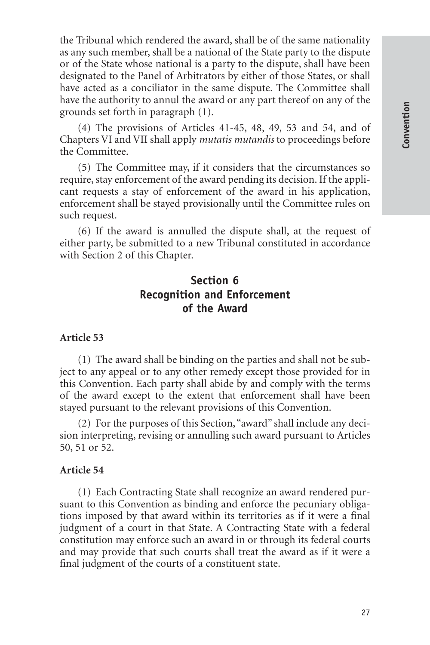the Tribunal which rendered the award, shall be of the same nationality as any such member, shall be a national of the State party to the dispute or of the State whose national is a party to the dispute, shall have been designated to the Panel of Arbitrators by either of those States, or shall have acted as a conciliator in the same dispute. The Committee shall have the authority to annul the award or any part thereof on any of the grounds set forth in paragraph (1).

(4) The provisions of Articles 41-45, 48, 49, 53 and 54, and of Chapters VI and VII shall apply *mutatis mutandis* to proceedings before the Committee.

(5) The Committee may, if it considers that the circumstances so require, stay enforcement of the award pending its decision. If the applicant requests a stay of enforcement of the award in his application, enforcement shall be stayed provisionally until the Committee rules on such request.

(6) If the award is annulled the dispute shall, at the request of either party, be submitted to a new Tribunal constituted in accordance with Section 2 of this Chapter.

## **Section 6 Recognition and Enforcement of the Award**

## **Article 53**

(1) The award shall be binding on the parties and shall not be subject to any appeal or to any other remedy except those provided for in this Convention. Each party shall abide by and comply with the terms of the award except to the extent that enforcement shall have been stayed pursuant to the relevant provisions of this Convention.

(2) For the purposes of this Section,"award" shall include any decision interpreting, revising or annulling such award pursuant to Articles 50, 51 or 52.

## **Article 54**

(1) Each Contracting State shall recognize an award rendered pursuant to this Convention as binding and enforce the pecuniary obligations imposed by that award within its territories as if it were a final judgment of a court in that State. A Contracting State with a federal constitution may enforce such an award in or through its federal courts and may provide that such courts shall treat the award as if it were a final judgment of the courts of a constituent state.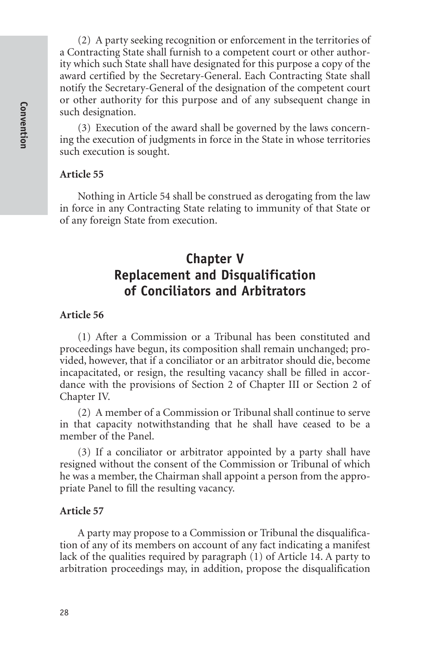(2) A party seeking recognition or enforcement in the territories of a Contracting State shall furnish to a competent court or other authority which such State shall have designated for this purpose a copy of the award certified by the Secretary-General. Each Contracting State shall notify the Secretary-General of the designation of the competent court or other authority for this purpose and of any subsequent change in such designation.

(3) Execution of the award shall be governed by the laws concerning the execution of judgments in force in the State in whose territories such execution is sought.

## **Article 55**

Nothing in Article 54 shall be construed as derogating from the law in force in any Contracting State relating to immunity of that State or of any foreign State from execution.

# **Chapter V Replacement and Disqualification of Conciliators and Arbitrators**

## **Article 56**

(1) After a Commission or a Tribunal has been constituted and proceedings have begun, its composition shall remain unchanged; provided, however, that if a conciliator or an arbitrator should die, become incapacitated, or resign, the resulting vacancy shall be filled in accordance with the provisions of Section 2 of Chapter III or Section 2 of Chapter IV.

(2) A member of a Commission or Tribunal shall continue to serve in that capacity notwithstanding that he shall have ceased to be a member of the Panel.

(3) If a conciliator or arbitrator appointed by a party shall have resigned without the consent of the Commission or Tribunal of which he was a member, the Chairman shall appoint a person from the appropriate Panel to fill the resulting vacancy.

## **Article 57**

A party may propose to a Commission or Tribunal the disqualification of any of its members on account of any fact indicating a manifest lack of the qualities required by paragraph (1) of Article 14. A party to arbitration proceedings may, in addition, propose the disqualification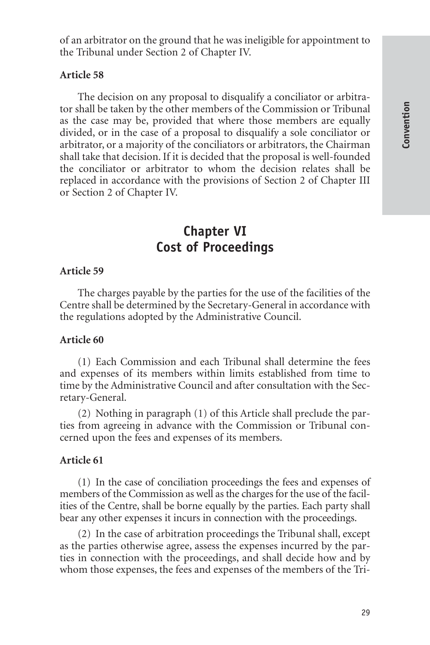of an arbitrator on the ground that he was ineligible for appointment to the Tribunal under Section 2 of Chapter IV.

## **Article 58**

The decision on any proposal to disqualify a conciliator or arbitrator shall be taken by the other members of the Commission or Tribunal as the case may be, provided that where those members are equally divided, or in the case of a proposal to disqualify a sole conciliator or arbitrator, or a majority of the conciliators or arbitrators, the Chairman shall take that decision. If it is decided that the proposal is well-founded the conciliator or arbitrator to whom the decision relates shall be replaced in accordance with the provisions of Section 2 of Chapter III or Section 2 of Chapter IV.

# **Chapter VI Cost of Proceedings**

## **Article 59**

The charges payable by the parties for the use of the facilities of the Centre shall be determined by the Secretary-General in accordance with the regulations adopted by the Administrative Council.

## **Article 60**

(1) Each Commission and each Tribunal shall determine the fees and expenses of its members within limits established from time to time by the Administrative Council and after consultation with the Secretary-General.

(2) Nothing in paragraph (1) of this Article shall preclude the parties from agreeing in advance with the Commission or Tribunal concerned upon the fees and expenses of its members.

## **Article 61**

(1) In the case of conciliation proceedings the fees and expenses of members of the Commission as well as the charges for the use of the facilities of the Centre, shall be borne equally by the parties. Each party shall bear any other expenses it incurs in connection with the proceedings.

(2) In the case of arbitration proceedings the Tribunal shall, except as the parties otherwise agree, assess the expenses incurred by the parties in connection with the proceedings, and shall decide how and by whom those expenses, the fees and expenses of the members of the Tri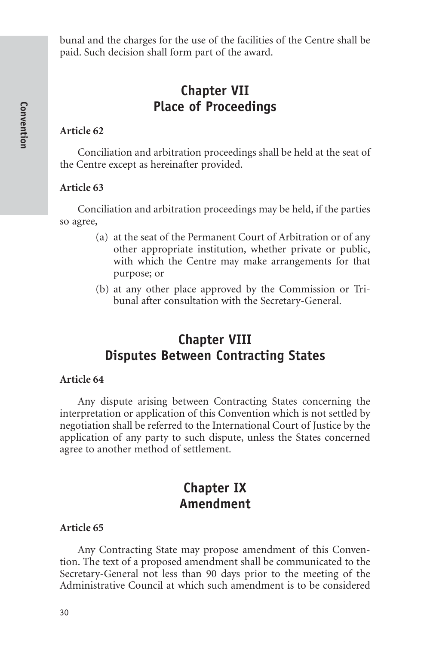bunal and the charges for the use of the facilities of the Centre shall be paid. Such decision shall form part of the award.

# **Chapter VII Place of Proceedings**

#### **Article 62**

Conciliation and arbitration proceedings shall be held at the seat of the Centre except as hereinafter provided.

#### **Article 63**

Conciliation and arbitration proceedings may be held, if the parties so agree,

- (a) at the seat of the Permanent Court of Arbitration or of any other appropriate institution, whether private or public, with which the Centre may make arrangements for that purpose; or
- (b) at any other place approved by the Commission or Tribunal after consultation with the Secretary-General.

# **Chapter VIII Disputes Between Contracting States**

#### **Article 64**

Any dispute arising between Contracting States concerning the interpretation or application of this Convention which is not settled by negotiation shall be referred to the International Court of Justice by the application of any party to such dispute, unless the States concerned agree to another method of settlement.

## **Chapter IX Amendment**

## **Article 65**

Any Contracting State may propose amendment of this Convention. The text of a proposed amendment shall be communicated to the Secretary-General not less than 90 days prior to the meeting of the Administrative Council at which such amendment is to be considered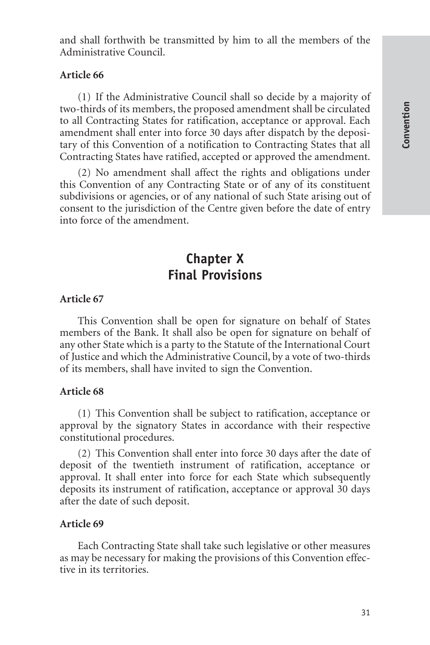and shall forthwith be transmitted by him to all the members of the Administrative Council.

## **Article 66**

(1) If the Administrative Council shall so decide by a majority of two-thirds of its members, the proposed amendment shall be circulated to all Contracting States for ratification, acceptance or approval. Each amendment shall enter into force 30 days after dispatch by the depositary of this Convention of a notification to Contracting States that all Contracting States have ratified, accepted or approved the amendment.

(2) No amendment shall affect the rights and obligations under this Convention of any Contracting State or of any of its constituent subdivisions or agencies, or of any national of such State arising out of consent to the jurisdiction of the Centre given before the date of entry into force of the amendment.

# **Chapter X Final Provisions**

## **Article 67**

This Convention shall be open for signature on behalf of States members of the Bank. It shall also be open for signature on behalf of any other State which is a party to the Statute of the International Court of Justice and which the Administrative Council, by a vote of two-thirds of its members, shall have invited to sign the Convention.

## **Article 68**

(1) This Convention shall be subject to ratification, acceptance or approval by the signatory States in accordance with their respective constitutional procedures.

(2) This Convention shall enter into force 30 days after the date of deposit of the twentieth instrument of ratification, acceptance or approval. It shall enter into force for each State which subsequently deposits its instrument of ratification, acceptance or approval 30 days after the date of such deposit.

## **Article 69**

Each Contracting State shall take such legislative or other measures as may be necessary for making the provisions of this Convention effective in its territories.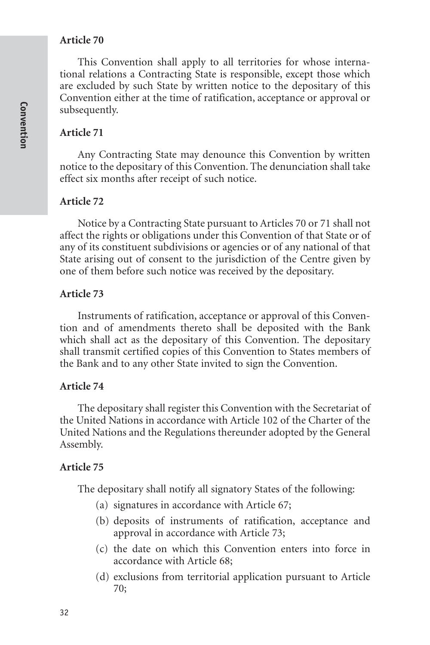## **Article 70**

This Convention shall apply to all territories for whose international relations a Contracting State is responsible, except those which are excluded by such State by written notice to the depositary of this Convention either at the time of ratification, acceptance or approval or subsequently.

#### **Article 71**

Any Contracting State may denounce this Convention by written notice to the depositary of this Convention. The denunciation shall take effect six months after receipt of such notice.

## **Article 72**

Notice by a Contracting State pursuant to Articles 70 or 71 shall not affect the rights or obligations under this Convention of that State or of any of its constituent subdivisions or agencies or of any national of that State arising out of consent to the jurisdiction of the Centre given by one of them before such notice was received by the depositary.

#### **Article 73**

Instruments of ratification, acceptance or approval of this Convention and of amendments thereto shall be deposited with the Bank which shall act as the depositary of this Convention. The depositary shall transmit certified copies of this Convention to States members of the Bank and to any other State invited to sign the Convention.

#### **Article 74**

The depositary shall register this Convention with the Secretariat of the United Nations in accordance with Article 102 of the Charter of the United Nations and the Regulations thereunder adopted by the General Assembly.

## **Article 75**

The depositary shall notify all signatory States of the following:

- (a) signatures in accordance with Article 67;
- (b) deposits of instruments of ratification, acceptance and approval in accordance with Article 73;
- (c) the date on which this Convention enters into force in accordance with Article 68;
- (d) exclusions from territorial application pursuant to Article 70;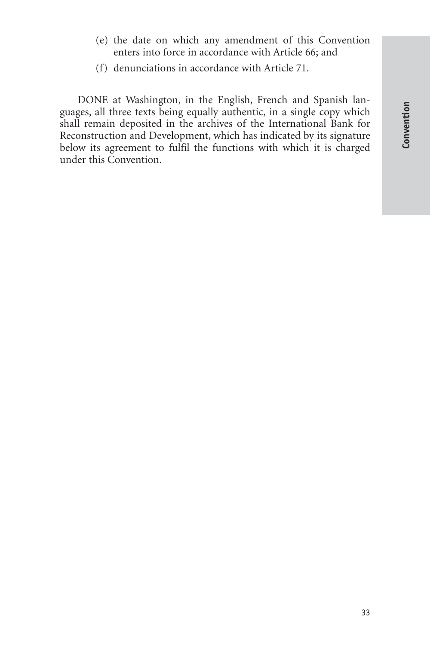- (e) the date on which any amendment of this Convention enters into force in accordance with Article 66; and
- (f) denunciations in accordance with Article 71.

DONE at Washington, in the English, French and Spanish languages, all three texts being equally authentic, in a single copy which shall remain deposited in the archives of the International Bank for Reconstruction and Development, which has indicated by its signature below its agreement to fulfil the functions with which it is charged under this Convention.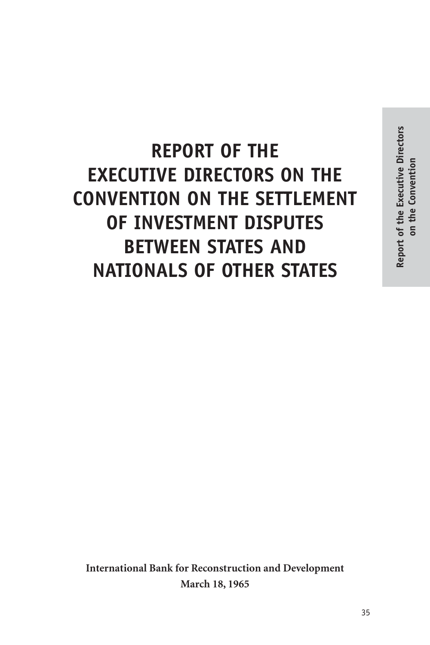Report of the Executive Directors **Report of the Executive Directors on the Convention** on the Convention

# **REPORT OF THE EXECUTIVE DIRECTORS ON THE CONVENTION ON THE SETTLEMENT OF INVESTMENT DISPUTES BETWEEN STATES AND NATIONALS OF OTHER STATES**

**International Bank for Reconstruction and Development March 18, 1965**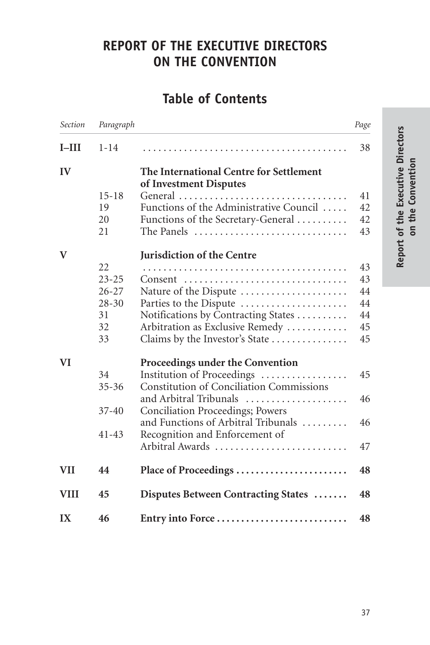# **REPORT OF THE EXECUTIVE DIRECTORS ON THE CONVENTION**

# **Table of Contents**

| Section     | Paragraph |                                                 | Page |
|-------------|-----------|-------------------------------------------------|------|
| $I$ -III    | $1 - 14$  |                                                 | 38   |
| IV          |           | The International Centre for Settlement         |      |
|             |           | of Investment Disputes                          |      |
|             | $15 - 18$ |                                                 | 41   |
|             | 19        | Functions of the Administrative Council         | 42   |
|             | 20        | Functions of the Secretary-General              | 42   |
|             | 21        | The Panels                                      | 43   |
| V           |           | Jurisdiction of the Centre                      |      |
|             | 22        |                                                 | 43   |
|             | $23 - 25$ | Consent                                         | 43   |
|             | $26 - 27$ | Nature of the Dispute                           | 44   |
|             | $28 - 30$ | Parties to the Dispute                          | 44   |
|             | 31        | Notifications by Contracting States             | 44   |
|             | 32        | Arbitration as Exclusive Remedy                 | 45   |
|             | 33        | Claims by the Investor's State                  | 45   |
| VI          |           | Proceedings under the Convention                |      |
|             | 34        | Institution of Proceedings                      | 45   |
|             | $35 - 36$ | <b>Constitution of Conciliation Commissions</b> |      |
|             |           | and Arbitral Tribunals                          | 46   |
|             | $37 - 40$ | <b>Conciliation Proceedings; Powers</b>         |      |
|             |           | and Functions of Arbitral Tribunals             | 46   |
|             | $41 - 43$ | Recognition and Enforcement of                  |      |
|             |           | Arbitral Awards                                 | 47   |
| <b>VII</b>  | 44        | Place of Proceedings                            | 48   |
|             |           |                                                 |      |
| <b>VIII</b> | 45        | Disputes Between Contracting States             | 48   |
| IX          | 46        | Entry into Force                                | 48   |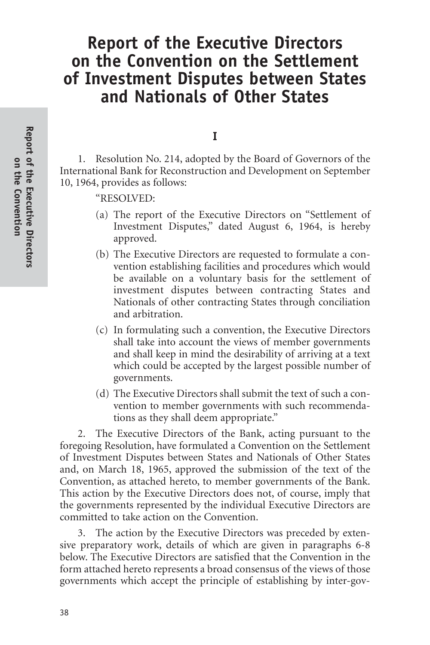# **Report of the Executive Directors on the Convention on the Settlement of Investment Disputes between States and Nationals of Other States**

**I**

1. Resolution No. 214, adopted by the Board of Governors of the International Bank for Reconstruction and Development on September 10, 1964, provides as follows:

"RESOLVED:

- (a) The report of the Executive Directors on "Settlement of Investment Disputes," dated August 6, 1964, is hereby approved.
- (b) The Executive Directors are requested to formulate a convention establishing facilities and procedures which would be available on a voluntary basis for the settlement of investment disputes between contracting States and Nationals of other contracting States through conciliation and arbitration.
- (c) In formulating such a convention, the Executive Directors shall take into account the views of member governments and shall keep in mind the desirability of arriving at a text which could be accepted by the largest possible number of governments.
- (d) The Executive Directors shall submit the text of such a convention to member governments with such recommendations as they shall deem appropriate."

2. The Executive Directors of the Bank, acting pursuant to the foregoing Resolution, have formulated a Convention on the Settlement of Investment Disputes between States and Nationals of Other States and, on March 18, 1965, approved the submission of the text of the Convention, as attached hereto, to member governments of the Bank. This action by the Executive Directors does not, of course, imply that the governments represented by the individual Executive Directors are committed to take action on the Convention.

3. The action by the Executive Directors was preceded by extensive preparatory work, details of which are given in paragraphs 6-8 below. The Executive Directors are satisfied that the Convention in the form attached hereto represents a broad consensus of the views of those governments which accept the principle of establishing by inter-gov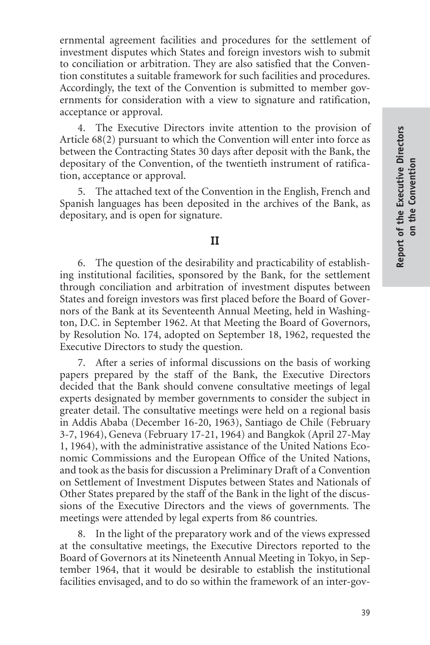ernmental agreement facilities and procedures for the settlement of investment disputes which States and foreign investors wish to submit to conciliation or arbitration. They are also satisfied that the Convention constitutes a suitable framework for such facilities and procedures. Accordingly, the text of the Convention is submitted to member governments for consideration with a view to signature and ratification, acceptance or approval.

4. The Executive Directors invite attention to the provision of Article 68(2) pursuant to which the Convention will enter into force as between the Contracting States 30 days after deposit with the Bank, the depositary of the Convention, of the twentieth instrument of ratification, acceptance or approval.

5. The attached text of the Convention in the English, French and Spanish languages has been deposited in the archives of the Bank, as depositary, and is open for signature.

#### **II**

6. The question of the desirability and practicability of establishing institutional facilities, sponsored by the Bank, for the settlement through conciliation and arbitration of investment disputes between States and foreign investors was first placed before the Board of Governors of the Bank at its Seventeenth Annual Meeting, held in Washington, D.C. in September 1962. At that Meeting the Board of Governors, by Resolution No. 174, adopted on September 18, 1962, requested the Executive Directors to study the question.

7. After a series of informal discussions on the basis of working papers prepared by the staff of the Bank, the Executive Directors decided that the Bank should convene consultative meetings of legal experts designated by member governments to consider the subject in greater detail. The consultative meetings were held on a regional basis in Addis Ababa (December 16-20, 1963), Santiago de Chile (February 3-7, 1964), Geneva (February 17-21, 1964) and Bangkok (April 27-May 1, 1964), with the administrative assistance of the United Nations Economic Commissions and the European Office of the United Nations, and took as the basis for discussion a Preliminary Draft of a Convention on Settlement of Investment Disputes between States and Nationals of Other States prepared by the staff of the Bank in the light of the discussions of the Executive Directors and the views of governments. The meetings were attended by legal experts from 86 countries.

8. In the light of the preparatory work and of the views expressed at the consultative meetings, the Executive Directors reported to the Board of Governors at its Nineteenth Annual Meeting in Tokyo, in September 1964, that it would be desirable to establish the institutional facilities envisaged, and to do so within the framework of an inter-gov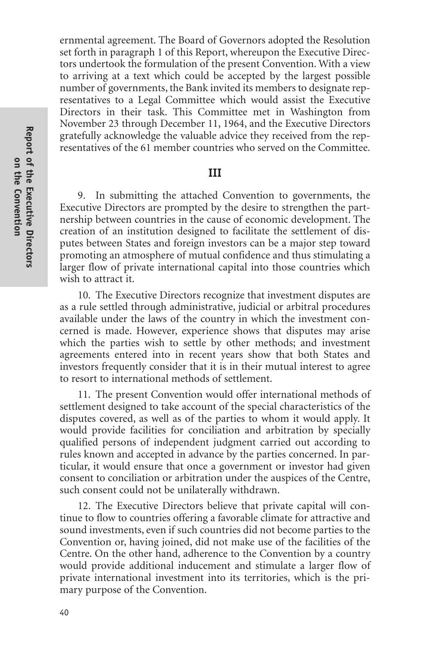ernmental agreement. The Board of Governors adopted the Resolution set forth in paragraph 1 of this Report, whereupon the Executive Directors undertook the formulation of the present Convention. With a view to arriving at a text which could be accepted by the largest possible number of governments, the Bank invited its members to designate representatives to a Legal Committee which would assist the Executive Directors in their task. This Committee met in Washington from November 23 through December 11, 1964, and the Executive Directors gratefully acknowledge the valuable advice they received from the representatives of the 61 member countries who served on the Committee.

#### **III**

9. In submitting the attached Convention to governments, the Executive Directors are prompted by the desire to strengthen the partnership between countries in the cause of economic development. The creation of an institution designed to facilitate the settlement of disputes between States and foreign investors can be a major step toward promoting an atmosphere of mutual confidence and thus stimulating a larger flow of private international capital into those countries which wish to attract it.

10. The Executive Directors recognize that investment disputes are as a rule settled through administrative, judicial or arbitral procedures available under the laws of the country in which the investment concerned is made. However, experience shows that disputes may arise which the parties wish to settle by other methods; and investment agreements entered into in recent years show that both States and investors frequently consider that it is in their mutual interest to agree to resort to international methods of settlement.

11. The present Convention would offer international methods of settlement designed to take account of the special characteristics of the disputes covered, as well as of the parties to whom it would apply. It would provide facilities for conciliation and arbitration by specially qualified persons of independent judgment carried out according to rules known and accepted in advance by the parties concerned. In particular, it would ensure that once a government or investor had given consent to conciliation or arbitration under the auspices of the Centre, such consent could not be unilaterally withdrawn.

12. The Executive Directors believe that private capital will continue to flow to countries offering a favorable climate for attractive and sound investments, even if such countries did not become parties to the Convention or, having joined, did not make use of the facilities of the Centre. On the other hand, adherence to the Convention by a country would provide additional inducement and stimulate a larger flow of private international investment into its territories, which is the primary purpose of the Convention.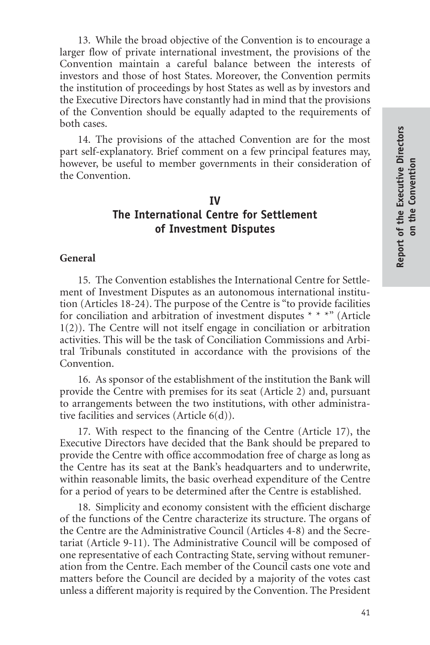13. While the broad objective of the Convention is to encourage a larger flow of private international investment, the provisions of the Convention maintain a careful balance between the interests of investors and those of host States. Moreover, the Convention permits the institution of proceedings by host States as well as by investors and the Executive Directors have constantly had in mind that the provisions of the Convention should be equally adapted to the requirements of both cases.

14. The provisions of the attached Convention are for the most part self-explanatory. Brief comment on a few principal features may, however, be useful to member governments in their consideration of the Convention.

#### **IV The International Centre for Settlement of Investment Disputes**

#### **General**

15. The Convention establishes the International Centre for Settlement of Investment Disputes as an autonomous international institution (Articles 18-24). The purpose of the Centre is "to provide facilities for conciliation and arbitration of investment disputes  $* * *$ " (Article 1(2)). The Centre will not itself engage in conciliation or arbitration activities. This will be the task of Conciliation Commissions and Arbitral Tribunals constituted in accordance with the provisions of the Convention.

16. As sponsor of the establishment of the institution the Bank will provide the Centre with premises for its seat (Article 2) and, pursuant to arrangements between the two institutions, with other administrative facilities and services (Article 6(d)).

17. With respect to the financing of the Centre (Article 17), the Executive Directors have decided that the Bank should be prepared to provide the Centre with office accommodation free of charge as long as the Centre has its seat at the Bank's headquarters and to underwrite, within reasonable limits, the basic overhead expenditure of the Centre for a period of years to be determined after the Centre is established.

18. Simplicity and economy consistent with the efficient discharge of the functions of the Centre characterize its structure. The organs of the Centre are the Administrative Council (Articles 4-8) and the Secretariat (Article 9-11). The Administrative Council will be composed of one representative of each Contracting State, serving without remuneration from the Centre. Each member of the Council casts one vote and matters before the Council are decided by a majority of the votes cast unless a different majority is required by the Convention. The President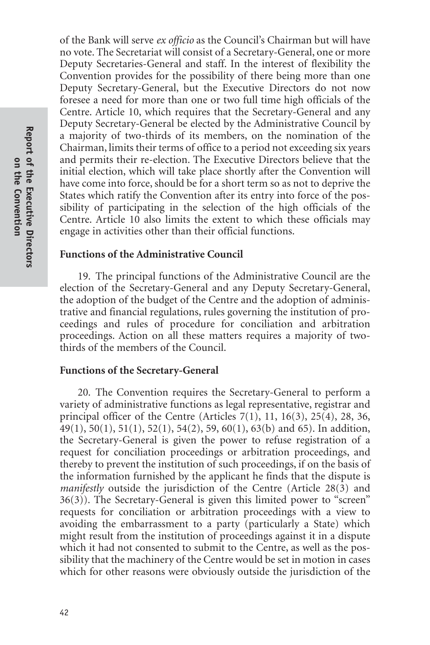of the Bank will serve *ex officio* as the Council's Chairman but will have no vote. The Secretariat will consist of a Secretary-General, one or more Deputy Secretaries-General and staff. In the interest of flexibility the Convention provides for the possibility of there being more than one Deputy Secretary-General, but the Executive Directors do not now foresee a need for more than one or two full time high officials of the Centre. Article 10, which requires that the Secretary-General and any Deputy Secretary-General be elected by the Administrative Council by a majority of two-thirds of its members, on the nomination of the Chairman, limits their terms of office to a period not exceeding six years and permits their re-election. The Executive Directors believe that the initial election, which will take place shortly after the Convention will have come into force, should be for a short term so as not to deprive the States which ratify the Convention after its entry into force of the possibility of participating in the selection of the high officials of the Centre. Article 10 also limits the extent to which these officials may engage in activities other than their official functions.

#### **Functions of the Administrative Council**

19. The principal functions of the Administrative Council are the election of the Secretary-General and any Deputy Secretary-General, the adoption of the budget of the Centre and the adoption of administrative and financial regulations, rules governing the institution of proceedings and rules of procedure for conciliation and arbitration proceedings. Action on all these matters requires a majority of twothirds of the members of the Council.

#### **Functions of the Secretary-General**

20. The Convention requires the Secretary-General to perform a variety of administrative functions as legal representative, registrar and principal officer of the Centre (Articles  $7(1)$ ,  $11$ ,  $16(3)$ ,  $25(4)$ ,  $28$ ,  $36$ ,  $49(1)$ ,  $50(1)$ ,  $51(1)$ ,  $52(1)$ ,  $54(2)$ ,  $59$ ,  $60(1)$ ,  $63(b)$  and  $65)$ . In addition, the Secretary-General is given the power to refuse registration of a request for conciliation proceedings or arbitration proceedings, and thereby to prevent the institution of such proceedings, if on the basis of the information furnished by the applicant he finds that the dispute is *manifestly* outside the jurisdiction of the Centre (Article 28(3) and 36(3)). The Secretary-General is given this limited power to "screen" requests for conciliation or arbitration proceedings with a view to avoiding the embarrassment to a party (particularly a State) which might result from the institution of proceedings against it in a dispute which it had not consented to submit to the Centre, as well as the possibility that the machinery of the Centre would be set in motion in cases which for other reasons were obviously outside the jurisdiction of the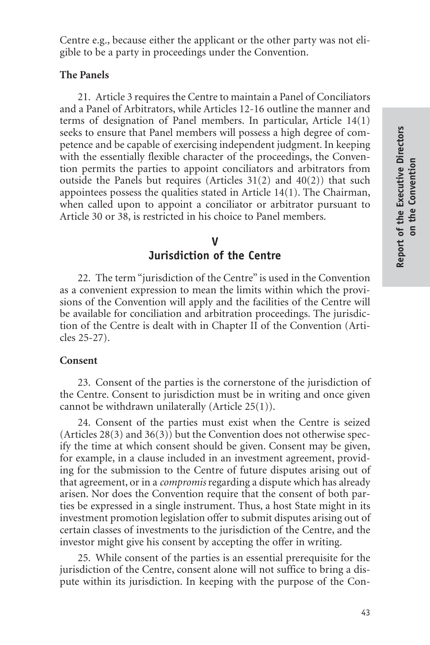Centre e.g., because either the applicant or the other party was not eligible to be a party in proceedings under the Convention.

#### **The Panels**

21. Article 3 requires the Centre to maintain a Panel of Conciliators and a Panel of Arbitrators, while Articles 12-16 outline the manner and terms of designation of Panel members. In particular, Article 14(1) seeks to ensure that Panel members will possess a high degree of competence and be capable of exercising independent judgment. In keeping with the essentially flexible character of the proceedings, the Convention permits the parties to appoint conciliators and arbitrators from outside the Panels but requires (Articles  $31(2)$  and  $40(2)$ ) that such appointees possess the qualities stated in Article 14(1). The Chairman, when called upon to appoint a conciliator or arbitrator pursuant to Article 30 or 38, is restricted in his choice to Panel members.

#### **V**

#### **Jurisdiction of the Centre**

22. The term "jurisdiction of the Centre" is used in the Convention as a convenient expression to mean the limits within which the provisions of the Convention will apply and the facilities of the Centre will be available for conciliation and arbitration proceedings. The jurisdiction of the Centre is dealt with in Chapter II of the Convention (Articles 25-27).

#### **Consent**

23. Consent of the parties is the cornerstone of the jurisdiction of the Centre. Consent to jurisdiction must be in writing and once given cannot be withdrawn unilaterally (Article 25(1)).

24. Consent of the parties must exist when the Centre is seized (Articles 28(3) and 36(3)) but the Convention does not otherwise specify the time at which consent should be given. Consent may be given, for example, in a clause included in an investment agreement, providing for the submission to the Centre of future disputes arising out of that agreement, or in a *compromis* regarding a dispute which has already arisen. Nor does the Convention require that the consent of both parties be expressed in a single instrument. Thus, a host State might in its investment promotion legislation offer to submit disputes arising out of certain classes of investments to the jurisdiction of the Centre, and the investor might give his consent by accepting the offer in writing.

25. While consent of the parties is an essential prerequisite for the jurisdiction of the Centre, consent alone will not suffice to bring a dispute within its jurisdiction. In keeping with the purpose of the Con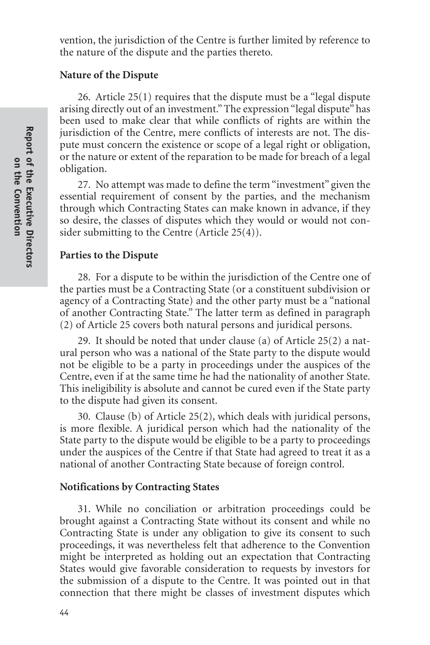vention, the jurisdiction of the Centre is further limited by reference to the nature of the dispute and the parties thereto.

#### **Nature of the Dispute**

26. Article 25(1) requires that the dispute must be a "legal dispute arising directly out of an investment." The expression "legal dispute" has been used to make clear that while conflicts of rights are within the jurisdiction of the Centre, mere conflicts of interests are not. The dispute must concern the existence or scope of a legal right or obligation, or the nature or extent of the reparation to be made for breach of a legal obligation.

27. No attempt was made to define the term "investment" given the essential requirement of consent by the parties, and the mechanism through which Contracting States can make known in advance, if they so desire, the classes of disputes which they would or would not consider submitting to the Centre (Article 25(4)).

#### **Parties to the Dispute**

28. For a dispute to be within the jurisdiction of the Centre one of the parties must be a Contracting State (or a constituent subdivision or agency of a Contracting State) and the other party must be a "national of another Contracting State." The latter term as defined in paragraph (2) of Article 25 covers both natural persons and juridical persons.

29. It should be noted that under clause (a) of Article 25(2) a natural person who was a national of the State party to the dispute would not be eligible to be a party in proceedings under the auspices of the Centre, even if at the same time he had the nationality of another State. This ineligibility is absolute and cannot be cured even if the State party to the dispute had given its consent.

30. Clause (b) of Article 25(2), which deals with juridical persons, is more flexible. A juridical person which had the nationality of the State party to the dispute would be eligible to be a party to proceedings under the auspices of the Centre if that State had agreed to treat it as a national of another Contracting State because of foreign control.

#### **Notifications by Contracting States**

31. While no conciliation or arbitration proceedings could be brought against a Contracting State without its consent and while no Contracting State is under any obligation to give its consent to such proceedings, it was nevertheless felt that adherence to the Convention might be interpreted as holding out an expectation that Contracting States would give favorable consideration to requests by investors for the submission of a dispute to the Centre. It was pointed out in that connection that there might be classes of investment disputes which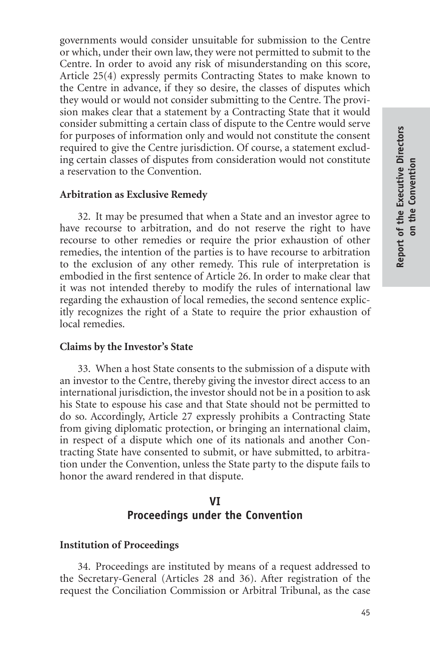governments would consider unsuitable for submission to the Centre or which, under their own law, they were not permitted to submit to the Centre. In order to avoid any risk of misunderstanding on this score, Article 25(4) expressly permits Contracting States to make known to the Centre in advance, if they so desire, the classes of disputes which they would or would not consider submitting to the Centre. The provision makes clear that a statement by a Contracting State that it would consider submitting a certain class of dispute to the Centre would serve for purposes of information only and would not constitute the consent required to give the Centre jurisdiction. Of course, a statement excluding certain classes of disputes from consideration would not constitute a reservation to the Convention.

#### **Arbitration as Exclusive Remedy**

32. It may be presumed that when a State and an investor agree to have recourse to arbitration, and do not reserve the right to have recourse to other remedies or require the prior exhaustion of other remedies, the intention of the parties is to have recourse to arbitration to the exclusion of any other remedy. This rule of interpretation is embodied in the first sentence of Article 26. In order to make clear that it was not intended thereby to modify the rules of international law regarding the exhaustion of local remedies, the second sentence explicitly recognizes the right of a State to require the prior exhaustion of local remedies.

#### **Claims by the Investor's State**

33. When a host State consents to the submission of a dispute with an investor to the Centre, thereby giving the investor direct access to an international jurisdiction, the investor should not be in a position to ask his State to espouse his case and that State should not be permitted to do so. Accordingly, Article 27 expressly prohibits a Contracting State from giving diplomatic protection, or bringing an international claim, in respect of a dispute which one of its nationals and another Contracting State have consented to submit, or have submitted, to arbitration under the Convention, unless the State party to the dispute fails to honor the award rendered in that dispute.

#### **VI Proceedings under the Convention**

#### **Institution of Proceedings**

34. Proceedings are instituted by means of a request addressed to the Secretary-General (Articles 28 and 36). After registration of the request the Conciliation Commission or Arbitral Tribunal, as the case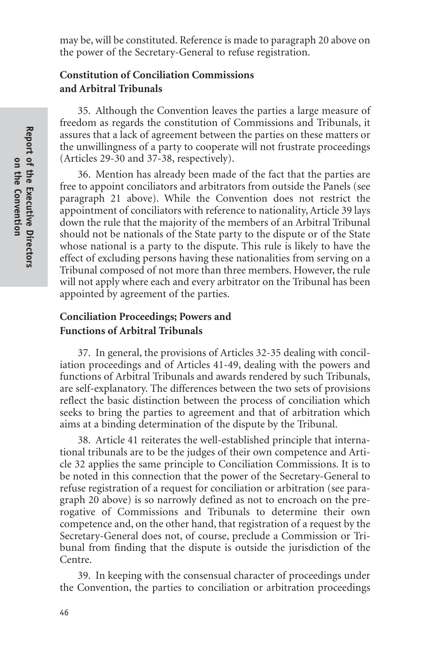may be, will be constituted. Reference is made to paragraph 20 above on the power of the Secretary-General to refuse registration.

#### **Constitution of Conciliation Commissions and Arbitral Tribunals**

35. Although the Convention leaves the parties a large measure of freedom as regards the constitution of Commissions and Tribunals, it assures that a lack of agreement between the parties on these matters or the unwillingness of a party to cooperate will not frustrate proceedings (Articles 29-30 and 37-38, respectively).

36. Mention has already been made of the fact that the parties are free to appoint conciliators and arbitrators from outside the Panels (see paragraph 21 above). While the Convention does not restrict the appointment of conciliators with reference to nationality, Article 39 lays down the rule that the majority of the members of an Arbitral Tribunal should not be nationals of the State party to the dispute or of the State whose national is a party to the dispute. This rule is likely to have the effect of excluding persons having these nationalities from serving on a Tribunal composed of not more than three members. However, the rule will not apply where each and every arbitrator on the Tribunal has been appointed by agreement of the parties.

#### **Conciliation Proceedings; Powers and Functions of Arbitral Tribunals**

37. In general, the provisions of Articles 32-35 dealing with conciliation proceedings and of Articles 41-49, dealing with the powers and functions of Arbitral Tribunals and awards rendered by such Tribunals, are self-explanatory. The differences between the two sets of provisions reflect the basic distinction between the process of conciliation which seeks to bring the parties to agreement and that of arbitration which aims at a binding determination of the dispute by the Tribunal.

38. Article 41 reiterates the well-established principle that international tribunals are to be the judges of their own competence and Article 32 applies the same principle to Conciliation Commissions. It is to be noted in this connection that the power of the Secretary-General to refuse registration of a request for conciliation or arbitration (see paragraph 20 above) is so narrowly defined as not to encroach on the prerogative of Commissions and Tribunals to determine their own competence and, on the other hand, that registration of a request by the Secretary-General does not, of course, preclude a Commission or Tribunal from finding that the dispute is outside the jurisdiction of the Centre.

39. In keeping with the consensual character of proceedings under the Convention, the parties to conciliation or arbitration proceedings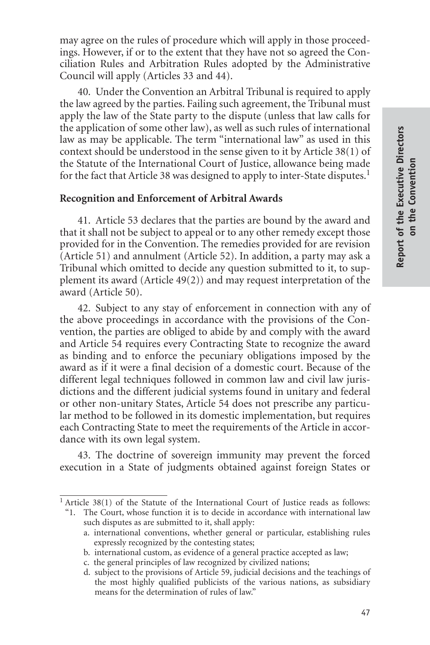may agree on the rules of procedure which will apply in those proceedings. However, if or to the extent that they have not so agreed the Conciliation Rules and Arbitration Rules adopted by the Administrative Council will apply (Articles 33 and 44).

40. Under the Convention an Arbitral Tribunal is required to apply the law agreed by the parties. Failing such agreement, the Tribunal must apply the law of the State party to the dispute (unless that law calls for the application of some other law), as well as such rules of international law as may be applicable. The term "international law" as used in this context should be understood in the sense given to it by Article 38(1) of the Statute of the International Court of Justice, allowance being made for the fact that Article 38 was designed to apply to inter-State disputes.<sup>1</sup>

#### **Recognition and Enforcement of Arbitral Awards**

41. Article 53 declares that the parties are bound by the award and that it shall not be subject to appeal or to any other remedy except those provided for in the Convention. The remedies provided for are revision (Article 51) and annulment (Article 52). In addition, a party may ask a Tribunal which omitted to decide any question submitted to it, to supplement its award (Article 49(2)) and may request interpretation of the award (Article 50).

42. Subject to any stay of enforcement in connection with any of the above proceedings in accordance with the provisions of the Convention, the parties are obliged to abide by and comply with the award and Article 54 requires every Contracting State to recognize the award as binding and to enforce the pecuniary obligations imposed by the award as if it were a final decision of a domestic court. Because of the different legal techniques followed in common law and civil law jurisdictions and the different judicial systems found in unitary and federal or other non-unitary States, Article 54 does not prescribe any particular method to be followed in its domestic implementation, but requires each Contracting State to meet the requirements of the Article in accordance with its own legal system.

43. The doctrine of sovereign immunity may prevent the forced execution in a State of judgments obtained against foreign States or

such disputes as are submitted to it, shall apply:

<sup>&</sup>lt;sup>1</sup> Article 38(1) of the Statute of the International Court of Justice reads as follows: "1. The Court, whose function it is to decide in accordance with international law

a. international conventions, whether general or particular, establishing rules expressly recognized by the contesting states;

b. international custom, as evidence of a general practice accepted as law;

c. the general principles of law recognized by civilized nations;

d. subject to the provisions of Article 59, judicial decisions and the teachings of the most highly qualified publicists of the various nations, as subsidiary means for the determination of rules of law."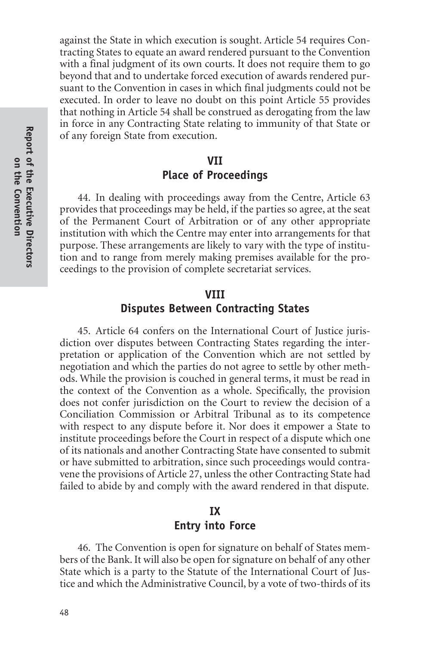against the State in which execution is sought. Article 54 requires Contracting States to equate an award rendered pursuant to the Convention with a final judgment of its own courts. It does not require them to go beyond that and to undertake forced execution of awards rendered pursuant to the Convention in cases in which final judgments could not be executed. In order to leave no doubt on this point Article 55 provides that nothing in Article 54 shall be construed as derogating from the law in force in any Contracting State relating to immunity of that State or of any foreign State from execution.

#### **VII**

#### **Place of Proceedings**

44. In dealing with proceedings away from the Centre, Article 63 provides that proceedings may be held, if the parties so agree, at the seat of the Permanent Court of Arbitration or of any other appropriate institution with which the Centre may enter into arrangements for that purpose. These arrangements are likely to vary with the type of institution and to range from merely making premises available for the proceedings to the provision of complete secretariat services.

#### **VIII Disputes Between Contracting States**

45. Article 64 confers on the International Court of Justice jurisdiction over disputes between Contracting States regarding the interpretation or application of the Convention which are not settled by negotiation and which the parties do not agree to settle by other methods. While the provision is couched in general terms, it must be read in the context of the Convention as a whole. Specifically, the provision does not confer jurisdiction on the Court to review the decision of a Conciliation Commission or Arbitral Tribunal as to its competence with respect to any dispute before it. Nor does it empower a State to institute proceedings before the Court in respect of a dispute which one of its nationals and another Contracting State have consented to submit or have submitted to arbitration, since such proceedings would contravene the provisions of Article 27, unless the other Contracting State had failed to abide by and comply with the award rendered in that dispute.

#### **IX**

#### **Entry into Force**

46. The Convention is open for signature on behalf of States members of the Bank. It will also be open for signature on behalf of any other State which is a party to the Statute of the International Court of Justice and which the Administrative Council, by a vote of two-thirds of its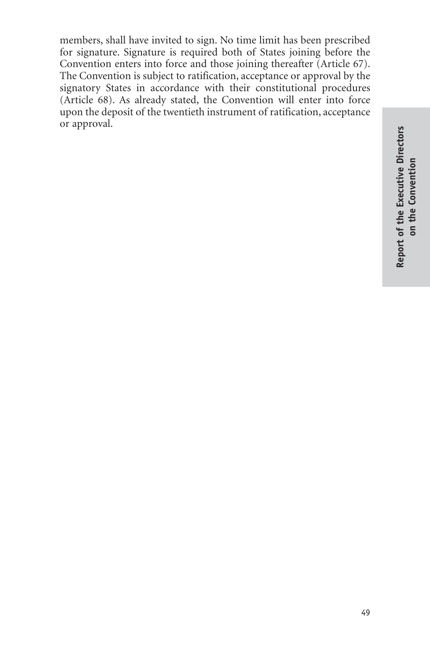members, shall have invited to sign. No time limit has been prescribed for signature. Signature is required both of States joining before the Convention enters into force and those joining thereafter (Article 67). The Convention is subject to ratification, acceptance or approval by the signatory States in accordance with their constitutional procedures (Article 68). As already stated, the Convention will enter into force upon the deposit of the twentieth instrument of ratification, acceptance or approval.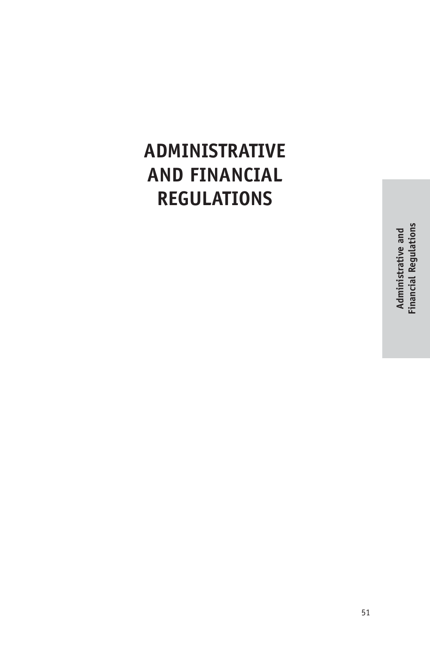# **ADMINISTRATIVE AND FINANCIAL REGULATIONS**

Administrative and<br>Financial Regulations **Financial Regulations Administrative and**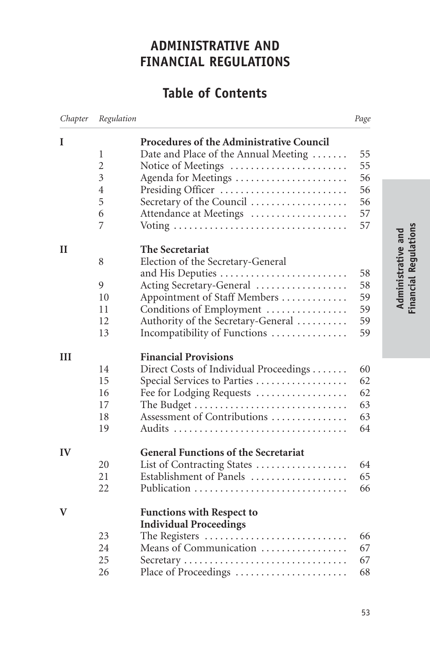# **ADMINISTRATIVE AND FINANCIAL REGULATIONS**

# **Table of Contents**

| Chapter | Regulation     |                                             | Page |
|---------|----------------|---------------------------------------------|------|
| I       |                | Procedures of the Administrative Council    |      |
|         | 1              | Date and Place of the Annual Meeting        | 55   |
|         | $\overline{2}$ | Notice of Meetings                          | 55   |
|         | $\overline{3}$ | Agenda for Meetings                         | 56   |
|         | $\overline{4}$ | Presiding Officer                           | 56   |
|         | 5              | Secretary of the Council                    | 56   |
|         | 6              | Attendance at Meetings                      | 57   |
|         | $\overline{7}$ |                                             | 57   |
| П       |                | The Secretariat                             |      |
|         | 8              | Election of the Secretary-General           |      |
|         |                | and His Deputies                            | 58   |
|         | 9              | Acting Secretary-General                    | 58   |
|         | 10             | Appointment of Staff Members                | 59   |
|         | 11             | Conditions of Employment                    | 59   |
|         | 12             | Authority of the Secretary-General          | 59   |
|         | 13             | Incompatibility of Functions                | 59   |
| III     |                | <b>Financial Provisions</b>                 |      |
|         | 14             | Direct Costs of Individual Proceedings      | 60   |
|         | 15             | Special Services to Parties                 | 62   |
|         | 16             | Fee for Lodging Requests                    | 62   |
|         | 17             | The Budget                                  | 63   |
|         | 18             | Assessment of Contributions                 | 63   |
|         | 19             | Audits                                      | 64   |
| IV      |                | <b>General Functions of the Secretariat</b> |      |
|         | 20             | List of Contracting States                  | 64   |
|         | 21             | Establishment of Panels                     | 65   |
|         | 22             |                                             | 66   |
| V       |                | <b>Functions with Respect to</b>            |      |
|         |                | <b>Individual Proceedings</b>               |      |
|         | 23             | The Registers                               | 66   |
|         | 24             | Means of Communication                      | 67   |
|         | 25             | Secretary                                   | 67   |
|         | 26             | Place of Proceedings                        | 68   |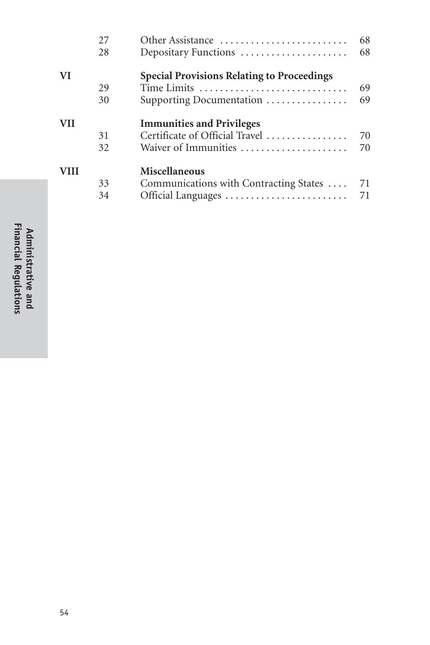|             | 27<br>28 | Other Assistance<br>Depositary Functions          | 68<br>68 |
|-------------|----------|---------------------------------------------------|----------|
| <b>VI</b>   |          | <b>Special Provisions Relating to Proceedings</b> |          |
|             | 29       |                                                   | 69       |
|             | 30       | Supporting Documentation                          | 69       |
| <b>VII</b>  |          | <b>Immunities and Privileges</b>                  |          |
|             | 31       | Certificate of Official Travel                    | 70       |
|             | 32       | Waiver of Immunities                              | 70       |
| <b>VIII</b> |          | Miscellaneous                                     |          |
|             | 33       | Communications with Contracting States            | 71       |
|             | 34       | Official Languages                                | 71       |
|             |          |                                                   |          |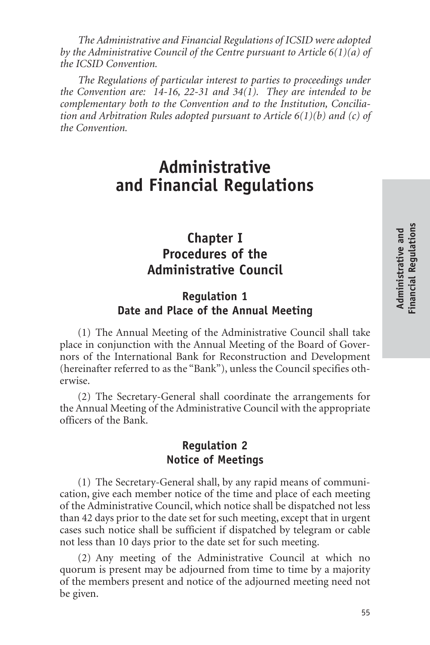*The Administrative and Financial Regulations of ICSID were adopted by the Administrative Council of the Centre pursuant to Article 6(1)(a) of the ICSID Convention.*

*The Regulations of particular interest to parties to proceedings under the Convention are: 14-16, 22-31 and 34(1). They are intended to be complementary both to the Convention and to the Institution, Conciliation and Arbitration Rules adopted pursuant to Article 6(1)(b) and (c) of the Convention.*

# **Administrative and Financial Regulations**

# **Chapter I Procedures of the Administrative Council**

### **Regulation 1 Date and Place of the Annual Meeting**

(1) The Annual Meeting of the Administrative Council shall take place in conjunction with the Annual Meeting of the Board of Governors of the International Bank for Reconstruction and Development (hereinafter referred to as the "Bank"), unless the Council specifies otherwise.

(2) The Secretary-General shall coordinate the arrangements for the Annual Meeting of the Administrative Council with the appropriate officers of the Bank.

### **Regulation 2 Notice of Meetings**

(1) The Secretary-General shall, by any rapid means of communication, give each member notice of the time and place of each meeting of the Administrative Council, which notice shall be dispatched not less than 42 days prior to the date set for such meeting, except that in urgent cases such notice shall be sufficient if dispatched by telegram or cable not less than 10 days prior to the date set for such meeting.

(2) Any meeting of the Administrative Council at which no quorum is present may be adjourned from time to time by a majority of the members present and notice of the adjourned meeting need not be given.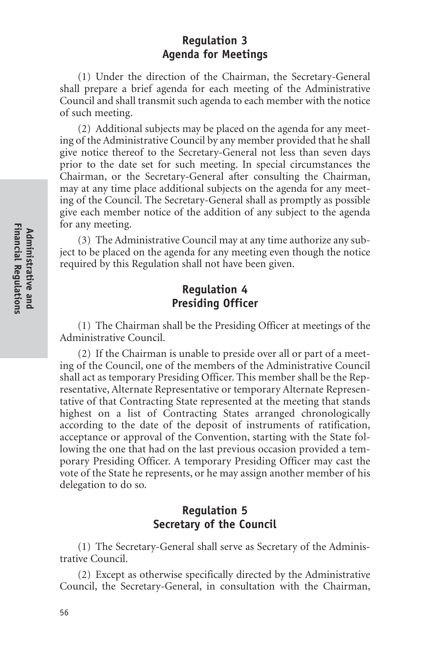(1) Under the direction of the Chairman, the Secretary-General shall prepare a brief agenda for each meeting of the Administrative Council and shall transmit such agenda to each member with the notice of such meeting.

(2) Additional subjects may be placed on the agenda for any meeting of the Administrative Council by any member provided that he shall give notice thereof to the Secretary-General not less than seven days prior to the date set for such meeting. In special circumstances the Chairman, or the Secretary-General after consulting the Chairman, may at any time place additional subjects on the agenda for any meeting of the Council. The Secretary-General shall as promptly as possible give each member notice of the addition of any subject to the agenda for any meeting.

(3) The Administrative Council may at any time authorize any subject to be placed on the agenda for any meeting even though the notice required by this Regulation shall not have been given.

#### **Regulation 4 Presiding Officer**

(1) The Chairman shall be the Presiding Officer at meetings of the Administrative Council.

(2) If the Chairman is unable to preside over all or part of a meeting of the Council, one of the members of the Administrative Council shall act as temporary Presiding Officer. This member shall be the Representative, Alternate Representative or temporary Alternate Representative of that Contracting State represented at the meeting that stands highest on a list of Contracting States arranged chronologically according to the date of the deposit of instruments of ratification, acceptance or approval of the Convention, starting with the State following the one that had on the last previous occasion provided a temporary Presiding Officer. A temporary Presiding Officer may cast the vote of the State he represents, or he may assign another member of his delegation to do so.

### **Regulation 5 Secretary of the Council**

(1) The Secretary-General shall serve as Secretary of the Administrative Council.

(2) Except as otherwise specifically directed by the Administrative Council, the Secretary-General, in consultation with the Chairman,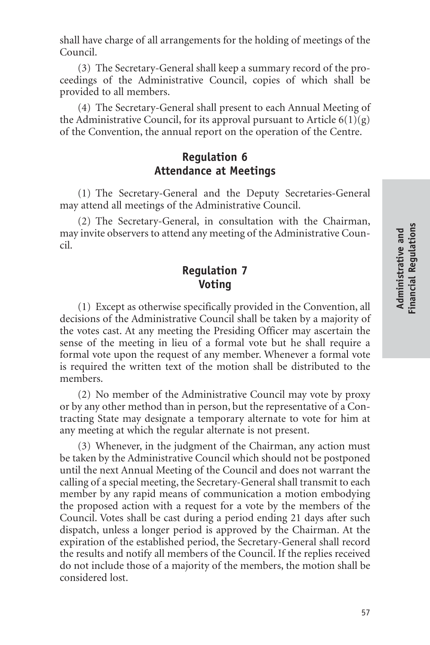shall have charge of all arrangements for the holding of meetings of the Council.

(3) The Secretary-General shall keep a summary record of the proceedings of the Administrative Council, copies of which shall be provided to all members.

(4) The Secretary-General shall present to each Annual Meeting of the Administrative Council, for its approval pursuant to Article  $6(1)(g)$ of the Convention, the annual report on the operation of the Centre.

### **Regulation 6 Attendance at Meetings**

(1) The Secretary-General and the Deputy Secretaries-General may attend all meetings of the Administrative Council.

(2) The Secretary-General, in consultation with the Chairman, may invite observers to attend any meeting of the Administrative Council.

#### **Regulation 7 Voting**

(1) Except as otherwise specifically provided in the Convention, all decisions of the Administrative Council shall be taken by a majority of the votes cast. At any meeting the Presiding Officer may ascertain the sense of the meeting in lieu of a formal vote but he shall require a formal vote upon the request of any member. Whenever a formal vote is required the written text of the motion shall be distributed to the members.

(2) No member of the Administrative Council may vote by proxy or by any other method than in person, but the representative of a Contracting State may designate a temporary alternate to vote for him at any meeting at which the regular alternate is not present.

(3) Whenever, in the judgment of the Chairman, any action must be taken by the Administrative Council which should not be postponed until the next Annual Meeting of the Council and does not warrant the calling of a special meeting, the Secretary-General shall transmit to each member by any rapid means of communication a motion embodying the proposed action with a request for a vote by the members of the Council. Votes shall be cast during a period ending 21 days after such dispatch, unless a longer period is approved by the Chairman. At the expiration of the established period, the Secretary-General shall record the results and notify all members of the Council. If the replies received do not include those of a majority of the members, the motion shall be considered lost.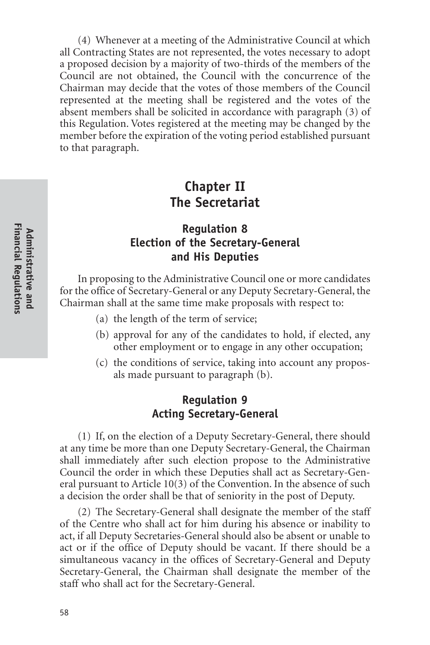(4) Whenever at a meeting of the Administrative Council at which all Contracting States are not represented, the votes necessary to adopt a proposed decision by a majority of two-thirds of the members of the Council are not obtained, the Council with the concurrence of the Chairman may decide that the votes of those members of the Council represented at the meeting shall be registered and the votes of the absent members shall be solicited in accordance with paragraph (3) of this Regulation. Votes registered at the meeting may be changed by the member before the expiration of the voting period established pursuant to that paragraph.

# **Chapter II The Secretariat**

### **Regulation 8 Election of the Secretary-General and His Deputies**

In proposing to the Administrative Council one or more candidates for the office of Secretary-General or any Deputy Secretary-General, the Chairman shall at the same time make proposals with respect to:

- (a) the length of the term of service;
- (b) approval for any of the candidates to hold, if elected, any other employment or to engage in any other occupation;
- (c) the conditions of service, taking into account any proposals made pursuant to paragraph (b).

#### **Regulation 9 Acting Secretary-General**

(1) If, on the election of a Deputy Secretary-General, there should at any time be more than one Deputy Secretary-General, the Chairman shall immediately after such election propose to the Administrative Council the order in which these Deputies shall act as Secretary-General pursuant to Article 10(3) of the Convention. In the absence of such a decision the order shall be that of seniority in the post of Deputy.

(2) The Secretary-General shall designate the member of the staff of the Centre who shall act for him during his absence or inability to act, if all Deputy Secretaries-General should also be absent or unable to act or if the office of Deputy should be vacant. If there should be a simultaneous vacancy in the offices of Secretary-General and Deputy Secretary-General, the Chairman shall designate the member of the staff who shall act for the Secretary-General.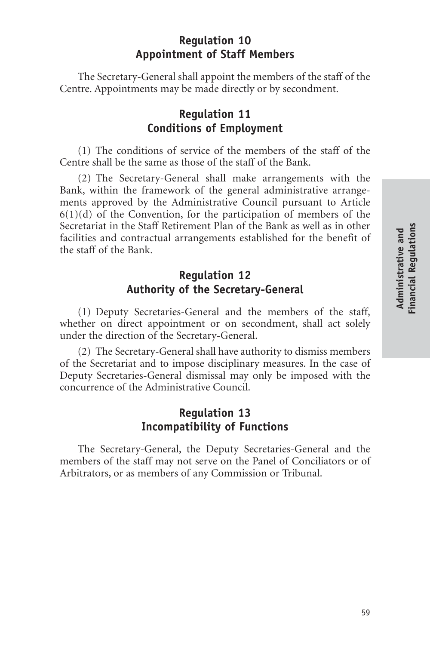### **Regulation 10 Appointment of Staff Members**

The Secretary-General shall appoint the members of the staff of the Centre. Appointments may be made directly or by secondment.

## **Regulation 11 Conditions of Employment**

(1) The conditions of service of the members of the staff of the Centre shall be the same as those of the staff of the Bank.

(2) The Secretary-General shall make arrangements with the Bank, within the framework of the general administrative arrangements approved by the Administrative Council pursuant to Article  $6(1)(d)$  of the Convention, for the participation of members of the Secretariat in the Staff Retirement Plan of the Bank as well as in other facilities and contractual arrangements established for the benefit of the staff of the Bank.

# **Regulation 12 Authority of the Secretary-General**

(1) Deputy Secretaries-General and the members of the staff, whether on direct appointment or on secondment, shall act solely under the direction of the Secretary-General.

(2) The Secretary-General shall have authority to dismiss members of the Secretariat and to impose disciplinary measures. In the case of Deputy Secretaries-General dismissal may only be imposed with the concurrence of the Administrative Council.

# **Regulation 13 Incompatibility of Functions**

The Secretary-General, the Deputy Secretaries-General and the members of the staff may not serve on the Panel of Conciliators or of Arbitrators, or as members of any Commission or Tribunal.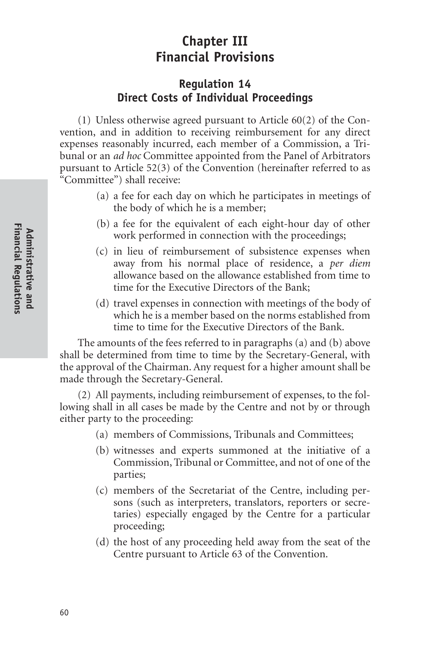# **Chapter III Financial Provisions**

#### **Regulation 14 Direct Costs of Individual Proceedings**

(1) Unless otherwise agreed pursuant to Article 60(2) of the Convention, and in addition to receiving reimbursement for any direct expenses reasonably incurred, each member of a Commission, a Tribunal or an *ad hoc* Committee appointed from the Panel of Arbitrators pursuant to Article 52(3) of the Convention (hereinafter referred to as "Committee") shall receive:

- (a) a fee for each day on which he participates in meetings of the body of which he is a member;
- (b) a fee for the equivalent of each eight-hour day of other work performed in connection with the proceedings;
- (c) in lieu of reimbursement of subsistence expenses when away from his normal place of residence, a *per diem* allowance based on the allowance established from time to time for the Executive Directors of the Bank;
- (d) travel expenses in connection with meetings of the body of which he is a member based on the norms established from time to time for the Executive Directors of the Bank.

The amounts of the fees referred to in paragraphs (a) and (b) above shall be determined from time to time by the Secretary-General, with the approval of the Chairman. Any request for a higher amount shall be made through the Secretary-General.

(2) All payments, including reimbursement of expenses, to the following shall in all cases be made by the Centre and not by or through either party to the proceeding:

- (a) members of Commissions, Tribunals and Committees;
- (b) witnesses and experts summoned at the initiative of a Commission, Tribunal or Committee, and not of one of the parties;
- (c) members of the Secretariat of the Centre, including persons (such as interpreters, translators, reporters or secretaries) especially engaged by the Centre for a particular proceeding;
- (d) the host of any proceeding held away from the seat of the Centre pursuant to Article 63 of the Convention.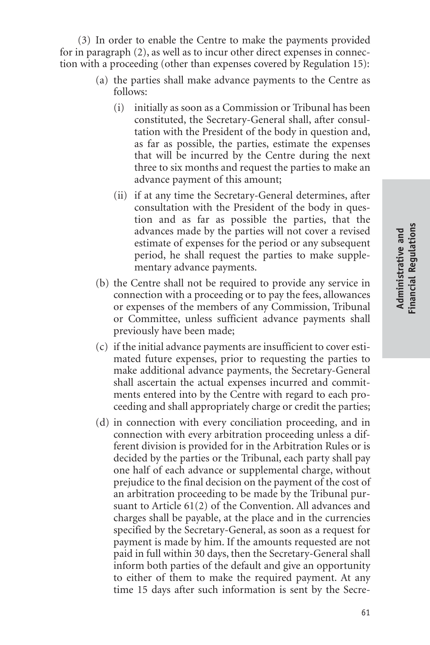(3) In order to enable the Centre to make the payments provided for in paragraph (2), as well as to incur other direct expenses in connection with a proceeding (other than expenses covered by Regulation 15):

- (a) the parties shall make advance payments to the Centre as follows:
	- (i) initially as soon as a Commission or Tribunal has been constituted, the Secretary-General shall, after consultation with the President of the body in question and, as far as possible, the parties, estimate the expenses that will be incurred by the Centre during the next three to six months and request the parties to make an advance payment of this amount;
	- (ii) if at any time the Secretary-General determines, after consultation with the President of the body in question and as far as possible the parties, that the advances made by the parties will not cover a revised estimate of expenses for the period or any subsequent period, he shall request the parties to make supplementary advance payments.
- (b) the Centre shall not be required to provide any service in connection with a proceeding or to pay the fees, allowances or expenses of the members of any Commission, Tribunal or Committee, unless sufficient advance payments shall previously have been made;
- (c) if the initial advance payments are insufficient to cover estimated future expenses, prior to requesting the parties to make additional advance payments, the Secretary-General shall ascertain the actual expenses incurred and commitments entered into by the Centre with regard to each proceeding and shall appropriately charge or credit the parties;
- (d) in connection with every conciliation proceeding, and in connection with every arbitration proceeding unless a different division is provided for in the Arbitration Rules or is decided by the parties or the Tribunal, each party shall pay one half of each advance or supplemental charge, without prejudice to the final decision on the payment of the cost of an arbitration proceeding to be made by the Tribunal pursuant to Article 61(2) of the Convention. All advances and charges shall be payable, at the place and in the currencies specified by the Secretary-General, as soon as a request for payment is made by him. If the amounts requested are not paid in full within 30 days, then the Secretary-General shall inform both parties of the default and give an opportunity to either of them to make the required payment. At any time 15 days after such information is sent by the Secre-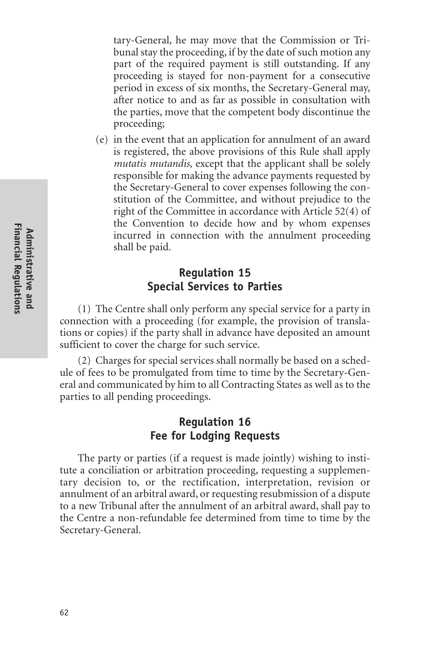tary-General, he may move that the Commission or Tribunal stay the proceeding, if by the date of such motion any part of the required payment is still outstanding. If any proceeding is stayed for non-payment for a consecutive period in excess of six months, the Secretary-General may, after notice to and as far as possible in consultation with the parties, move that the competent body discontinue the proceeding;

(e) in the event that an application for annulment of an award is registered, the above provisions of this Rule shall apply *mutatis mutandis,* except that the applicant shall be solely responsible for making the advance payments requested by the Secretary-General to cover expenses following the constitution of the Committee, and without prejudice to the right of the Committee in accordance with Article 52(4) of the Convention to decide how and by whom expenses incurred in connection with the annulment proceeding shall be paid.

#### **Regulation 15 Special Services to Parties**

(1) The Centre shall only perform any special service for a party in connection with a proceeding (for example, the provision of translations or copies) if the party shall in advance have deposited an amount sufficient to cover the charge for such service.

(2) Charges for special services shall normally be based on a schedule of fees to be promulgated from time to time by the Secretary-General and communicated by him to all Contracting States as well as to the parties to all pending proceedings.

#### **Regulation 16 Fee for Lodging Requests**

The party or parties (if a request is made jointly) wishing to institute a conciliation or arbitration proceeding, requesting a supplementary decision to, or the rectification, interpretation, revision or annulment of an arbitral award, or requesting resubmission of a dispute to a new Tribunal after the annulment of an arbitral award, shall pay to the Centre a non-refundable fee determined from time to time by the Secretary-General.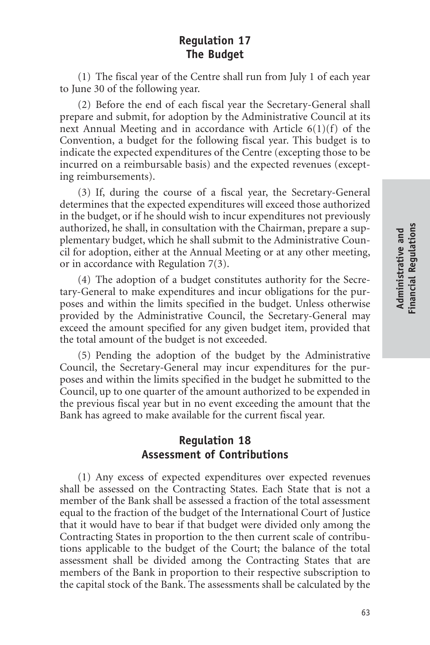#### **Regulation 17 The Budget**

(1) The fiscal year of the Centre shall run from July 1 of each year to June 30 of the following year.

(2) Before the end of each fiscal year the Secretary-General shall prepare and submit, for adoption by the Administrative Council at its next Annual Meeting and in accordance with Article  $6(1)(f)$  of the Convention, a budget for the following fiscal year. This budget is to indicate the expected expenditures of the Centre (excepting those to be incurred on a reimbursable basis) and the expected revenues (excepting reimbursements).

(3) If, during the course of a fiscal year, the Secretary-General determines that the expected expenditures will exceed those authorized in the budget, or if he should wish to incur expenditures not previously authorized, he shall, in consultation with the Chairman, prepare a supplementary budget, which he shall submit to the Administrative Council for adoption, either at the Annual Meeting or at any other meeting, or in accordance with Regulation 7(3).

(4) The adoption of a budget constitutes authority for the Secretary-General to make expenditures and incur obligations for the purposes and within the limits specified in the budget. Unless otherwise provided by the Administrative Council, the Secretary-General may exceed the amount specified for any given budget item, provided that the total amount of the budget is not exceeded.

(5) Pending the adoption of the budget by the Administrative Council, the Secretary-General may incur expenditures for the purposes and within the limits specified in the budget he submitted to the Council, up to one quarter of the amount authorized to be expended in the previous fiscal year but in no event exceeding the amount that the Bank has agreed to make available for the current fiscal year.

### **Regulation 18 Assessment of Contributions**

(1) Any excess of expected expenditures over expected revenues shall be assessed on the Contracting States. Each State that is not a member of the Bank shall be assessed a fraction of the total assessment equal to the fraction of the budget of the International Court of Justice that it would have to bear if that budget were divided only among the Contracting States in proportion to the then current scale of contributions applicable to the budget of the Court; the balance of the total assessment shall be divided among the Contracting States that are members of the Bank in proportion to their respective subscription to the capital stock of the Bank. The assessments shall be calculated by the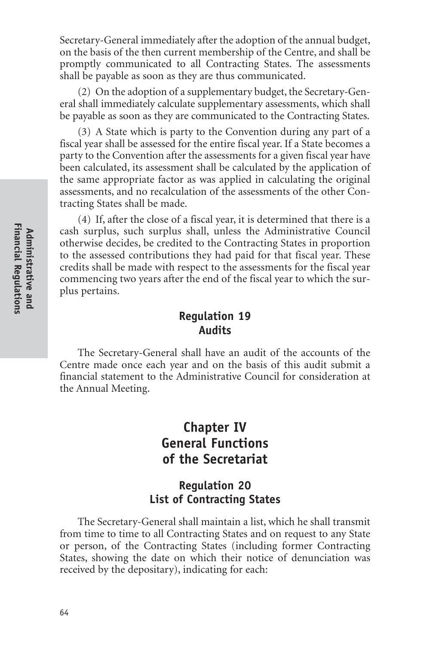Secretary-General immediately after the adoption of the annual budget, on the basis of the then current membership of the Centre, and shall be promptly communicated to all Contracting States. The assessments shall be payable as soon as they are thus communicated.

(2) On the adoption of a supplementary budget, the Secretary-General shall immediately calculate supplementary assessments, which shall be payable as soon as they are communicated to the Contracting States.

(3) A State which is party to the Convention during any part of a fiscal year shall be assessed for the entire fiscal year. If a State becomes a party to the Convention after the assessments for a given fiscal year have been calculated, its assessment shall be calculated by the application of the same appropriate factor as was applied in calculating the original assessments, and no recalculation of the assessments of the other Contracting States shall be made.

(4) If, after the close of a fiscal year, it is determined that there is a cash surplus, such surplus shall, unless the Administrative Council otherwise decides, be credited to the Contracting States in proportion to the assessed contributions they had paid for that fiscal year. These credits shall be made with respect to the assessments for the fiscal year commencing two years after the end of the fiscal year to which the surplus pertains.

### **Regulation 19 Audits**

The Secretary-General shall have an audit of the accounts of the Centre made once each year and on the basis of this audit submit a financial statement to the Administrative Council for consideration at the Annual Meeting.

# **Chapter IV General Functions of the Secretariat**

#### **Regulation 20 List of Contracting States**

The Secretary-General shall maintain a list, which he shall transmit from time to time to all Contracting States and on request to any State or person, of the Contracting States (including former Contracting States, showing the date on which their notice of denunciation was received by the depositary), indicating for each: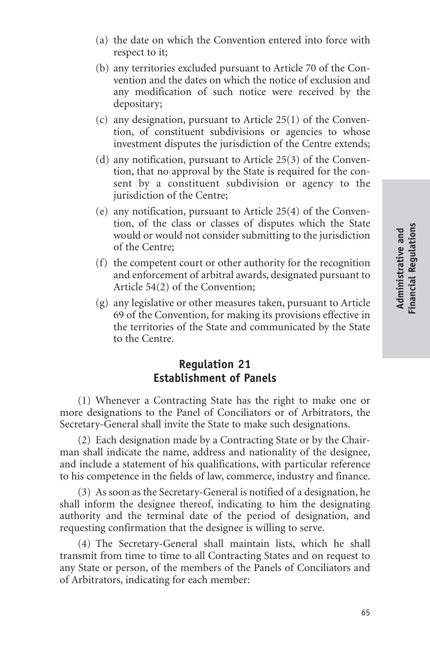- (a) the date on which the Convention entered into force with respect to it;
- (b) any territories excluded pursuant to Article 70 of the Convention and the dates on which the notice of exclusion and any modification of such notice were received by the depositary;
- (c) any designation, pursuant to Article 25(1) of the Convention, of constituent subdivisions or agencies to whose investment disputes the jurisdiction of the Centre extends;
- (d) any notification, pursuant to Article 25(3) of the Convention, that no approval by the State is required for the consent by a constituent subdivision or agency to the jurisdiction of the Centre;
- (e) any notification, pursuant to Article 25(4) of the Convention, of the class or classes of disputes which the State would or would not consider submitting to the jurisdiction of the Centre;
- (f) the competent court or other authority for the recognition and enforcement of arbitral awards, designated pursuant to Article 54(2) of the Convention;
- (g) any legislative or other measures taken, pursuant to Article 69 of the Convention, for making its provisions effective in the territories of the State and communicated by the State to the Centre.

### **Regulation 21 Establishment of Panels**

(1) Whenever a Contracting State has the right to make one or more designations to the Panel of Conciliators or of Arbitrators, the Secretary-General shall invite the State to make such designations.

(2) Each designation made by a Contracting State or by the Chairman shall indicate the name, address and nationality of the designee, and include a statement of his qualifications, with particular reference to his competence in the fields of law, commerce, industry and finance.

(3) As soon as the Secretary-General is notified of a designation, he shall inform the designee thereof, indicating to him the designating authority and the terminal date of the period of designation, and requesting confirmation that the designee is willing to serve.

(4) The Secretary-General shall maintain lists, which he shall transmit from time to time to all Contracting States and on request to any State or person, of the members of the Panels of Conciliators and of Arbitrators, indicating for each member: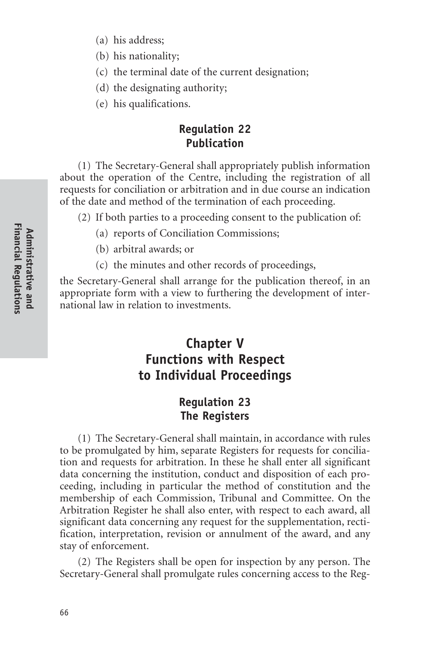- (a) his address;
- (b) his nationality;
- (c) the terminal date of the current designation;
- (d) the designating authority;
- (e) his qualifications.

### **Regulation 22 Publication**

(1) The Secretary-General shall appropriately publish information about the operation of the Centre, including the registration of all requests for conciliation or arbitration and in due course an indication of the date and method of the termination of each proceeding.

(2) If both parties to a proceeding consent to the publication of:

- (a) reports of Conciliation Commissions;
- (b) arbitral awards; or
- (c) the minutes and other records of proceedings,

the Secretary-General shall arrange for the publication thereof, in an appropriate form with a view to furthering the development of international law in relation to investments.

# **Chapter V Functions with Respect to Individual Proceedings**

#### **Regulation 23 The Registers**

(1) The Secretary-General shall maintain, in accordance with rules to be promulgated by him, separate Registers for requests for conciliation and requests for arbitration. In these he shall enter all significant data concerning the institution, conduct and disposition of each proceeding, including in particular the method of constitution and the membership of each Commission, Tribunal and Committee. On the Arbitration Register he shall also enter, with respect to each award, all significant data concerning any request for the supplementation, rectification, interpretation, revision or annulment of the award, and any stay of enforcement.

(2) The Registers shall be open for inspection by any person. The Secretary-General shall promulgate rules concerning access to the Reg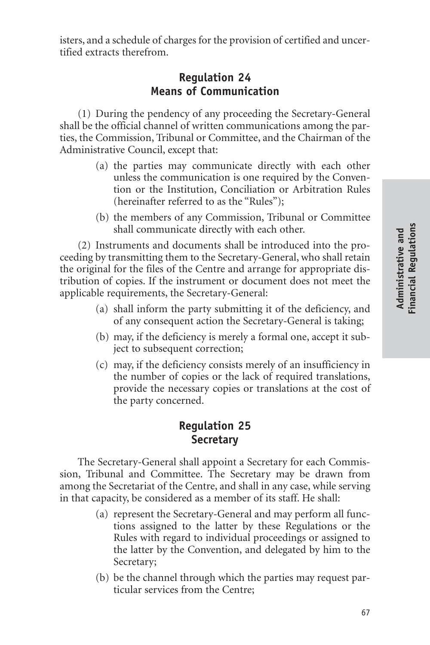isters, and a schedule of charges for the provision of certified and uncertified extracts therefrom.

### **Regulation 24 Means of Communication**

(1) During the pendency of any proceeding the Secretary-General shall be the official channel of written communications among the parties, the Commission, Tribunal or Committee, and the Chairman of the Administrative Council, except that:

- (a) the parties may communicate directly with each other unless the communication is one required by the Convention or the Institution, Conciliation or Arbitration Rules (hereinafter referred to as the "Rules");
- (b) the members of any Commission, Tribunal or Committee shall communicate directly with each other.

(2) Instruments and documents shall be introduced into the proceeding by transmitting them to the Secretary-General, who shall retain the original for the files of the Centre and arrange for appropriate distribution of copies. If the instrument or document does not meet the applicable requirements, the Secretary-General:

- (a) shall inform the party submitting it of the deficiency, and of any consequent action the Secretary-General is taking;
- (b) may, if the deficiency is merely a formal one, accept it subject to subsequent correction;
- (c) may, if the deficiency consists merely of an insufficiency in the number of copies or the lack of required translations, provide the necessary copies or translations at the cost of the party concerned.

### **Regulation 25 Secretary**

The Secretary-General shall appoint a Secretary for each Commission, Tribunal and Committee. The Secretary may be drawn from among the Secretariat of the Centre, and shall in any case, while serving in that capacity, be considered as a member of its staff. He shall:

- (a) represent the Secretary-General and may perform all functions assigned to the latter by these Regulations or the Rules with regard to individual proceedings or assigned to the latter by the Convention, and delegated by him to the Secretary;
- (b) be the channel through which the parties may request particular services from the Centre;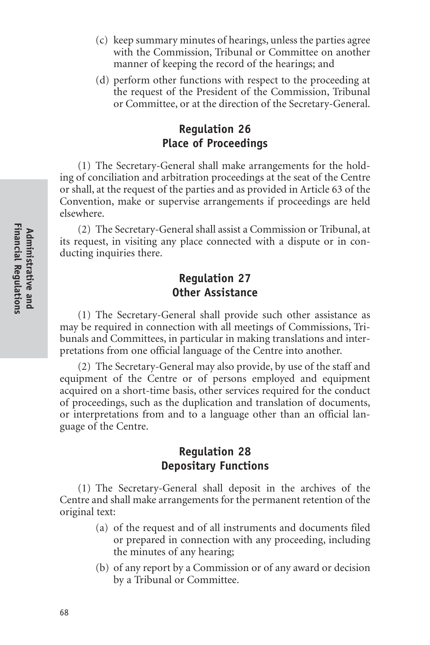- (c) keep summary minutes of hearings, unless the parties agree with the Commission, Tribunal or Committee on another manner of keeping the record of the hearings; and
- (d) perform other functions with respect to the proceeding at the request of the President of the Commission, Tribunal or Committee, or at the direction of the Secretary-General.

## **Regulation 26 Place of Proceedings**

(1) The Secretary-General shall make arrangements for the holding of conciliation and arbitration proceedings at the seat of the Centre or shall, at the request of the parties and as provided in Article 63 of the Convention, make or supervise arrangements if proceedings are held elsewhere.

(2) The Secretary-General shall assist a Commission or Tribunal, at its request, in visiting any place connected with a dispute or in conducting inquiries there.

## **Regulation 27 Other Assistance**

(1) The Secretary-General shall provide such other assistance as may be required in connection with all meetings of Commissions, Tribunals and Committees, in particular in making translations and interpretations from one official language of the Centre into another.

(2) The Secretary-General may also provide, by use of the staff and equipment of the Centre or of persons employed and equipment acquired on a short-time basis, other services required for the conduct of proceedings, such as the duplication and translation of documents, or interpretations from and to a language other than an official language of the Centre.

#### **Regulation 28 Depositary Functions**

(1) The Secretary-General shall deposit in the archives of the Centre and shall make arrangements for the permanent retention of the original text:

- (a) of the request and of all instruments and documents filed or prepared in connection with any proceeding, including the minutes of any hearing;
- (b) of any report by a Commission or of any award or decision by a Tribunal or Committee.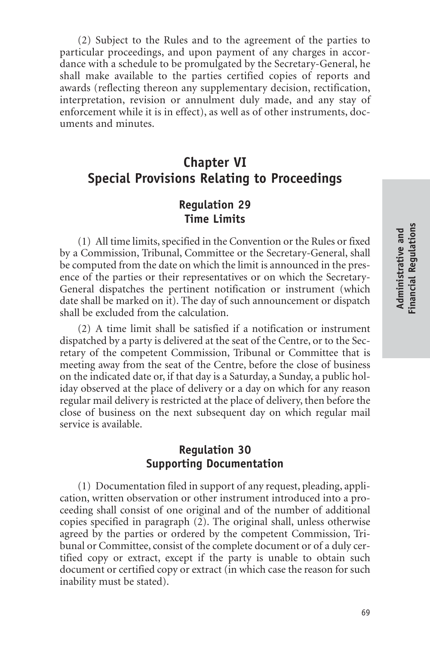(2) Subject to the Rules and to the agreement of the parties to particular proceedings, and upon payment of any charges in accordance with a schedule to be promulgated by the Secretary-General, he shall make available to the parties certified copies of reports and awards (reflecting thereon any supplementary decision, rectification, interpretation, revision or annulment duly made, and any stay of enforcement while it is in effect), as well as of other instruments, documents and minutes.

# **Chapter VI Special Provisions Relating to Proceedings**

#### **Regulation 29 Time Limits**

(1) All time limits, specified in the Convention or the Rules or fixed by a Commission, Tribunal, Committee or the Secretary-General, shall be computed from the date on which the limit is announced in the presence of the parties or their representatives or on which the Secretary-General dispatches the pertinent notification or instrument (which date shall be marked on it). The day of such announcement or dispatch shall be excluded from the calculation.

(2) A time limit shall be satisfied if a notification or instrument dispatched by a party is delivered at the seat of the Centre, or to the Secretary of the competent Commission, Tribunal or Committee that is meeting away from the seat of the Centre, before the close of business on the indicated date or, if that day is a Saturday, a Sunday, a public holiday observed at the place of delivery or a day on which for any reason regular mail delivery is restricted at the place of delivery, then before the close of business on the next subsequent day on which regular mail service is available.

#### **Regulation 30 Supporting Documentation**

(1) Documentation filed in support of any request, pleading, application, written observation or other instrument introduced into a proceeding shall consist of one original and of the number of additional copies specified in paragraph (2). The original shall, unless otherwise agreed by the parties or ordered by the competent Commission, Tribunal or Committee, consist of the complete document or of a duly certified copy or extract, except if the party is unable to obtain such document or certified copy or extract (in which case the reason for such inability must be stated).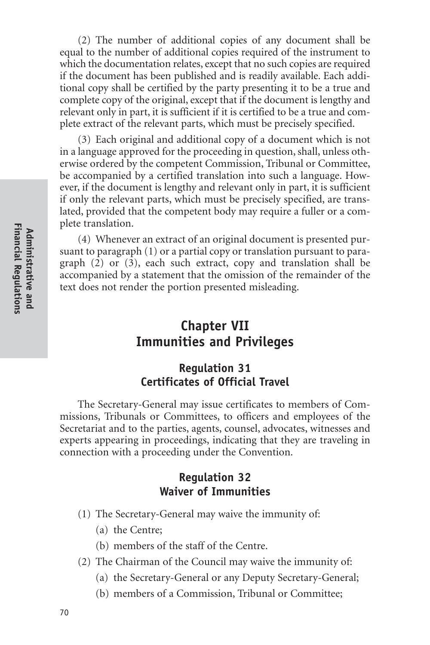(2) The number of additional copies of any document shall be equal to the number of additional copies required of the instrument to which the documentation relates, except that no such copies are required if the document has been published and is readily available. Each additional copy shall be certified by the party presenting it to be a true and complete copy of the original, except that if the document is lengthy and relevant only in part, it is sufficient if it is certified to be a true and complete extract of the relevant parts, which must be precisely specified.

(3) Each original and additional copy of a document which is not in a language approved for the proceeding in question, shall, unless otherwise ordered by the competent Commission, Tribunal or Committee, be accompanied by a certified translation into such a language. However, if the document is lengthy and relevant only in part, it is sufficient if only the relevant parts, which must be precisely specified, are translated, provided that the competent body may require a fuller or a complete translation.

(4) Whenever an extract of an original document is presented pursuant to paragraph (1) or a partial copy or translation pursuant to paragraph (2) or (3), each such extract, copy and translation shall be accompanied by a statement that the omission of the remainder of the text does not render the portion presented misleading.

# **Chapter VII Immunities and Privileges**

#### **Regulation 31 Certificates of Official Travel**

The Secretary-General may issue certificates to members of Commissions, Tribunals or Committees, to officers and employees of the Secretariat and to the parties, agents, counsel, advocates, witnesses and experts appearing in proceedings, indicating that they are traveling in connection with a proceeding under the Convention.

#### **Regulation 32 Waiver of Immunities**

- (1) The Secretary-General may waive the immunity of:
	- (a) the Centre;
	- (b) members of the staff of the Centre.
- (2) The Chairman of the Council may waive the immunity of:
	- (a) the Secretary-General or any Deputy Secretary-General;
	- (b) members of a Commission, Tribunal or Committee;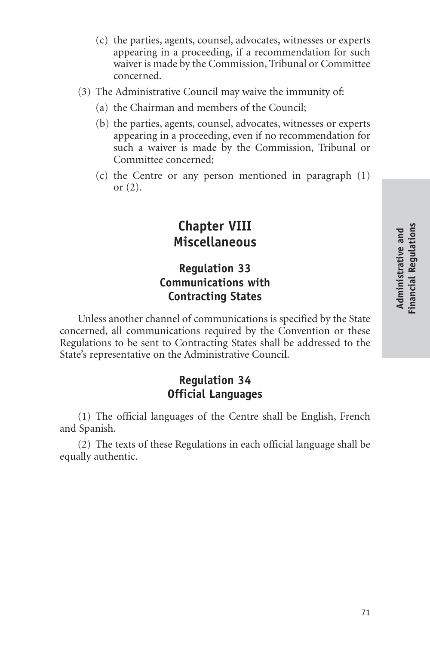- (c) the parties, agents, counsel, advocates, witnesses or experts appearing in a proceeding, if a recommendation for such waiver is made by the Commission, Tribunal or Committee concerned.
- (3) The Administrative Council may waive the immunity of:
	- (a) the Chairman and members of the Council;
	- (b) the parties, agents, counsel, advocates, witnesses or experts appearing in a proceeding, even if no recommendation for such a waiver is made by the Commission, Tribunal or Committee concerned;
	- (c) the Centre or any person mentioned in paragraph (1) or (2).

# **Chapter VIII Miscellaneous**

## **Regulation 33 Communications with Contracting States**

Unless another channel of communications is specified by the State concerned, all communications required by the Convention or these Regulations to be sent to Contracting States shall be addressed to the State's representative on the Administrative Council.

# **Regulation 34 Official Languages**

(1) The official languages of the Centre shall be English, French and Spanish.

(2) The texts of these Regulations in each official language shall be equally authentic.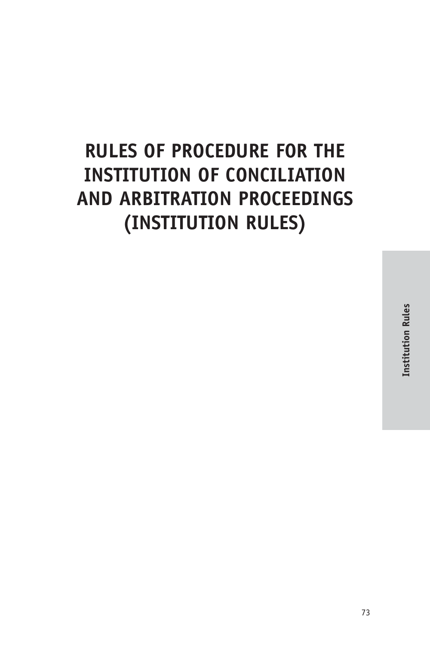# **RULES OF PROCEDURE FOR THE INSTITUTION OF CONCILIATION AND ARBITRATION PROCEEDINGS (INSTITUTION RULES)**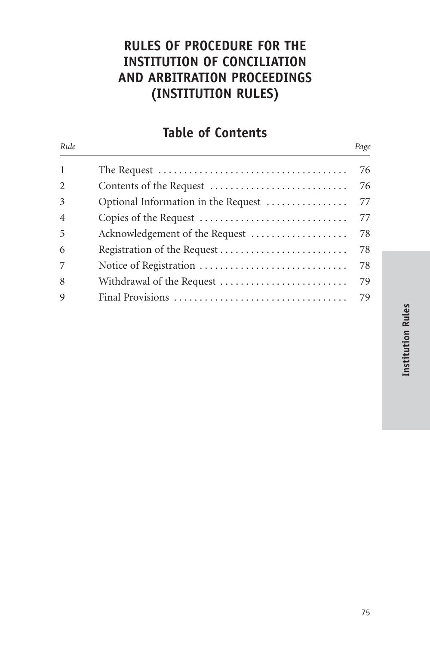# **RULES OF PROCEDURE FOR THE INSTITUTION OF CONCILIATION AND ARBITRATION PROCEEDINGS (INSTITUTION RULES)**

# **Table of Contents** *Rule Page*

| $\mathbf{1}$   | The Request $\dots\dots\dots\dots\dots\dots\dots\dots\dots\dots\dots\dots\dots\dots$ | 76 |
|----------------|--------------------------------------------------------------------------------------|----|
| 2              |                                                                                      | 76 |
| $\mathfrak{Z}$ | Optional Information in the Request                                                  | 77 |
| $\overline{4}$ |                                                                                      | 77 |
| 5              | Acknowledgement of the Request                                                       | 78 |
| 6              |                                                                                      | 78 |
| 7              |                                                                                      | 78 |
| 8              |                                                                                      | 79 |
| 9              |                                                                                      | 79 |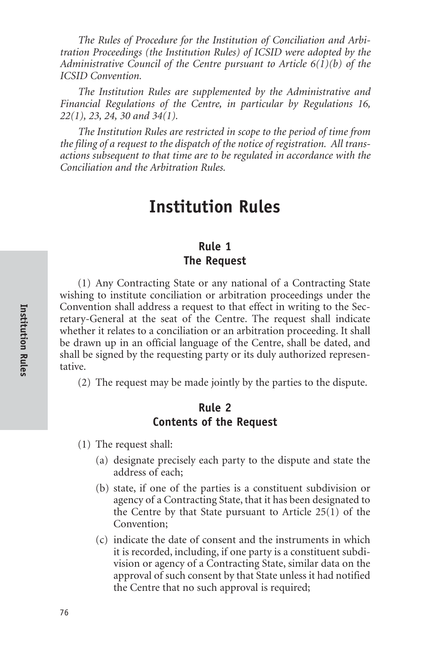*The Rules of Procedure for the Institution of Conciliation and Arbitration Proceedings (the Institution Rules) of ICSID were adopted by the Administrative Council of the Centre pursuant to Article 6(1)(b) of the ICSID Convention.*

*The Institution Rules are supplemented by the Administrative and Financial Regulations of the Centre, in particular by Regulations 16, 22(1), 23, 24, 30 and 34(1).*

*The Institution Rules are restricted in scope to the period of time from the filing of a request to the dispatch of the notice of registration. All transactions subsequent to that time are to be regulated in accordance with the Conciliation and the Arbitration Rules.*

# **Institution Rules**

#### **Rule 1 The Request**

(1) Any Contracting State or any national of a Contracting State wishing to institute conciliation or arbitration proceedings under the Convention shall address a request to that effect in writing to the Secretary-General at the seat of the Centre. The request shall indicate whether it relates to a conciliation or an arbitration proceeding. It shall be drawn up in an official language of the Centre, shall be dated, and shall be signed by the requesting party or its duly authorized representative.

(2) The request may be made jointly by the parties to the dispute.

#### **Rule 2 Contents of the Request**

(1) The request shall:

- (a) designate precisely each party to the dispute and state the address of each;
- (b) state, if one of the parties is a constituent subdivision or agency of a Contracting State, that it has been designated to the Centre by that State pursuant to Article 25(1) of the Convention;
- (c) indicate the date of consent and the instruments in which it is recorded, including, if one party is a constituent subdivision or agency of a Contracting State, similar data on the approval of such consent by that State unless it had notified the Centre that no such approval is required;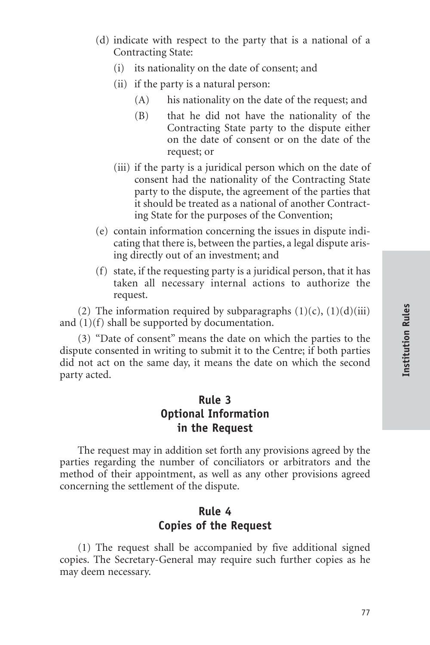- (d) indicate with respect to the party that is a national of a Contracting State:
	- (i) its nationality on the date of consent; and
	- (ii) if the party is a natural person:
		- (A) his nationality on the date of the request; and
		- (B) that he did not have the nationality of the Contracting State party to the dispute either on the date of consent or on the date of the request; or
	- (iii) if the party is a juridical person which on the date of consent had the nationality of the Contracting State party to the dispute, the agreement of the parties that it should be treated as a national of another Contracting State for the purposes of the Convention;
- (e) contain information concerning the issues in dispute indicating that there is, between the parties, a legal dispute arising directly out of an investment; and
- (f) state, if the requesting party is a juridical person, that it has taken all necessary internal actions to authorize the request.

(2) The information required by subparagraphs  $(1)(c)$ ,  $(1)(d)(iii)$ and  $(1)(f)$  shall be supported by documentation.

(3) "Date of consent" means the date on which the parties to the dispute consented in writing to submit it to the Centre; if both parties did not act on the same day, it means the date on which the second party acted.

## **Rule 3 Optional Information in the Request**

The request may in addition set forth any provisions agreed by the parties regarding the number of conciliators or arbitrators and the method of their appointment, as well as any other provisions agreed concerning the settlement of the dispute.

## **Rule 4 Copies of the Request**

(1) The request shall be accompanied by five additional signed copies. The Secretary-General may require such further copies as he may deem necessary.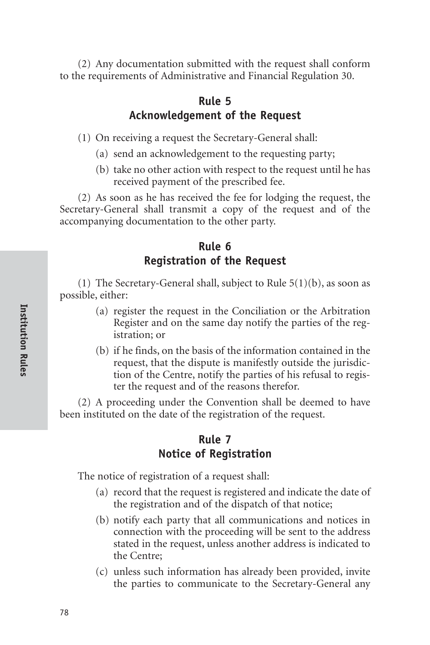(2) Any documentation submitted with the request shall conform to the requirements of Administrative and Financial Regulation 30.

## **Rule 5 Acknowledgement of the Request**

(1) On receiving a request the Secretary-General shall:

- (a) send an acknowledgement to the requesting party;
- (b) take no other action with respect to the request until he has received payment of the prescribed fee.

(2) As soon as he has received the fee for lodging the request, the Secretary-General shall transmit a copy of the request and of the accompanying documentation to the other party.

# **Rule 6 Registration of the Request**

(1) The Secretary-General shall, subject to Rule  $5(1)(b)$ , as soon as possible, either:

- (a) register the request in the Conciliation or the Arbitration Register and on the same day notify the parties of the registration; or
- (b) if he finds, on the basis of the information contained in the request, that the dispute is manifestly outside the jurisdiction of the Centre, notify the parties of his refusal to register the request and of the reasons therefor.

(2) A proceeding under the Convention shall be deemed to have been instituted on the date of the registration of the request.

# **Rule 7 Notice of Registration**

The notice of registration of a request shall:

- (a) record that the request is registered and indicate the date of the registration and of the dispatch of that notice;
- (b) notify each party that all communications and notices in connection with the proceeding will be sent to the address stated in the request, unless another address is indicated to the Centre;
- (c) unless such information has already been provided, invite the parties to communicate to the Secretary-General any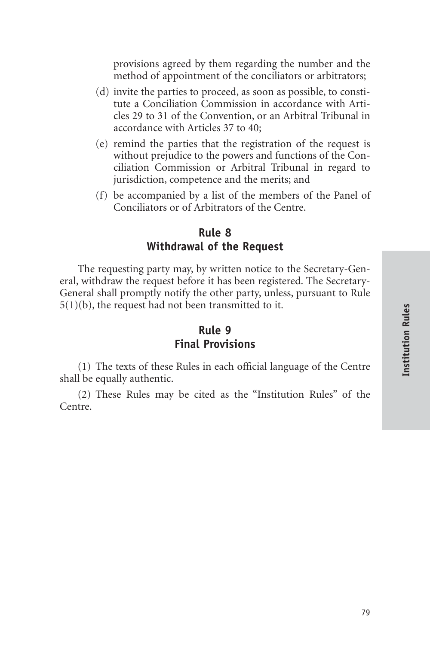provisions agreed by them regarding the number and the method of appointment of the conciliators or arbitrators;

- (d) invite the parties to proceed, as soon as possible, to constitute a Conciliation Commission in accordance with Articles 29 to 31 of the Convention, or an Arbitral Tribunal in accordance with Articles 37 to 40;
- (e) remind the parties that the registration of the request is without prejudice to the powers and functions of the Conciliation Commission or Arbitral Tribunal in regard to jurisdiction, competence and the merits; and
- (f) be accompanied by a list of the members of the Panel of Conciliators or of Arbitrators of the Centre.

#### **Rule 8 Withdrawal of the Request**

The requesting party may, by written notice to the Secretary-General, withdraw the request before it has been registered. The Secretary-General shall promptly notify the other party, unless, pursuant to Rule  $5(1)(b)$ , the request had not been transmitted to it.

#### **Rule 9 Final Provisions**

(1) The texts of these Rules in each official language of the Centre shall be equally authentic.

(2) These Rules may be cited as the "Institution Rules" of the Centre.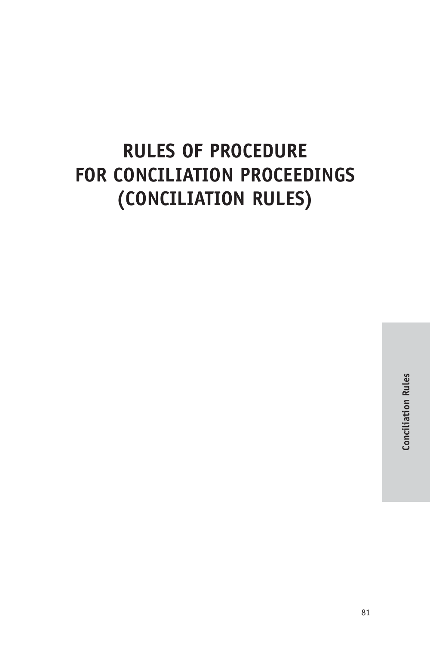# **RULES OF PROCEDURE FOR CONCILIATION PROCEEDINGS (CONCILIATION RULES)**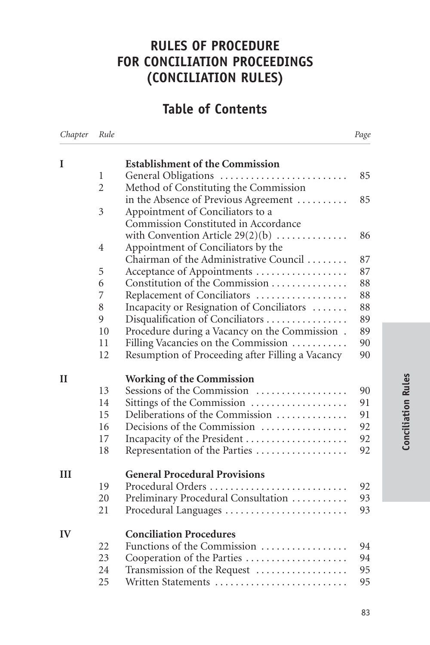# **RULES OF PROCEDURE FOR CONCILIATION PROCEEDINGS (CONCILIATION RULES)**

# **Table of Contents**

| Chapter      | Rule           |                                                  | Page |
|--------------|----------------|--------------------------------------------------|------|
| I            |                | <b>Establishment of the Commission</b>           |      |
|              | $\mathbf{1}$   | General Obligations                              | 85   |
|              | $\overline{2}$ | Method of Constituting the Commission            |      |
|              |                | in the Absence of Previous Agreement             | 85   |
|              | 3              | Appointment of Conciliators to a                 |      |
|              |                | Commission Constituted in Accordance             |      |
|              |                | with Convention Article $29(2)(b)$               | 86   |
|              | 4              | Appointment of Conciliators by the               |      |
|              |                | Chairman of the Administrative Council           | 87   |
|              | 5              | Acceptance of Appointments                       | 87   |
|              | 6              | Constitution of the Commission                   | 88   |
|              | 7              | Replacement of Conciliators                      | 88   |
|              | 8              | Incapacity or Resignation of Conciliators        | 88   |
|              | 9              | Disqualification of Conciliators                 | 89   |
|              | 10             | Procedure during a Vacancy on the Commission.    | 89   |
|              | 11             | Filling Vacancies on the Commission              | 90   |
|              | 12             | Resumption of Proceeding after Filling a Vacancy | 90   |
| $\mathbf{I}$ |                | <b>Working of the Commission</b>                 |      |
|              | 13             | Sessions of the Commission                       | 90   |
|              | 14             | Sittings of the Commission                       | 91   |
|              | 15             | Deliberations of the Commission                  | 91   |
|              | 16             | Decisions of the Commission                      | 92   |
|              | 17             | Incapacity of the President                      | 92   |
|              | 18             | Representation of the Parties                    | 92   |
| III          |                | <b>General Procedural Provisions</b>             |      |
|              | 19             | Procedural Orders                                | 92   |
|              | 20             | Preliminary Procedural Consultation              | 93   |
|              | 21             | Procedural Languages                             | 93   |
| IV           |                | <b>Conciliation Procedures</b>                   |      |
|              | 22             | Functions of the Commission                      | 94   |
|              | 23             | Cooperation of the Parties                       | 94   |
|              | 24             | Transmission of the Request                      | 95   |
|              | 25             | Written Statements                               | 95   |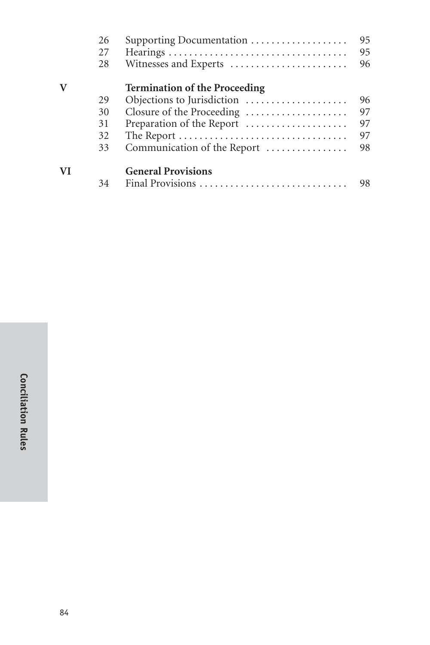|    | 26<br>27<br>28 | Supporting Documentation<br>Witnesses and Experts | 95<br>95<br>96 |
|----|----------------|---------------------------------------------------|----------------|
| V  |                | <b>Termination of the Proceeding</b>              |                |
|    | 29             | Objections to Jurisdiction                        | 96             |
|    | 30             | Closure of the Proceeding                         | 97             |
|    | 31             | Preparation of the Report                         | 97             |
|    | 32             |                                                   | 97             |
|    | 33             | Communication of the Report                       | 98             |
| VI | 34             | <b>General Provisions</b><br>Final Provisions     | 98             |
|    |                |                                                   |                |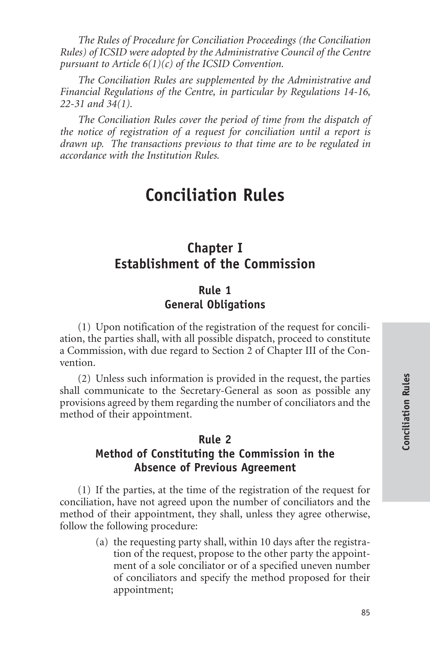*The Rules of Procedure for Conciliation Proceedings (the Conciliation Rules) of ICSID were adopted by the Administrative Council of the Centre pursuant to Article 6(1)(c) of the ICSID Convention.*

*The Conciliation Rules are supplemented by the Administrative and Financial Regulations of the Centre, in particular by Regulations 14-16, 22-31 and 34(1).*

*The Conciliation Rules cover the period of time from the dispatch of the notice of registration of a request for conciliation until a report is drawn up. The transactions previous to that time are to be regulated in accordance with the Institution Rules.*

# **Conciliation Rules**

# **Chapter I Establishment of the Commission**

# **Rule 1 General Obligations**

(1) Upon notification of the registration of the request for conciliation, the parties shall, with all possible dispatch, proceed to constitute a Commission, with due regard to Section 2 of Chapter III of the Convention.

(2) Unless such information is provided in the request, the parties shall communicate to the Secretary-General as soon as possible any provisions agreed by them regarding the number of conciliators and the method of their appointment.

## **Rule 2 Method of Constituting the Commission in the Absence of Previous Agreement**

(1) If the parties, at the time of the registration of the request for conciliation, have not agreed upon the number of conciliators and the method of their appointment, they shall, unless they agree otherwise, follow the following procedure:

> (a) the requesting party shall, within 10 days after the registration of the request, propose to the other party the appointment of a sole conciliator or of a specified uneven number of conciliators and specify the method proposed for their appointment;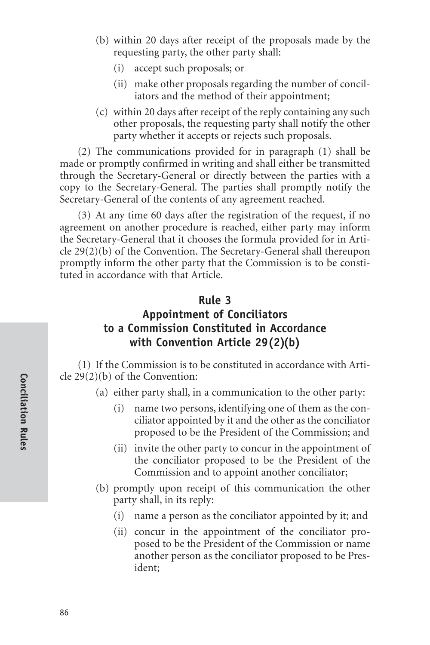- (b) within 20 days after receipt of the proposals made by the requesting party, the other party shall:
	- (i) accept such proposals; or
	- (ii) make other proposals regarding the number of conciliators and the method of their appointment;
- (c) within 20 days after receipt of the reply containing any such other proposals, the requesting party shall notify the other party whether it accepts or rejects such proposals.

(2) The communications provided for in paragraph (1) shall be made or promptly confirmed in writing and shall either be transmitted through the Secretary-General or directly between the parties with a copy to the Secretary-General. The parties shall promptly notify the Secretary-General of the contents of any agreement reached.

(3) At any time 60 days after the registration of the request, if no agreement on another procedure is reached, either party may inform the Secretary-General that it chooses the formula provided for in Article 29(2)(b) of the Convention. The Secretary-General shall thereupon promptly inform the other party that the Commission is to be constituted in accordance with that Article.

#### **Rule 3**

# **Appointment of Conciliators to a Commission Constituted in Accordance with Convention Article 29(2)(b)**

(1) If the Commission is to be constituted in accordance with Article 29(2)(b) of the Convention:

- (a) either party shall, in a communication to the other party:
	- (i) name two persons, identifying one of them as the conciliator appointed by it and the other as the conciliator proposed to be the President of the Commission; and
	- (ii) invite the other party to concur in the appointment of the conciliator proposed to be the President of the Commission and to appoint another conciliator;
- (b) promptly upon receipt of this communication the other party shall, in its reply:
	- (i) name a person as the conciliator appointed by it; and
	- (ii) concur in the appointment of the conciliator proposed to be the President of the Commission or name another person as the conciliator proposed to be President;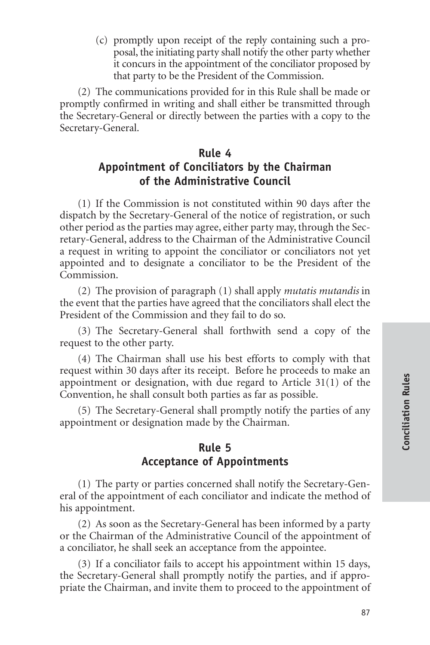(c) promptly upon receipt of the reply containing such a proposal, the initiating party shall notify the other party whether it concurs in the appointment of the conciliator proposed by that party to be the President of the Commission.

(2) The communications provided for in this Rule shall be made or promptly confirmed in writing and shall either be transmitted through the Secretary-General or directly between the parties with a copy to the Secretary-General.

## **Rule 4**

# **Appointment of Conciliators by the Chairman of the Administrative Council**

(1) If the Commission is not constituted within 90 days after the dispatch by the Secretary-General of the notice of registration, or such other period as the parties may agree, either party may, through the Secretary-General, address to the Chairman of the Administrative Council a request in writing to appoint the conciliator or conciliators not yet appointed and to designate a conciliator to be the President of the Commission.

(2) The provision of paragraph (1) shall apply *mutatis mutandis* in the event that the parties have agreed that the conciliators shall elect the President of the Commission and they fail to do so.

(3) The Secretary-General shall forthwith send a copy of the request to the other party.

(4) The Chairman shall use his best efforts to comply with that request within 30 days after its receipt. Before he proceeds to make an appointment or designation, with due regard to Article 31(1) of the Convention, he shall consult both parties as far as possible.

(5) The Secretary-General shall promptly notify the parties of any appointment or designation made by the Chairman.

#### **Rule 5 Acceptance of Appointments**

(1) The party or parties concerned shall notify the Secretary-General of the appointment of each conciliator and indicate the method of his appointment.

(2) As soon as the Secretary-General has been informed by a party or the Chairman of the Administrative Council of the appointment of a conciliator, he shall seek an acceptance from the appointee.

(3) If a conciliator fails to accept his appointment within 15 days, the Secretary-General shall promptly notify the parties, and if appropriate the Chairman, and invite them to proceed to the appointment of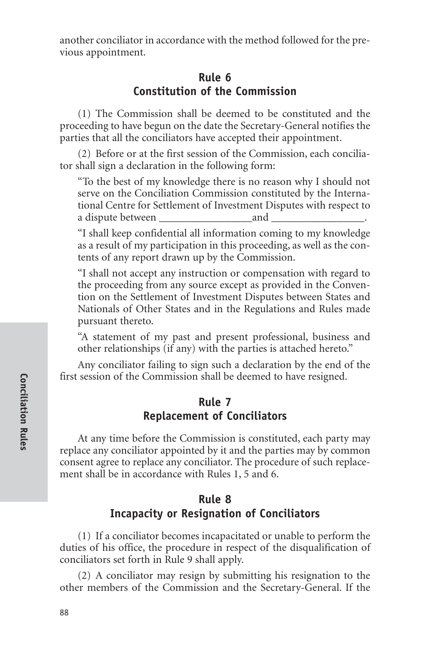another conciliator in accordance with the method followed for the previous appointment.

## **Rule 6 Constitution of the Commission**

(1) The Commission shall be deemed to be constituted and the proceeding to have begun on the date the Secretary-General notifies the parties that all the conciliators have accepted their appointment.

(2) Before or at the first session of the Commission, each conciliator shall sign a declaration in the following form:

"To the best of my knowledge there is no reason why I should not serve on the Conciliation Commission constituted by the International Centre for Settlement of Investment Disputes with respect to a dispute between \_\_\_\_\_\_\_\_\_\_\_\_\_\_\_\_\_and \_\_\_\_\_\_\_\_\_\_\_\_\_\_\_\_\_.

"I shall keep confidential all information coming to my knowledge as a result of my participation in this proceeding, as well as the contents of any report drawn up by the Commission.

"I shall not accept any instruction or compensation with regard to the proceeding from any source except as provided in the Convention on the Settlement of Investment Disputes between States and Nationals of Other States and in the Regulations and Rules made pursuant thereto.

"A statement of my past and present professional, business and other relationships (if any) with the parties is attached hereto."

Any conciliator failing to sign such a declaration by the end of the first session of the Commission shall be deemed to have resigned.

#### **Rule 7 Replacement of Conciliators**

At any time before the Commission is constituted, each party may replace any conciliator appointed by it and the parties may by common consent agree to replace any conciliator. The procedure of such replacement shall be in accordance with Rules 1, 5 and 6.

#### **Rule 8 Incapacity or Resignation of Conciliators**

(1) If a conciliator becomes incapacitated or unable to perform the duties of his office, the procedure in respect of the disqualification of conciliators set forth in Rule 9 shall apply.

(2) A conciliator may resign by submitting his resignation to the other members of the Commission and the Secretary-General. If the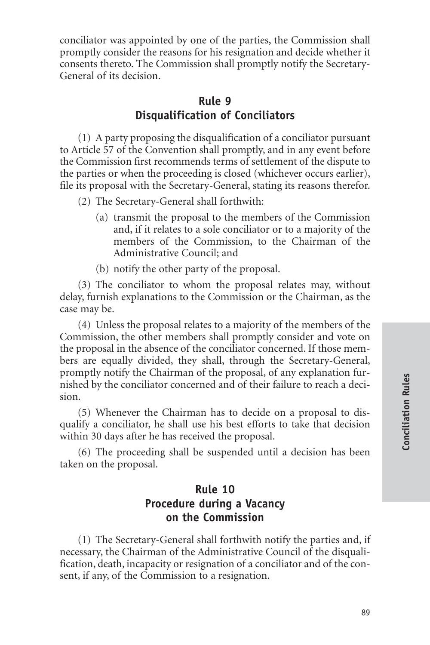conciliator was appointed by one of the parties, the Commission shall promptly consider the reasons for his resignation and decide whether it consents thereto. The Commission shall promptly notify the Secretary-General of its decision.

## **Rule 9 Disqualification of Conciliators**

(1) A party proposing the disqualification of a conciliator pursuant to Article 57 of the Convention shall promptly, and in any event before the Commission first recommends terms of settlement of the dispute to the parties or when the proceeding is closed (whichever occurs earlier), file its proposal with the Secretary-General, stating its reasons therefor.

- (2) The Secretary-General shall forthwith:
	- (a) transmit the proposal to the members of the Commission and, if it relates to a sole conciliator or to a majority of the members of the Commission, to the Chairman of the Administrative Council; and
	- (b) notify the other party of the proposal.

(3) The conciliator to whom the proposal relates may, without delay, furnish explanations to the Commission or the Chairman, as the case may be.

(4) Unless the proposal relates to a majority of the members of the Commission, the other members shall promptly consider and vote on the proposal in the absence of the conciliator concerned. If those members are equally divided, they shall, through the Secretary-General, promptly notify the Chairman of the proposal, of any explanation furnished by the conciliator concerned and of their failure to reach a decision.

(5) Whenever the Chairman has to decide on a proposal to disqualify a conciliator, he shall use his best efforts to take that decision within 30 days after he has received the proposal.

(6) The proceeding shall be suspended until a decision has been taken on the proposal.

# **Rule 10 Procedure during a Vacancy on the Commission**

(1) The Secretary-General shall forthwith notify the parties and, if necessary, the Chairman of the Administrative Council of the disqualification, death, incapacity or resignation of a conciliator and of the consent, if any, of the Commission to a resignation.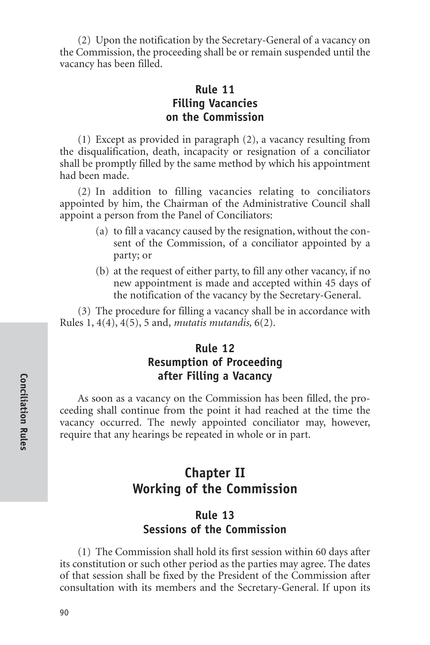(2) Upon the notification by the Secretary-General of a vacancy on the Commission, the proceeding shall be or remain suspended until the vacancy has been filled.

## **Rule 11 Filling Vacancies on the Commission**

(1) Except as provided in paragraph (2), a vacancy resulting from the disqualification, death, incapacity or resignation of a conciliator shall be promptly filled by the same method by which his appointment had been made.

(2) In addition to filling vacancies relating to conciliators appointed by him, the Chairman of the Administrative Council shall appoint a person from the Panel of Conciliators:

- (a) to fill a vacancy caused by the resignation, without the consent of the Commission, of a conciliator appointed by a party; or
- (b) at the request of either party, to fill any other vacancy, if no new appointment is made and accepted within 45 days of the notification of the vacancy by the Secretary-General.

(3) The procedure for filling a vacancy shall be in accordance with Rules 1, 4(4), 4(5), 5 and, *mutatis mutandis,* 6(2).

## **Rule 12 Resumption of Proceeding after Filling a Vacancy**

As soon as a vacancy on the Commission has been filled, the proceeding shall continue from the point it had reached at the time the vacancy occurred. The newly appointed conciliator may, however, require that any hearings be repeated in whole or in part.

# **Chapter II Working of the Commission**

#### **Rule 13 Sessions of the Commission**

(1) The Commission shall hold its first session within 60 days after its constitution or such other period as the parties may agree. The dates of that session shall be fixed by the President of the Commission after consultation with its members and the Secretary-General. If upon its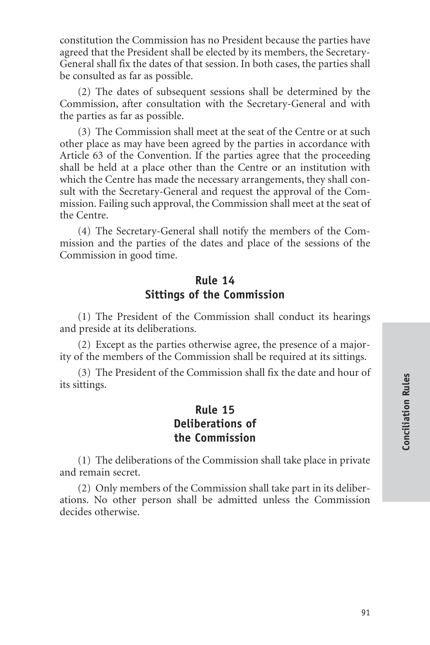constitution the Commission has no President because the parties have agreed that the President shall be elected by its members, the Secretary-General shall fix the dates of that session. In both cases, the parties shall be consulted as far as possible.

(2) The dates of subsequent sessions shall be determined by the Commission, after consultation with the Secretary-General and with the parties as far as possible.

(3) The Commission shall meet at the seat of the Centre or at such other place as may have been agreed by the parties in accordance with Article 63 of the Convention. If the parties agree that the proceeding shall be held at a place other than the Centre or an institution with which the Centre has made the necessary arrangements, they shall consult with the Secretary-General and request the approval of the Commission. Failing such approval, the Commission shall meet at the seat of the Centre.

(4) The Secretary-General shall notify the members of the Commission and the parties of the dates and place of the sessions of the Commission in good time.

# **Rule 14 Sittings of the Commission**

(1) The President of the Commission shall conduct its hearings and preside at its deliberations.

(2) Except as the parties otherwise agree, the presence of a majority of the members of the Commission shall be required at its sittings.

(3) The President of the Commission shall fix the date and hour of its sittings.

## **Rule 15 Deliberations of the Commission**

(1) The deliberations of the Commission shall take place in private and remain secret.

(2) Only members of the Commission shall take part in its deliberations. No other person shall be admitted unless the Commission decides otherwise.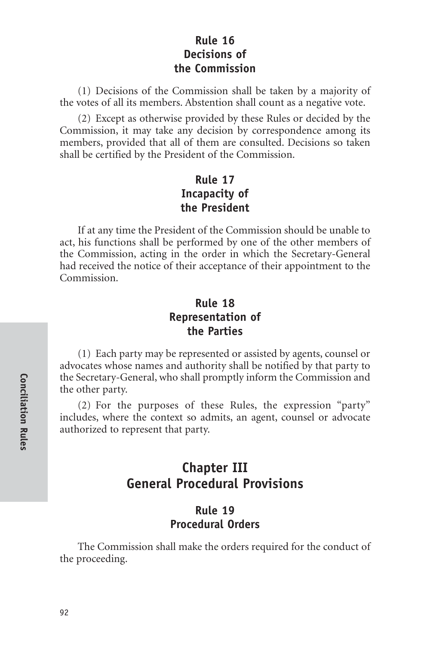## **Rule 16 Decisions of the Commission**

(1) Decisions of the Commission shall be taken by a majority of the votes of all its members. Abstention shall count as a negative vote.

(2) Except as otherwise provided by these Rules or decided by the Commission, it may take any decision by correspondence among its members, provided that all of them are consulted. Decisions so taken shall be certified by the President of the Commission.

## **Rule 17 Incapacity of the President**

If at any time the President of the Commission should be unable to act, his functions shall be performed by one of the other members of the Commission, acting in the order in which the Secretary-General had received the notice of their acceptance of their appointment to the Commission.

#### **Rule 18 Representation of the Parties**

(1) Each party may be represented or assisted by agents, counsel or advocates whose names and authority shall be notified by that party to the Secretary-General, who shall promptly inform the Commission and the other party.

(2) For the purposes of these Rules, the expression "party" includes, where the context so admits, an agent, counsel or advocate authorized to represent that party.

# **Chapter III General Procedural Provisions**

# **Rule 19 Procedural Orders**

The Commission shall make the orders required for the conduct of the proceeding.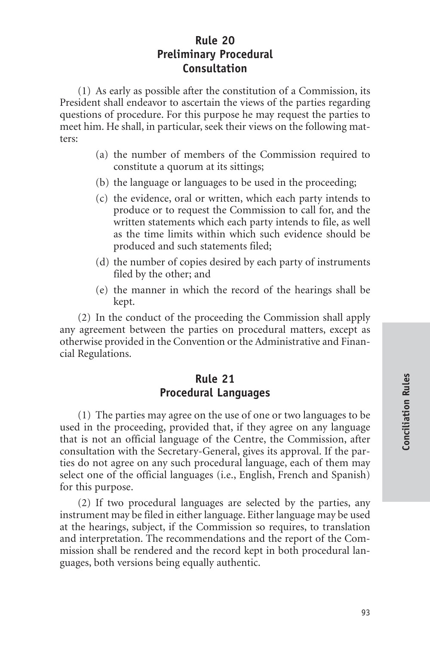# **Rule 20 Preliminary Procedural Consultation**

(1) As early as possible after the constitution of a Commission, its President shall endeavor to ascertain the views of the parties regarding questions of procedure. For this purpose he may request the parties to meet him. He shall, in particular, seek their views on the following matters:

- (a) the number of members of the Commission required to constitute a quorum at its sittings;
- (b) the language or languages to be used in the proceeding;
- (c) the evidence, oral or written, which each party intends to produce or to request the Commission to call for, and the written statements which each party intends to file, as well as the time limits within which such evidence should be produced and such statements filed;
- (d) the number of copies desired by each party of instruments filed by the other; and
- (e) the manner in which the record of the hearings shall be kept.

(2) In the conduct of the proceeding the Commission shall apply any agreement between the parties on procedural matters, except as otherwise provided in the Convention or the Administrative and Financial Regulations.

#### **Rule 21 Procedural Languages**

(1) The parties may agree on the use of one or two languages to be used in the proceeding, provided that, if they agree on any language that is not an official language of the Centre, the Commission, after consultation with the Secretary-General, gives its approval. If the parties do not agree on any such procedural language, each of them may select one of the official languages (i.e., English, French and Spanish) for this purpose.

(2) If two procedural languages are selected by the parties, any instrument may be filed in either language. Either language may be used at the hearings, subject, if the Commission so requires, to translation and interpretation. The recommendations and the report of the Commission shall be rendered and the record kept in both procedural languages, both versions being equally authentic.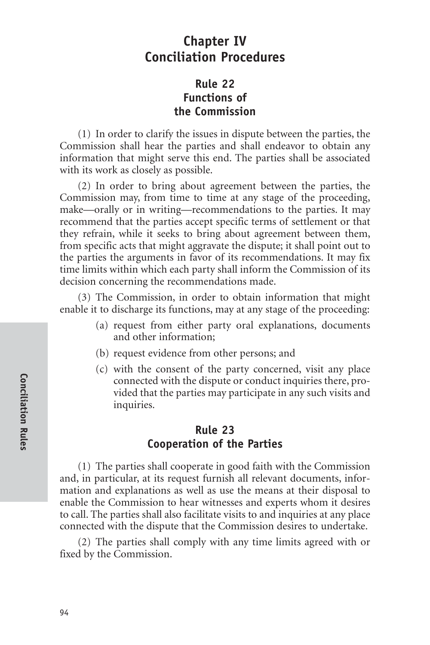# **Chapter IV Conciliation Procedures**

#### **Rule 22 Functions of the Commission**

(1) In order to clarify the issues in dispute between the parties, the Commission shall hear the parties and shall endeavor to obtain any information that might serve this end. The parties shall be associated with its work as closely as possible.

(2) In order to bring about agreement between the parties, the Commission may, from time to time at any stage of the proceeding, make—orally or in writing—recommendations to the parties. It may recommend that the parties accept specific terms of settlement or that they refrain, while it seeks to bring about agreement between them, from specific acts that might aggravate the dispute; it shall point out to the parties the arguments in favor of its recommendations. It may fix time limits within which each party shall inform the Commission of its decision concerning the recommendations made.

(3) The Commission, in order to obtain information that might enable it to discharge its functions, may at any stage of the proceeding:

- (a) request from either party oral explanations, documents and other information;
- (b) request evidence from other persons; and
- (c) with the consent of the party concerned, visit any place connected with the dispute or conduct inquiries there, provided that the parties may participate in any such visits and inquiries.

#### **Rule 23 Cooperation of the Parties**

(1) The parties shall cooperate in good faith with the Commission and, in particular, at its request furnish all relevant documents, information and explanations as well as use the means at their disposal to enable the Commission to hear witnesses and experts whom it desires to call. The parties shall also facilitate visits to and inquiries at any place connected with the dispute that the Commission desires to undertake.

(2) The parties shall comply with any time limits agreed with or fixed by the Commission.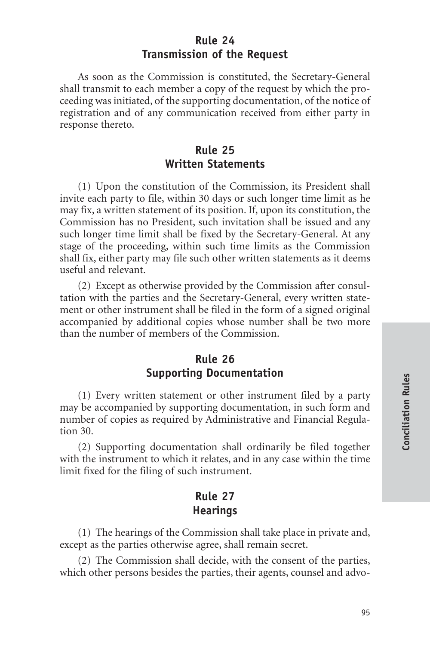#### **Rule 24 Transmission of the Request**

As soon as the Commission is constituted, the Secretary-General shall transmit to each member a copy of the request by which the proceeding was initiated, of the supporting documentation, of the notice of registration and of any communication received from either party in response thereto.

#### **Rule 25 Written Statements**

(1) Upon the constitution of the Commission, its President shall invite each party to file, within 30 days or such longer time limit as he may fix, a written statement of its position. If, upon its constitution, the Commission has no President, such invitation shall be issued and any such longer time limit shall be fixed by the Secretary-General. At any stage of the proceeding, within such time limits as the Commission shall fix, either party may file such other written statements as it deems useful and relevant.

(2) Except as otherwise provided by the Commission after consultation with the parties and the Secretary-General, every written statement or other instrument shall be filed in the form of a signed original accompanied by additional copies whose number shall be two more than the number of members of the Commission.

# **Rule 26 Supporting Documentation**

(1) Every written statement or other instrument filed by a party may be accompanied by supporting documentation, in such form and number of copies as required by Administrative and Financial Regulation 30.

(2) Supporting documentation shall ordinarily be filed together with the instrument to which it relates, and in any case within the time limit fixed for the filing of such instrument.

#### **Rule 27 Hearings**

(1) The hearings of the Commission shall take place in private and, except as the parties otherwise agree, shall remain secret.

(2) The Commission shall decide, with the consent of the parties, which other persons besides the parties, their agents, counsel and advo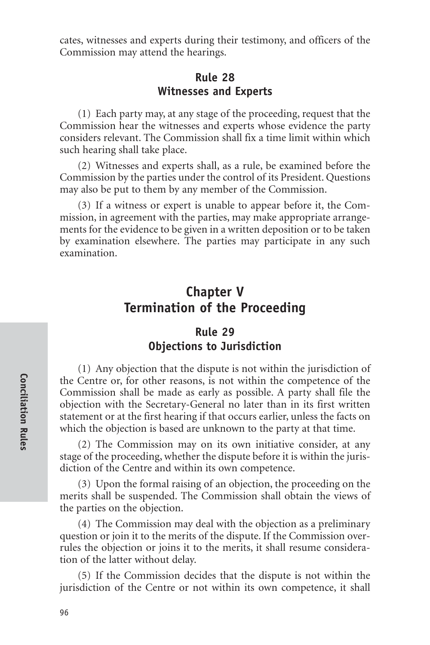cates, witnesses and experts during their testimony, and officers of the Commission may attend the hearings.

#### **Rule 28 Witnesses and Experts**

(1) Each party may, at any stage of the proceeding, request that the Commission hear the witnesses and experts whose evidence the party considers relevant. The Commission shall fix a time limit within which such hearing shall take place.

(2) Witnesses and experts shall, as a rule, be examined before the Commission by the parties under the control of its President. Questions may also be put to them by any member of the Commission.

(3) If a witness or expert is unable to appear before it, the Commission, in agreement with the parties, may make appropriate arrangements for the evidence to be given in a written deposition or to be taken by examination elsewhere. The parties may participate in any such examination.

# **Chapter V Termination of the Proceeding**

# **Rule 29 Objections to Jurisdiction**

(1) Any objection that the dispute is not within the jurisdiction of the Centre or, for other reasons, is not within the competence of the Commission shall be made as early as possible. A party shall file the objection with the Secretary-General no later than in its first written statement or at the first hearing if that occurs earlier, unless the facts on which the objection is based are unknown to the party at that time.

(2) The Commission may on its own initiative consider, at any stage of the proceeding, whether the dispute before it is within the jurisdiction of the Centre and within its own competence.

(3) Upon the formal raising of an objection, the proceeding on the merits shall be suspended. The Commission shall obtain the views of the parties on the objection.

(4) The Commission may deal with the objection as a preliminary question or join it to the merits of the dispute. If the Commission overrules the objection or joins it to the merits, it shall resume consideration of the latter without delay.

(5) If the Commission decides that the dispute is not within the jurisdiction of the Centre or not within its own competence, it shall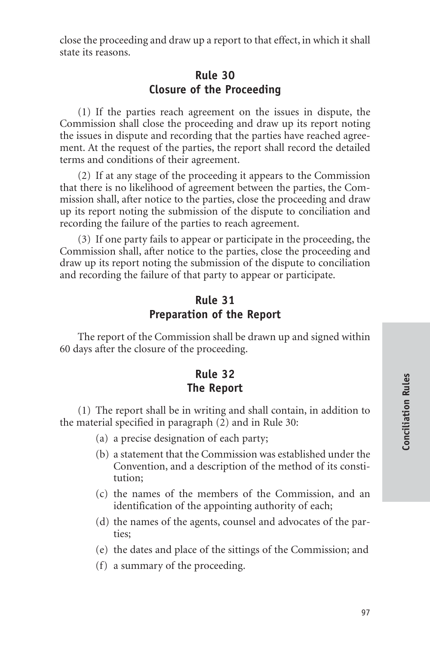close the proceeding and draw up a report to that effect, in which it shall state its reasons.

## **Rule 30 Closure of the Proceeding**

(1) If the parties reach agreement on the issues in dispute, the Commission shall close the proceeding and draw up its report noting the issues in dispute and recording that the parties have reached agreement. At the request of the parties, the report shall record the detailed terms and conditions of their agreement.

(2) If at any stage of the proceeding it appears to the Commission that there is no likelihood of agreement between the parties, the Commission shall, after notice to the parties, close the proceeding and draw up its report noting the submission of the dispute to conciliation and recording the failure of the parties to reach agreement.

(3) If one party fails to appear or participate in the proceeding, the Commission shall, after notice to the parties, close the proceeding and draw up its report noting the submission of the dispute to conciliation and recording the failure of that party to appear or participate.

#### **Rule 31 Preparation of the Report**

The report of the Commission shall be drawn up and signed within 60 days after the closure of the proceeding.

# **Rule 32 The Report**

(1) The report shall be in writing and shall contain, in addition to the material specified in paragraph (2) and in Rule 30:

- (a) a precise designation of each party;
- (b) a statement that the Commission was established under the Convention, and a description of the method of its constitution;
- (c) the names of the members of the Commission, and an identification of the appointing authority of each;
- (d) the names of the agents, counsel and advocates of the parties;
- (e) the dates and place of the sittings of the Commission; and
- (f) a summary of the proceeding.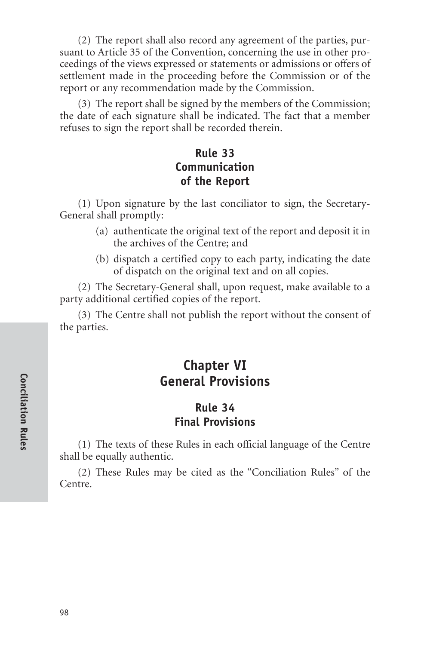(2) The report shall also record any agreement of the parties, pursuant to Article 35 of the Convention, concerning the use in other proceedings of the views expressed or statements or admissions or offers of settlement made in the proceeding before the Commission or of the report or any recommendation made by the Commission.

(3) The report shall be signed by the members of the Commission; the date of each signature shall be indicated. The fact that a member refuses to sign the report shall be recorded therein.

# **Rule 33 Communication of the Report**

(1) Upon signature by the last conciliator to sign, the Secretary-General shall promptly:

- (a) authenticate the original text of the report and deposit it in the archives of the Centre; and
- (b) dispatch a certified copy to each party, indicating the date of dispatch on the original text and on all copies.

(2) The Secretary-General shall, upon request, make available to a party additional certified copies of the report.

(3) The Centre shall not publish the report without the consent of the parties.

# **Chapter VI General Provisions**

#### **Rule 34 Final Provisions**

(1) The texts of these Rules in each official language of the Centre shall be equally authentic.

(2) These Rules may be cited as the "Conciliation Rules" of the Centre.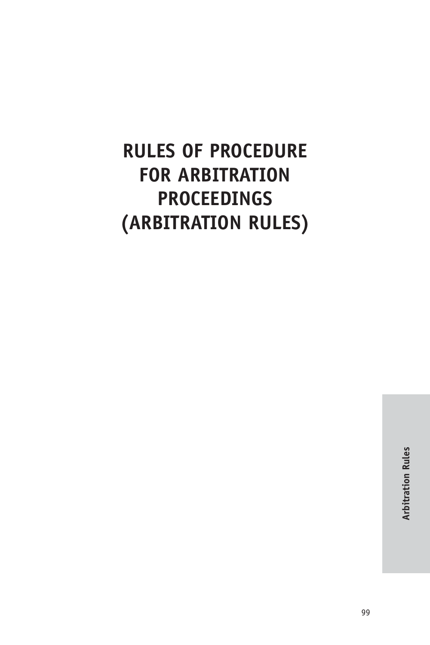# **RULES OF PROCEDURE FOR ARBITRATION PROCEEDINGS (ARBITRATION RULES)**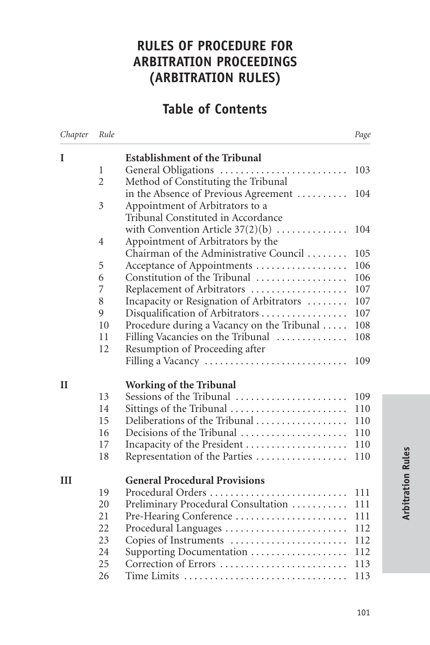# **RULES OF PROCEDURE FOR ARBITRATION PROCEEDINGS (ARBITRATION RULES)**

# **Table of Contents**

| Chapter      | Rule           |                                            | Page |
|--------------|----------------|--------------------------------------------|------|
| I            |                | <b>Establishment of the Tribunal</b>       |      |
|              | $\mathbf{1}$   | General Obligations                        | 103  |
|              | $\overline{2}$ | Method of Constituting the Tribunal        |      |
|              |                | in the Absence of Previous Agreement       | 104  |
|              | 3              | Appointment of Arbitrators to a            |      |
|              |                | Tribunal Constituted in Accordance         |      |
|              |                | with Convention Article $37(2)(b)$         | 104  |
|              | $\overline{4}$ | Appointment of Arbitrators by the          |      |
|              |                | Chairman of the Administrative Council     | 105  |
|              | 5              | Acceptance of Appointments                 | 106  |
|              | 6              | Constitution of the Tribunal               | 106  |
|              | $\overline{7}$ | Replacement of Arbitrators                 | 107  |
|              | 8              | Incapacity or Resignation of Arbitrators   | 107  |
|              | 9              | Disqualification of Arbitrators            | 107  |
|              | 10             | Procedure during a Vacancy on the Tribunal | 108  |
|              | 11             | Filling Vacancies on the Tribunal          | 108  |
|              | 12             | Resumption of Proceeding after             |      |
|              |                | Filling a Vacancy                          | 109  |
| $\mathbf{I}$ |                | <b>Working of the Tribunal</b>             |      |
|              | 13             | Sessions of the Tribunal                   | 109  |
|              | 14             | Sittings of the Tribunal                   | 110  |
|              | 15             | Deliberations of the Tribunal              | 110  |
|              | 16             | Decisions of the Tribunal                  | 110  |
|              | 17             | Incapacity of the President                | 110  |
|              | 18             | Representation of the Parties              | 110  |
| III          |                | <b>General Procedural Provisions</b>       |      |
|              | 19             | Procedural Orders                          | 111  |
|              | 20             | Preliminary Procedural Consultation        | 111  |
|              | 21             | Pre-Hearing Conference                     | 111  |
|              | 22             | Procedural Languages                       | 112  |
|              | 23             | Copies of Instruments                      | 112  |
|              | 24             | Supporting Documentation                   | 112  |
|              | 25             | Correction of Errors                       | 113  |
|              | 26             | Time Limits                                | 113  |

**Arbitration Rules Arbitration Rules**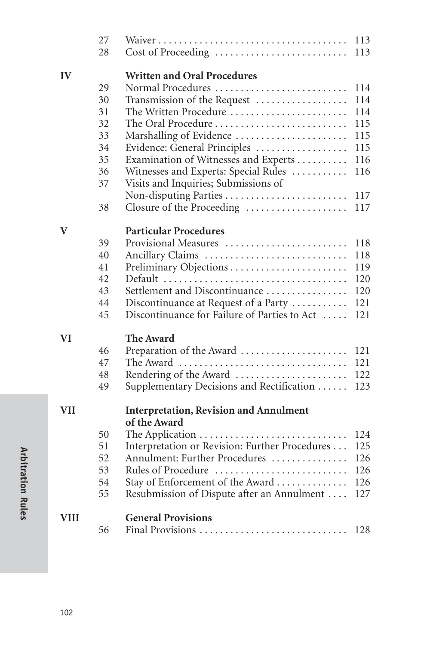|            | 27<br>28 | Cost of Proceeding                                                   | 113<br>113 |
|------------|----------|----------------------------------------------------------------------|------------|
|            |          |                                                                      |            |
| IV         |          | <b>Written and Oral Procedures</b>                                   |            |
|            | 29       | Normal Procedures                                                    | 114        |
|            | 30<br>31 | Transmission of the Request                                          | 114        |
|            | 32       | The Written Procedure                                                | 114        |
|            | 33       | The Oral Procedure                                                   | 115<br>115 |
|            | 34       | Marshalling of Evidence                                              | 115        |
|            | 35       | Evidence: General Principles<br>Examination of Witnesses and Experts | 116        |
|            | 36       | Witnesses and Experts: Special Rules                                 | 116        |
|            | 37       | Visits and Inquiries; Submissions of                                 |            |
|            |          | Non-disputing Parties                                                | 117        |
|            | 38       | Closure of the Proceeding                                            | 117        |
| $\bf V$    |          | <b>Particular Procedures</b>                                         |            |
|            | 39       | Provisional Measures                                                 | 118        |
|            | 40       | Ancillary Claims                                                     | 118        |
|            | 41       | Preliminary Objections                                               | 119        |
|            | 42       |                                                                      | 120        |
|            | 43       | Settlement and Discontinuance                                        | 120        |
|            | 44       | Discontinuance at Request of a Party                                 | 121        |
|            | 45       | Discontinuance for Failure of Parties to Act                         | 121        |
| VI         |          | The Award                                                            |            |
|            | 46       | Preparation of the Award                                             | 121        |
|            | 47       | The Award                                                            | 121        |
|            | 48       | Rendering of the Award                                               | 122        |
|            | 49       | Supplementary Decisions and Rectification                            | 123        |
| <b>VII</b> |          | <b>Interpretation, Revision and Annulment</b>                        |            |
|            |          | of the Award                                                         |            |
|            | 50       |                                                                      | 124        |
|            | 51       | Interpretation or Revision: Further Procedures                       | 125        |
|            | 52       | Annulment: Further Procedures                                        | 126        |
|            | 53       | Rules of Procedure                                                   | 126        |
|            | 54       | Stay of Enforcement of the Award                                     | 126        |
|            | 55       | Resubmission of Dispute after an Annulment                           | 127        |
| VIII       |          | <b>General Provisions</b>                                            |            |
|            | 56       | Final Provisions                                                     | 128        |
|            |          |                                                                      |            |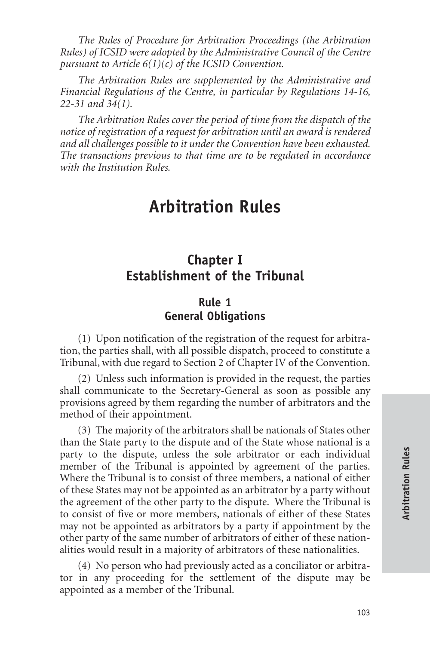*The Rules of Procedure for Arbitration Proceedings (the Arbitration Rules) of ICSID were adopted by the Administrative Council of the Centre pursuant to Article 6(1)(c) of the ICSID Convention.*

*The Arbitration Rules are supplemented by the Administrative and Financial Regulations of the Centre, in particular by Regulations 14-16, 22-31 and 34(1).*

*The Arbitration Rules cover the period of time from the dispatch of the notice of registration of a request for arbitration until an award is rendered and all challenges possible to it under the Convention have been exhausted. The transactions previous to that time are to be regulated in accordance with the Institution Rules.*

# **Arbitration Rules**

# **Chapter I Establishment of the Tribunal**

## **Rule 1 General Obligations**

(1) Upon notification of the registration of the request for arbitration, the parties shall, with all possible dispatch, proceed to constitute a Tribunal, with due regard to Section 2 of Chapter IV of the Convention.

(2) Unless such information is provided in the request, the parties shall communicate to the Secretary-General as soon as possible any provisions agreed by them regarding the number of arbitrators and the method of their appointment.

(3) The majority of the arbitrators shall be nationals of States other than the State party to the dispute and of the State whose national is a party to the dispute, unless the sole arbitrator or each individual member of the Tribunal is appointed by agreement of the parties. Where the Tribunal is to consist of three members, a national of either of these States may not be appointed as an arbitrator by a party without the agreement of the other party to the dispute. Where the Tribunal is to consist of five or more members, nationals of either of these States may not be appointed as arbitrators by a party if appointment by the other party of the same number of arbitrators of either of these nationalities would result in a majority of arbitrators of these nationalities.

(4) No person who had previously acted as a conciliator or arbitrator in any proceeding for the settlement of the dispute may be appointed as a member of the Tribunal.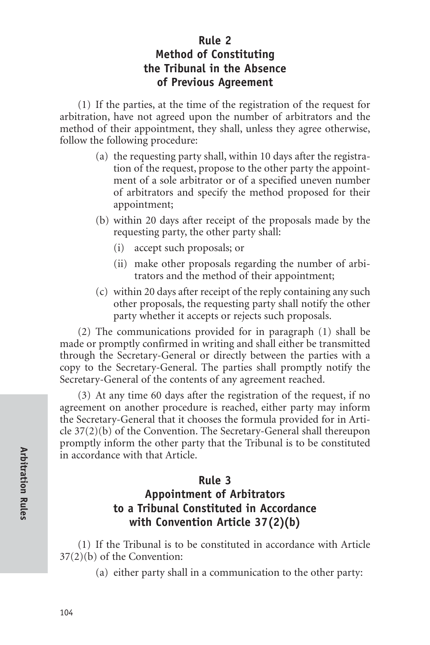# **Rule 2 Method of Constituting the Tribunal in the Absence of Previous Agreement**

(1) If the parties, at the time of the registration of the request for arbitration, have not agreed upon the number of arbitrators and the method of their appointment, they shall, unless they agree otherwise, follow the following procedure:

- (a) the requesting party shall, within 10 days after the registration of the request, propose to the other party the appointment of a sole arbitrator or of a specified uneven number of arbitrators and specify the method proposed for their appointment;
- (b) within 20 days after receipt of the proposals made by the requesting party, the other party shall:
	- (i) accept such proposals; or
	- (ii) make other proposals regarding the number of arbitrators and the method of their appointment;
- (c) within 20 days after receipt of the reply containing any such other proposals, the requesting party shall notify the other party whether it accepts or rejects such proposals.

(2) The communications provided for in paragraph (1) shall be made or promptly confirmed in writing and shall either be transmitted through the Secretary-General or directly between the parties with a copy to the Secretary-General. The parties shall promptly notify the Secretary-General of the contents of any agreement reached.

(3) At any time 60 days after the registration of the request, if no agreement on another procedure is reached, either party may inform the Secretary-General that it chooses the formula provided for in Article 37(2)(b) of the Convention. The Secretary-General shall thereupon promptly inform the other party that the Tribunal is to be constituted in accordance with that Article.

#### **Rule 3**

# **Appointment of Arbitrators to a Tribunal Constituted in Accordance with Convention Article 37(2)(b)**

(1) If the Tribunal is to be constituted in accordance with Article 37(2)(b) of the Convention:

(a) either party shall in a communication to the other party: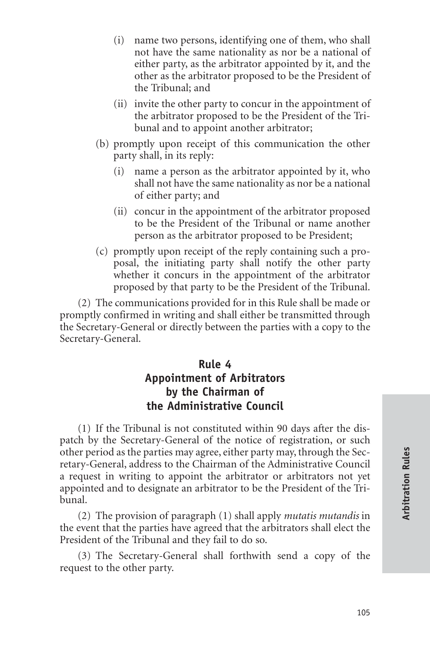- (i) name two persons, identifying one of them, who shall not have the same nationality as nor be a national of either party, as the arbitrator appointed by it, and the other as the arbitrator proposed to be the President of the Tribunal; and
- (ii) invite the other party to concur in the appointment of the arbitrator proposed to be the President of the Tribunal and to appoint another arbitrator;
- (b) promptly upon receipt of this communication the other party shall, in its reply:
	- (i) name a person as the arbitrator appointed by it, who shall not have the same nationality as nor be a national of either party; and
	- (ii) concur in the appointment of the arbitrator proposed to be the President of the Tribunal or name another person as the arbitrator proposed to be President;
- (c) promptly upon receipt of the reply containing such a proposal, the initiating party shall notify the other party whether it concurs in the appointment of the arbitrator proposed by that party to be the President of the Tribunal.

(2) The communications provided for in this Rule shall be made or promptly confirmed in writing and shall either be transmitted through the Secretary-General or directly between the parties with a copy to the Secretary-General.

# **Rule 4 Appointment of Arbitrators by the Chairman of the Administrative Council**

(1) If the Tribunal is not constituted within 90 days after the dispatch by the Secretary-General of the notice of registration, or such other period as the parties may agree, either party may, through the Secretary-General, address to the Chairman of the Administrative Council a request in writing to appoint the arbitrator or arbitrators not yet appointed and to designate an arbitrator to be the President of the Tribunal.

(2) The provision of paragraph (1) shall apply *mutatis mutandis* in the event that the parties have agreed that the arbitrators shall elect the President of the Tribunal and they fail to do so.

(3) The Secretary-General shall forthwith send a copy of the request to the other party.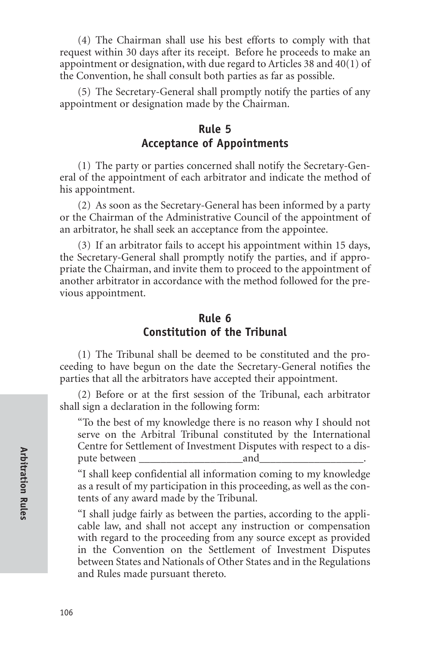(4) The Chairman shall use his best efforts to comply with that request within 30 days after its receipt. Before he proceeds to make an appointment or designation, with due regard to Articles 38 and 40(1) of the Convention, he shall consult both parties as far as possible.

(5) The Secretary-General shall promptly notify the parties of any appointment or designation made by the Chairman.

#### **Rule 5 Acceptance of Appointments**

(1) The party or parties concerned shall notify the Secretary-General of the appointment of each arbitrator and indicate the method of his appointment.

(2) As soon as the Secretary-General has been informed by a party or the Chairman of the Administrative Council of the appointment of an arbitrator, he shall seek an acceptance from the appointee.

(3) If an arbitrator fails to accept his appointment within 15 days, the Secretary-General shall promptly notify the parties, and if appropriate the Chairman, and invite them to proceed to the appointment of another arbitrator in accordance with the method followed for the previous appointment.

#### **Rule 6 Constitution of the Tribunal**

(1) The Tribunal shall be deemed to be constituted and the proceeding to have begun on the date the Secretary-General notifies the parties that all the arbitrators have accepted their appointment.

(2) Before or at the first session of the Tribunal, each arbitrator shall sign a declaration in the following form:

"To the best of my knowledge there is no reason why I should not serve on the Arbitral Tribunal constituted by the International Centre for Settlement of Investment Disputes with respect to a dispute between and

"I shall keep confidential all information coming to my knowledge as a result of my participation in this proceeding, as well as the contents of any award made by the Tribunal.

"I shall judge fairly as between the parties, according to the applicable law, and shall not accept any instruction or compensation with regard to the proceeding from any source except as provided in the Convention on the Settlement of Investment Disputes between States and Nationals of Other States and in the Regulations and Rules made pursuant thereto.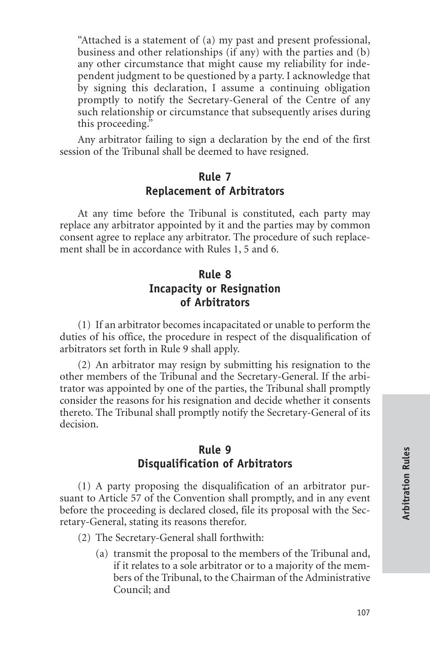"Attached is a statement of (a) my past and present professional, business and other relationships (if any) with the parties and (b) any other circumstance that might cause my reliability for independent judgment to be questioned by a party. I acknowledge that by signing this declaration, I assume a continuing obligation promptly to notify the Secretary-General of the Centre of any such relationship or circumstance that subsequently arises during this proceeding."

Any arbitrator failing to sign a declaration by the end of the first session of the Tribunal shall be deemed to have resigned.

#### **Rule 7 Replacement of Arbitrators**

At any time before the Tribunal is constituted, each party may replace any arbitrator appointed by it and the parties may by common consent agree to replace any arbitrator. The procedure of such replacement shall be in accordance with Rules 1, 5 and 6.

# **Rule 8 Incapacity or Resignation of Arbitrators**

(1) If an arbitrator becomes incapacitated or unable to perform the duties of his office, the procedure in respect of the disqualification of arbitrators set forth in Rule 9 shall apply.

(2) An arbitrator may resign by submitting his resignation to the other members of the Tribunal and the Secretary-General. If the arbitrator was appointed by one of the parties, the Tribunal shall promptly consider the reasons for his resignation and decide whether it consents thereto. The Tribunal shall promptly notify the Secretary-General of its decision.

#### **Rule 9 Disqualification of Arbitrators**

(1) A party proposing the disqualification of an arbitrator pursuant to Article 57 of the Convention shall promptly, and in any event before the proceeding is declared closed, file its proposal with the Secretary-General, stating its reasons therefor.

- (2) The Secretary-General shall forthwith:
	- (a) transmit the proposal to the members of the Tribunal and, if it relates to a sole arbitrator or to a majority of the members of the Tribunal, to the Chairman of the Administrative Council; and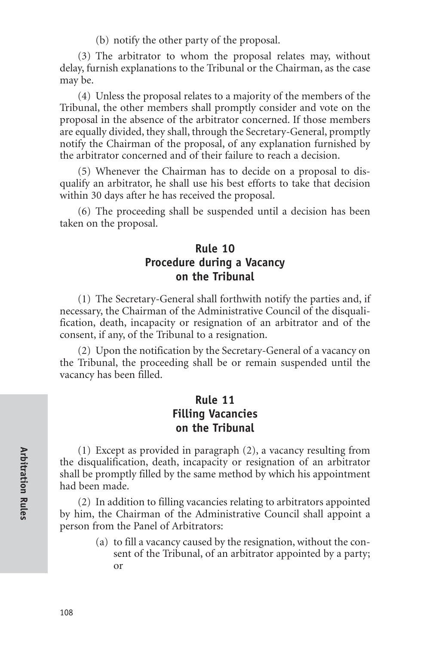(b) notify the other party of the proposal.

(3) The arbitrator to whom the proposal relates may, without delay, furnish explanations to the Tribunal or the Chairman, as the case may be.

(4) Unless the proposal relates to a majority of the members of the Tribunal, the other members shall promptly consider and vote on the proposal in the absence of the arbitrator concerned. If those members are equally divided, they shall, through the Secretary-General, promptly notify the Chairman of the proposal, of any explanation furnished by the arbitrator concerned and of their failure to reach a decision.

(5) Whenever the Chairman has to decide on a proposal to disqualify an arbitrator, he shall use his best efforts to take that decision within 30 days after he has received the proposal.

(6) The proceeding shall be suspended until a decision has been taken on the proposal.

# **Rule 10 Procedure during a Vacancy on the Tribunal**

(1) The Secretary-General shall forthwith notify the parties and, if necessary, the Chairman of the Administrative Council of the disqualification, death, incapacity or resignation of an arbitrator and of the consent, if any, of the Tribunal to a resignation.

(2) Upon the notification by the Secretary-General of a vacancy on the Tribunal, the proceeding shall be or remain suspended until the vacancy has been filled.

#### **Rule 11 Filling Vacancies on the Tribunal**

(1) Except as provided in paragraph (2), a vacancy resulting from the disqualification, death, incapacity or resignation of an arbitrator shall be promptly filled by the same method by which his appointment had been made.

(2) In addition to filling vacancies relating to arbitrators appointed by him, the Chairman of the Administrative Council shall appoint a person from the Panel of Arbitrators:

> (a) to fill a vacancy caused by the resignation, without the consent of the Tribunal, of an arbitrator appointed by a party; or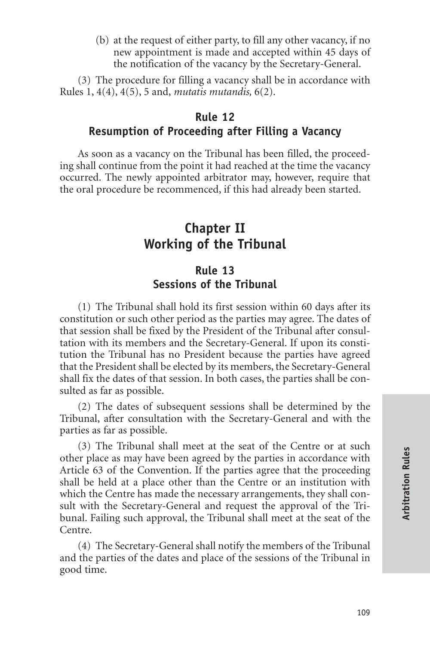(b) at the request of either party, to fill any other vacancy, if no new appointment is made and accepted within 45 days of the notification of the vacancy by the Secretary-General.

(3) The procedure for filling a vacancy shall be in accordance with Rules 1, 4(4), 4(5), 5 and, *mutatis mutandis,* 6(2).

# **Rule 12 Resumption of Proceeding after Filling a Vacancy**

As soon as a vacancy on the Tribunal has been filled, the proceeding shall continue from the point it had reached at the time the vacancy occurred. The newly appointed arbitrator may, however, require that the oral procedure be recommenced, if this had already been started.

# **Chapter II Working of the Tribunal**

# **Rule 13 Sessions of the Tribunal**

(1) The Tribunal shall hold its first session within 60 days after its constitution or such other period as the parties may agree. The dates of that session shall be fixed by the President of the Tribunal after consultation with its members and the Secretary-General. If upon its constitution the Tribunal has no President because the parties have agreed that the President shall be elected by its members, the Secretary-General shall fix the dates of that session. In both cases, the parties shall be consulted as far as possible.

(2) The dates of subsequent sessions shall be determined by the Tribunal, after consultation with the Secretary-General and with the parties as far as possible.

(3) The Tribunal shall meet at the seat of the Centre or at such other place as may have been agreed by the parties in accordance with Article 63 of the Convention. If the parties agree that the proceeding shall be held at a place other than the Centre or an institution with which the Centre has made the necessary arrangements, they shall consult with the Secretary-General and request the approval of the Tribunal. Failing such approval, the Tribunal shall meet at the seat of the Centre.

(4) The Secretary-General shall notify the members of the Tribunal and the parties of the dates and place of the sessions of the Tribunal in good time.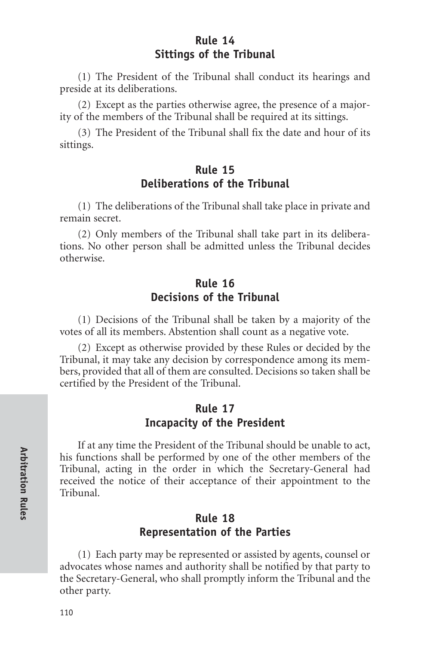#### **Rule 14 Sittings of the Tribunal**

(1) The President of the Tribunal shall conduct its hearings and preside at its deliberations.

(2) Except as the parties otherwise agree, the presence of a majority of the members of the Tribunal shall be required at its sittings.

(3) The President of the Tribunal shall fix the date and hour of its sittings.

## **Rule 15 Deliberations of the Tribunal**

(1) The deliberations of the Tribunal shall take place in private and remain secret.

(2) Only members of the Tribunal shall take part in its deliberations. No other person shall be admitted unless the Tribunal decides otherwise.

# **Rule 16 Decisions of the Tribunal**

(1) Decisions of the Tribunal shall be taken by a majority of the votes of all its members. Abstention shall count as a negative vote.

(2) Except as otherwise provided by these Rules or decided by the Tribunal, it may take any decision by correspondence among its members, provided that all of them are consulted. Decisions so taken shall be certified by the President of the Tribunal.

#### **Rule 17 Incapacity of the President**

If at any time the President of the Tribunal should be unable to act, his functions shall be performed by one of the other members of the Tribunal, acting in the order in which the Secretary-General had received the notice of their acceptance of their appointment to the Tribunal.

#### **Rule 18 Representation of the Parties**

(1) Each party may be represented or assisted by agents, counsel or advocates whose names and authority shall be notified by that party to the Secretary-General, who shall promptly inform the Tribunal and the other party.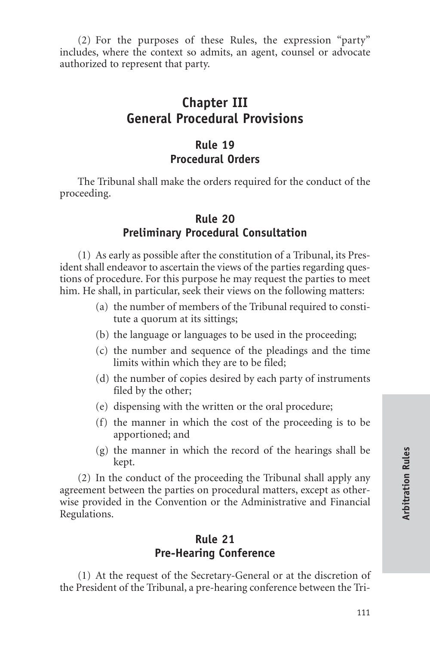(2) For the purposes of these Rules, the expression "party" includes, where the context so admits, an agent, counsel or advocate authorized to represent that party.

# **Chapter III General Procedural Provisions**

## **Rule 19 Procedural Orders**

The Tribunal shall make the orders required for the conduct of the proceeding.

## **Rule 20 Preliminary Procedural Consultation**

(1) As early as possible after the constitution of a Tribunal, its President shall endeavor to ascertain the views of the parties regarding questions of procedure. For this purpose he may request the parties to meet him. He shall, in particular, seek their views on the following matters:

- (a) the number of members of the Tribunal required to constitute a quorum at its sittings;
- (b) the language or languages to be used in the proceeding;
- (c) the number and sequence of the pleadings and the time limits within which they are to be filed;
- (d) the number of copies desired by each party of instruments filed by the other;
- (e) dispensing with the written or the oral procedure;
- (f) the manner in which the cost of the proceeding is to be apportioned; and
- (g) the manner in which the record of the hearings shall be kept.

(2) In the conduct of the proceeding the Tribunal shall apply any agreement between the parties on procedural matters, except as otherwise provided in the Convention or the Administrative and Financial Regulations.

#### **Rule 21 Pre-Hearing Conference**

(1) At the request of the Secretary-General or at the discretion of the President of the Tribunal, a pre-hearing conference between the Tri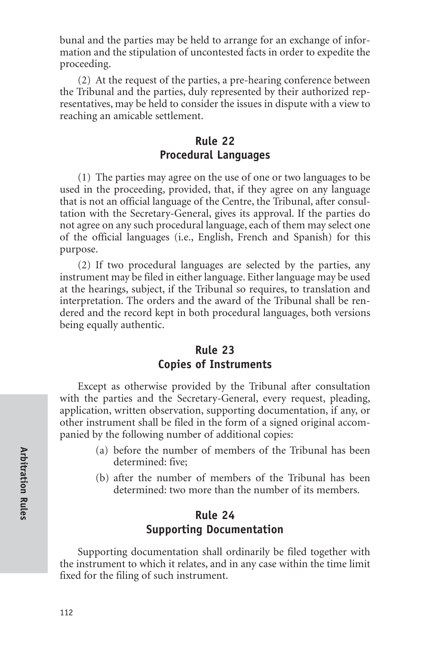bunal and the parties may be held to arrange for an exchange of information and the stipulation of uncontested facts in order to expedite the proceeding.

(2) At the request of the parties, a pre-hearing conference between the Tribunal and the parties, duly represented by their authorized representatives, may be held to consider the issues in dispute with a view to reaching an amicable settlement.

# **Rule 22 Procedural Languages**

(1) The parties may agree on the use of one or two languages to be used in the proceeding, provided, that, if they agree on any language that is not an official language of the Centre, the Tribunal, after consultation with the Secretary-General, gives its approval. If the parties do not agree on any such procedural language, each of them may select one of the official languages (i.e., English, French and Spanish) for this purpose.

(2) If two procedural languages are selected by the parties, any instrument may be filed in either language. Either language may be used at the hearings, subject, if the Tribunal so requires, to translation and interpretation. The orders and the award of the Tribunal shall be rendered and the record kept in both procedural languages, both versions being equally authentic.

## **Rule 23 Copies of Instruments**

Except as otherwise provided by the Tribunal after consultation with the parties and the Secretary-General, every request, pleading, application, written observation, supporting documentation, if any, or other instrument shall be filed in the form of a signed original accompanied by the following number of additional copies:

- (a) before the number of members of the Tribunal has been determined: five;
- (b) after the number of members of the Tribunal has been determined: two more than the number of its members.

### **Rule 24 Supporting Documentation**

Supporting documentation shall ordinarily be filed together with the instrument to which it relates, and in any case within the time limit fixed for the filing of such instrument.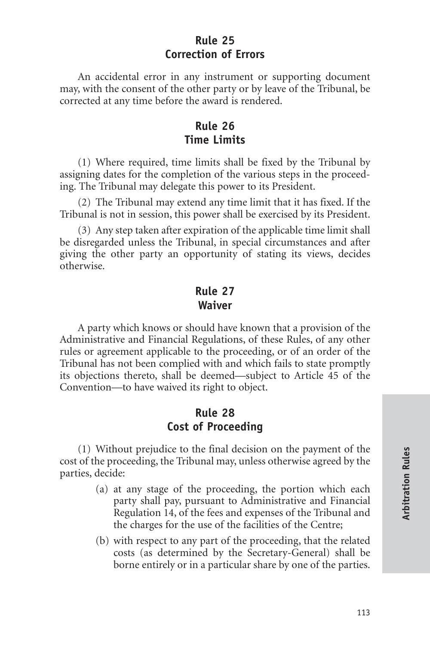## **Rule 25 Correction of Errors**

An accidental error in any instrument or supporting document may, with the consent of the other party or by leave of the Tribunal, be corrected at any time before the award is rendered.

## **Rule 26 Time Limits**

(1) Where required, time limits shall be fixed by the Tribunal by assigning dates for the completion of the various steps in the proceeding. The Tribunal may delegate this power to its President.

(2) The Tribunal may extend any time limit that it has fixed. If the Tribunal is not in session, this power shall be exercised by its President.

(3) Any step taken after expiration of the applicable time limit shall be disregarded unless the Tribunal, in special circumstances and after giving the other party an opportunity of stating its views, decides otherwise.

### **Rule 27 Waiver**

A party which knows or should have known that a provision of the Administrative and Financial Regulations, of these Rules, of any other rules or agreement applicable to the proceeding, or of an order of the Tribunal has not been complied with and which fails to state promptly its objections thereto, shall be deemed—subject to Article 45 of the Convention—to have waived its right to object.

# **Rule 28 Cost of Proceeding**

(1) Without prejudice to the final decision on the payment of the cost of the proceeding, the Tribunal may, unless otherwise agreed by the parties, decide:

- (a) at any stage of the proceeding, the portion which each party shall pay, pursuant to Administrative and Financial Regulation 14, of the fees and expenses of the Tribunal and the charges for the use of the facilities of the Centre;
- (b) with respect to any part of the proceeding, that the related costs (as determined by the Secretary-General) shall be borne entirely or in a particular share by one of the parties.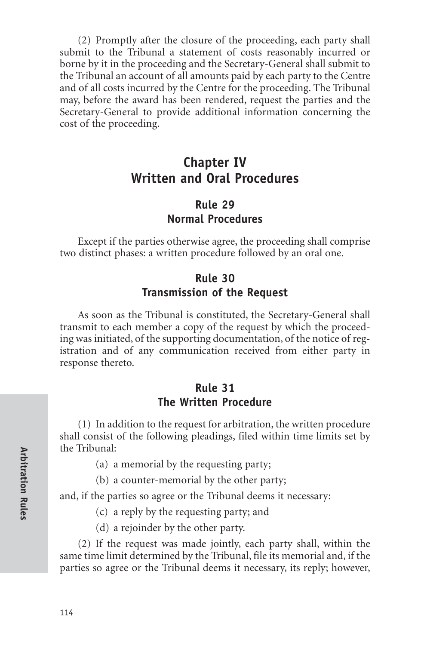(2) Promptly after the closure of the proceeding, each party shall submit to the Tribunal a statement of costs reasonably incurred or borne by it in the proceeding and the Secretary-General shall submit to the Tribunal an account of all amounts paid by each party to the Centre and of all costs incurred by the Centre for the proceeding. The Tribunal may, before the award has been rendered, request the parties and the Secretary-General to provide additional information concerning the cost of the proceeding.

# **Chapter IV Written and Oral Procedures**

#### **Rule 29 Normal Procedures**

Except if the parties otherwise agree, the proceeding shall comprise two distinct phases: a written procedure followed by an oral one.

#### **Rule 30 Transmission of the Request**

As soon as the Tribunal is constituted, the Secretary-General shall transmit to each member a copy of the request by which the proceeding was initiated, of the supporting documentation, of the notice of registration and of any communication received from either party in response thereto.

## **Rule 31 The Written Procedure**

(1) In addition to the request for arbitration, the written procedure shall consist of the following pleadings, filed within time limits set by the Tribunal:

(a) a memorial by the requesting party;

(b) a counter-memorial by the other party;

and, if the parties so agree or the Tribunal deems it necessary:

(c) a reply by the requesting party; and

(d) a rejoinder by the other party.

(2) If the request was made jointly, each party shall, within the same time limit determined by the Tribunal, file its memorial and, if the parties so agree or the Tribunal deems it necessary, its reply; however,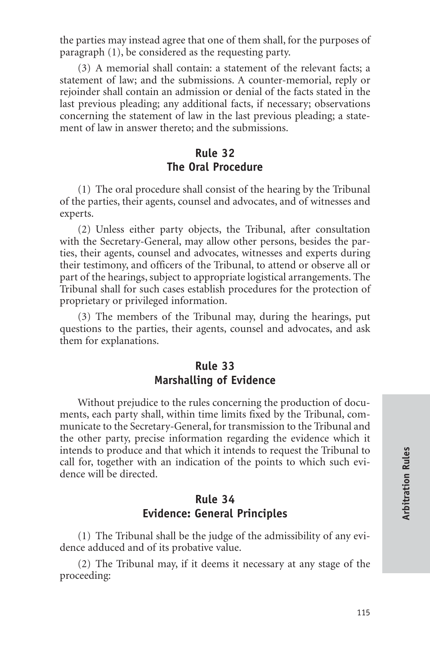the parties may instead agree that one of them shall, for the purposes of paragraph (1), be considered as the requesting party.

(3) A memorial shall contain: a statement of the relevant facts; a statement of law; and the submissions. A counter-memorial, reply or rejoinder shall contain an admission or denial of the facts stated in the last previous pleading; any additional facts, if necessary; observations concerning the statement of law in the last previous pleading; a statement of law in answer thereto; and the submissions.

# **Rule 32 The Oral Procedure**

(1) The oral procedure shall consist of the hearing by the Tribunal of the parties, their agents, counsel and advocates, and of witnesses and experts.

(2) Unless either party objects, the Tribunal, after consultation with the Secretary-General, may allow other persons, besides the parties, their agents, counsel and advocates, witnesses and experts during their testimony, and officers of the Tribunal, to attend or observe all or part of the hearings, subject to appropriate logistical arrangements. The Tribunal shall for such cases establish procedures for the protection of proprietary or privileged information.

(3) The members of the Tribunal may, during the hearings, put questions to the parties, their agents, counsel and advocates, and ask them for explanations.

## **Rule 33 Marshalling of Evidence**

Without prejudice to the rules concerning the production of documents, each party shall, within time limits fixed by the Tribunal, communicate to the Secretary-General, for transmission to the Tribunal and the other party, precise information regarding the evidence which it intends to produce and that which it intends to request the Tribunal to call for, together with an indication of the points to which such evidence will be directed.

# **Rule 34 Evidence: General Principles**

(1) The Tribunal shall be the judge of the admissibility of any evidence adduced and of its probative value.

(2) The Tribunal may, if it deems it necessary at any stage of the proceeding: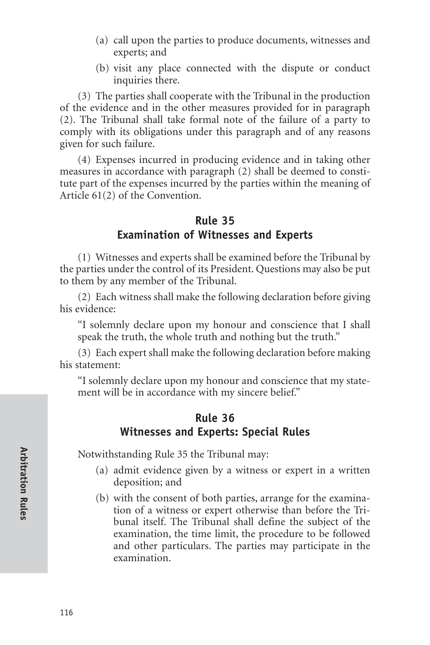- (a) call upon the parties to produce documents, witnesses and experts; and
- (b) visit any place connected with the dispute or conduct inquiries there.

(3) The parties shall cooperate with the Tribunal in the production of the evidence and in the other measures provided for in paragraph (2). The Tribunal shall take formal note of the failure of a party to comply with its obligations under this paragraph and of any reasons given for such failure.

(4) Expenses incurred in producing evidence and in taking other measures in accordance with paragraph (2) shall be deemed to constitute part of the expenses incurred by the parties within the meaning of Article 61(2) of the Convention.

## **Rule 35 Examination of Witnesses and Experts**

(1) Witnesses and experts shall be examined before the Tribunal by the parties under the control of its President. Questions may also be put to them by any member of the Tribunal.

(2) Each witness shall make the following declaration before giving his evidence:

"I solemnly declare upon my honour and conscience that I shall speak the truth, the whole truth and nothing but the truth."

(3) Each expert shall make the following declaration before making his statement:

"I solemnly declare upon my honour and conscience that my statement will be in accordance with my sincere belief."

#### **Rule 36 Witnesses and Experts: Special Rules**

Notwithstanding Rule 35 the Tribunal may:

- (a) admit evidence given by a witness or expert in a written deposition; and
- (b) with the consent of both parties, arrange for the examination of a witness or expert otherwise than before the Tribunal itself. The Tribunal shall define the subject of the examination, the time limit, the procedure to be followed and other particulars. The parties may participate in the examination.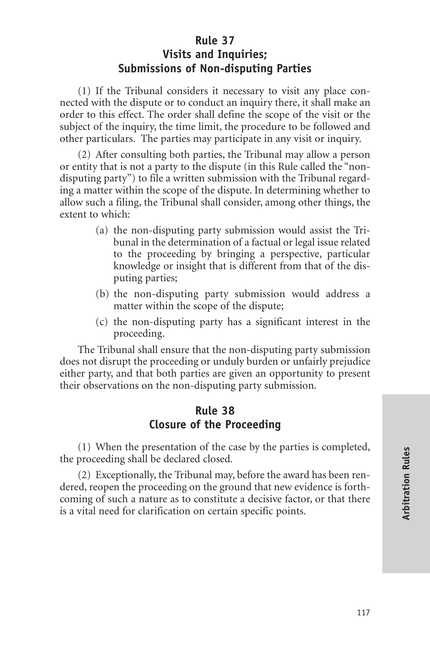# **Rule 37 Visits and Inquiries; Submissions of Non-disputing Parties**

(1) If the Tribunal considers it necessary to visit any place connected with the dispute or to conduct an inquiry there, it shall make an order to this effect. The order shall define the scope of the visit or the subject of the inquiry, the time limit, the procedure to be followed and other particulars. The parties may participate in any visit or inquiry.

(2) After consulting both parties, the Tribunal may allow a person or entity that is not a party to the dispute (in this Rule called the "nondisputing party") to file a written submission with the Tribunal regarding a matter within the scope of the dispute. In determining whether to allow such a filing, the Tribunal shall consider, among other things, the extent to which:

- (a) the non-disputing party submission would assist the Tribunal in the determination of a factual or legal issue related to the proceeding by bringing a perspective, particular knowledge or insight that is different from that of the disputing parties;
- (b) the non-disputing party submission would address a matter within the scope of the dispute;
- (c) the non-disputing party has a significant interest in the proceeding.

The Tribunal shall ensure that the non-disputing party submission does not disrupt the proceeding or unduly burden or unfairly prejudice either party, and that both parties are given an opportunity to present their observations on the non-disputing party submission.

## **Rule 38 Closure of the Proceeding**

(1) When the presentation of the case by the parties is completed, the proceeding shall be declared closed.

(2) Exceptionally, the Tribunal may, before the award has been rendered, reopen the proceeding on the ground that new evidence is forthcoming of such a nature as to constitute a decisive factor, or that there is a vital need for clarification on certain specific points.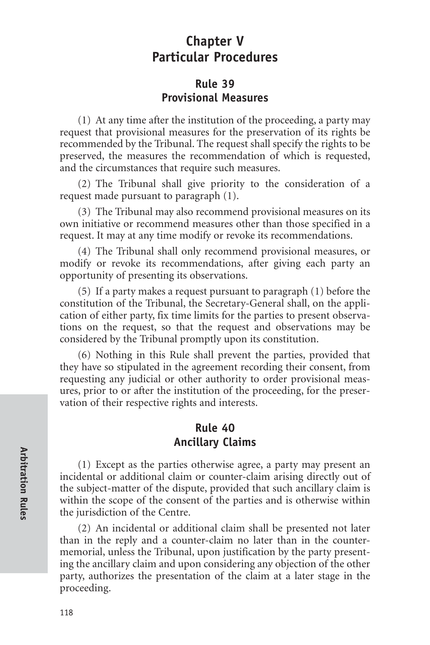# **Chapter V Particular Procedures**

#### **Rule 39 Provisional Measures**

(1) At any time after the institution of the proceeding, a party may request that provisional measures for the preservation of its rights be recommended by the Tribunal. The request shall specify the rights to be preserved, the measures the recommendation of which is requested, and the circumstances that require such measures.

(2) The Tribunal shall give priority to the consideration of a request made pursuant to paragraph (1).

(3) The Tribunal may also recommend provisional measures on its own initiative or recommend measures other than those specified in a request. It may at any time modify or revoke its recommendations.

(4) The Tribunal shall only recommend provisional measures, or modify or revoke its recommendations, after giving each party an opportunity of presenting its observations.

(5) If a party makes a request pursuant to paragraph (1) before the constitution of the Tribunal, the Secretary-General shall, on the application of either party, fix time limits for the parties to present observations on the request, so that the request and observations may be considered by the Tribunal promptly upon its constitution.

(6) Nothing in this Rule shall prevent the parties, provided that they have so stipulated in the agreement recording their consent, from requesting any judicial or other authority to order provisional measures, prior to or after the institution of the proceeding, for the preservation of their respective rights and interests.

## **Rule 40 Ancillary Claims**

(1) Except as the parties otherwise agree, a party may present an incidental or additional claim or counter-claim arising directly out of the subject-matter of the dispute, provided that such ancillary claim is within the scope of the consent of the parties and is otherwise within the jurisdiction of the Centre.

(2) An incidental or additional claim shall be presented not later than in the reply and a counter-claim no later than in the countermemorial, unless the Tribunal, upon justification by the party presenting the ancillary claim and upon considering any objection of the other party, authorizes the presentation of the claim at a later stage in the proceeding.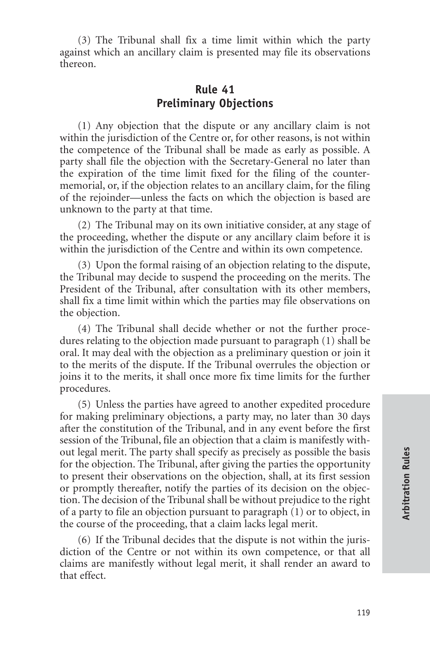(3) The Tribunal shall fix a time limit within which the party against which an ancillary claim is presented may file its observations thereon.

# **Rule 41 Preliminary Objections**

(1) Any objection that the dispute or any ancillary claim is not within the jurisdiction of the Centre or, for other reasons, is not within the competence of the Tribunal shall be made as early as possible. A party shall file the objection with the Secretary-General no later than the expiration of the time limit fixed for the filing of the countermemorial, or, if the objection relates to an ancillary claim, for the filing of the rejoinder—unless the facts on which the objection is based are unknown to the party at that time.

(2) The Tribunal may on its own initiative consider, at any stage of the proceeding, whether the dispute or any ancillary claim before it is within the jurisdiction of the Centre and within its own competence.

(3) Upon the formal raising of an objection relating to the dispute, the Tribunal may decide to suspend the proceeding on the merits. The President of the Tribunal, after consultation with its other members, shall fix a time limit within which the parties may file observations on the objection.

(4) The Tribunal shall decide whether or not the further procedures relating to the objection made pursuant to paragraph (1) shall be oral. It may deal with the objection as a preliminary question or join it to the merits of the dispute. If the Tribunal overrules the objection or joins it to the merits, it shall once more fix time limits for the further procedures.

(5) Unless the parties have agreed to another expedited procedure for making preliminary objections, a party may, no later than 30 days after the constitution of the Tribunal, and in any event before the first session of the Tribunal, file an objection that a claim is manifestly without legal merit. The party shall specify as precisely as possible the basis for the objection. The Tribunal, after giving the parties the opportunity to present their observations on the objection, shall, at its first session or promptly thereafter, notify the parties of its decision on the objection. The decision of the Tribunal shall be without prejudice to the right of a party to file an objection pursuant to paragraph (1) or to object, in the course of the proceeding, that a claim lacks legal merit.

(6) If the Tribunal decides that the dispute is not within the jurisdiction of the Centre or not within its own competence, or that all claims are manifestly without legal merit, it shall render an award to that effect.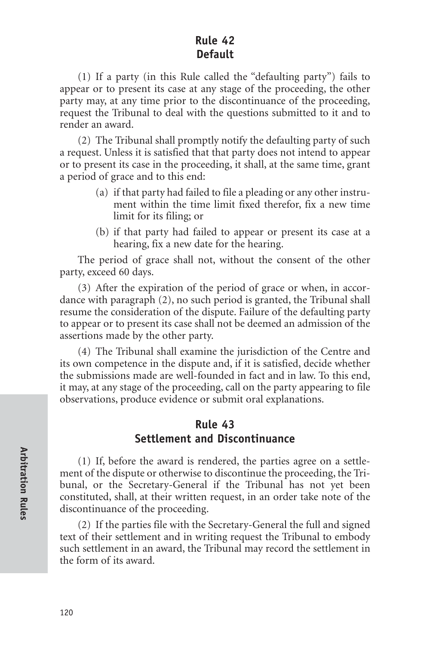## **Rule 42 Default**

(1) If a party (in this Rule called the "defaulting party") fails to appear or to present its case at any stage of the proceeding, the other party may, at any time prior to the discontinuance of the proceeding, request the Tribunal to deal with the questions submitted to it and to render an award.

(2) The Tribunal shall promptly notify the defaulting party of such a request. Unless it is satisfied that that party does not intend to appear or to present its case in the proceeding, it shall, at the same time, grant a period of grace and to this end:

- (a) if that party had failed to file a pleading or any other instrument within the time limit fixed therefor, fix a new time limit for its filing; or
- (b) if that party had failed to appear or present its case at a hearing, fix a new date for the hearing.

The period of grace shall not, without the consent of the other party, exceed 60 days.

(3) After the expiration of the period of grace or when, in accordance with paragraph (2), no such period is granted, the Tribunal shall resume the consideration of the dispute. Failure of the defaulting party to appear or to present its case shall not be deemed an admission of the assertions made by the other party.

(4) The Tribunal shall examine the jurisdiction of the Centre and its own competence in the dispute and, if it is satisfied, decide whether the submissions made are well-founded in fact and in law. To this end, it may, at any stage of the proceeding, call on the party appearing to file observations, produce evidence or submit oral explanations.

# **Rule 43 Settlement and Discontinuance**

(1) If, before the award is rendered, the parties agree on a settlement of the dispute or otherwise to discontinue the proceeding, the Tribunal, or the Secretary-General if the Tribunal has not yet been constituted, shall, at their written request, in an order take note of the discontinuance of the proceeding.

(2) If the parties file with the Secretary-General the full and signed text of their settlement and in writing request the Tribunal to embody such settlement in an award, the Tribunal may record the settlement in the form of its award.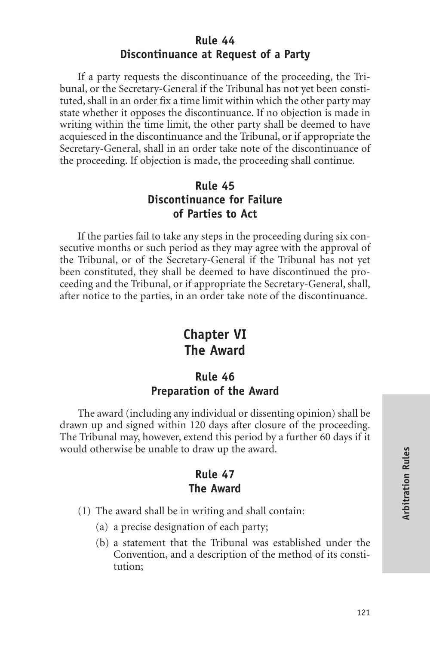### **Rule 44 Discontinuance at Request of a Party**

If a party requests the discontinuance of the proceeding, the Tribunal, or the Secretary-General if the Tribunal has not yet been constituted, shall in an order fix a time limit within which the other party may state whether it opposes the discontinuance. If no objection is made in writing within the time limit, the other party shall be deemed to have acquiesced in the discontinuance and the Tribunal, or if appropriate the Secretary-General, shall in an order take note of the discontinuance of the proceeding. If objection is made, the proceeding shall continue.

# **Rule 45 Discontinuance for Failure of Parties to Act**

If the parties fail to take any steps in the proceeding during six consecutive months or such period as they may agree with the approval of the Tribunal, or of the Secretary-General if the Tribunal has not yet been constituted, they shall be deemed to have discontinued the proceeding and the Tribunal, or if appropriate the Secretary-General, shall, after notice to the parties, in an order take note of the discontinuance.

# **Chapter VI The Award**

# **Rule 46 Preparation of the Award**

The award (including any individual or dissenting opinion) shall be drawn up and signed within 120 days after closure of the proceeding. The Tribunal may, however, extend this period by a further 60 days if it would otherwise be unable to draw up the award.

# **Rule 47 The Award**

- (1) The award shall be in writing and shall contain:
	- (a) a precise designation of each party;
	- (b) a statement that the Tribunal was established under the Convention, and a description of the method of its constitution;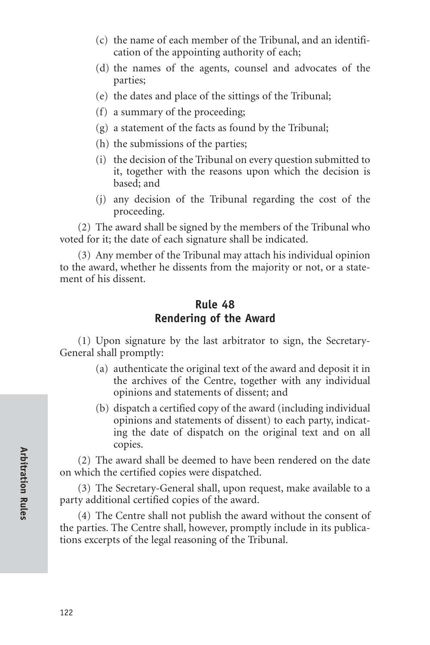- (c) the name of each member of the Tribunal, and an identification of the appointing authority of each;
- (d) the names of the agents, counsel and advocates of the parties;
- (e) the dates and place of the sittings of the Tribunal;
- (f) a summary of the proceeding;
- (g) a statement of the facts as found by the Tribunal;
- (h) the submissions of the parties;
- (i) the decision of the Tribunal on every question submitted to it, together with the reasons upon which the decision is based; and
- (j) any decision of the Tribunal regarding the cost of the proceeding.

(2) The award shall be signed by the members of the Tribunal who voted for it; the date of each signature shall be indicated.

(3) Any member of the Tribunal may attach his individual opinion to the award, whether he dissents from the majority or not, or a statement of his dissent.

### **Rule 48 Rendering of the Award**

(1) Upon signature by the last arbitrator to sign, the Secretary-General shall promptly:

- (a) authenticate the original text of the award and deposit it in the archives of the Centre, together with any individual opinions and statements of dissent; and
- (b) dispatch a certified copy of the award (including individual opinions and statements of dissent) to each party, indicating the date of dispatch on the original text and on all copies.

(2) The award shall be deemed to have been rendered on the date on which the certified copies were dispatched.

(3) The Secretary-General shall, upon request, make available to a party additional certified copies of the award.

(4) The Centre shall not publish the award without the consent of the parties. The Centre shall, however, promptly include in its publications excerpts of the legal reasoning of the Tribunal.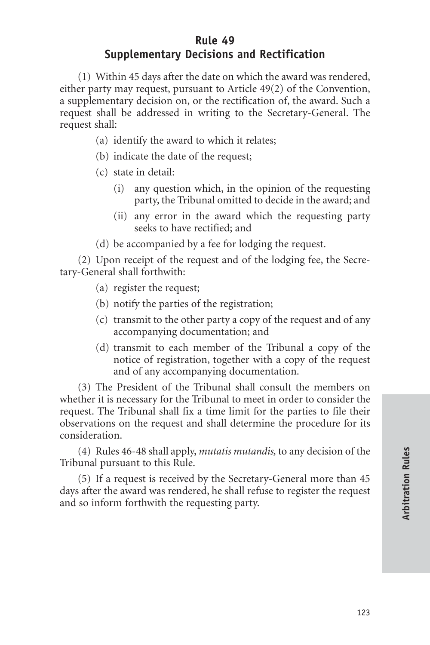# **Rule 49 Supplementary Decisions and Rectification**

(1) Within 45 days after the date on which the award was rendered, either party may request, pursuant to Article 49(2) of the Convention, a supplementary decision on, or the rectification of, the award. Such a request shall be addressed in writing to the Secretary-General. The request shall:

- (a) identify the award to which it relates;
- (b) indicate the date of the request;
- (c) state in detail:
	- (i) any question which, in the opinion of the requesting party, the Tribunal omitted to decide in the award; and
	- (ii) any error in the award which the requesting party seeks to have rectified; and
- (d) be accompanied by a fee for lodging the request.

(2) Upon receipt of the request and of the lodging fee, the Secretary-General shall forthwith:

- (a) register the request;
- (b) notify the parties of the registration;
- (c) transmit to the other party a copy of the request and of any accompanying documentation; and
- (d) transmit to each member of the Tribunal a copy of the notice of registration, together with a copy of the request and of any accompanying documentation.

(3) The President of the Tribunal shall consult the members on whether it is necessary for the Tribunal to meet in order to consider the request. The Tribunal shall fix a time limit for the parties to file their observations on the request and shall determine the procedure for its consideration.

(4) Rules 46-48 shall apply, *mutatis mutandis,* to any decision of the Tribunal pursuant to this Rule.

(5) If a request is received by the Secretary-General more than 45 days after the award was rendered, he shall refuse to register the request and so inform forthwith the requesting party.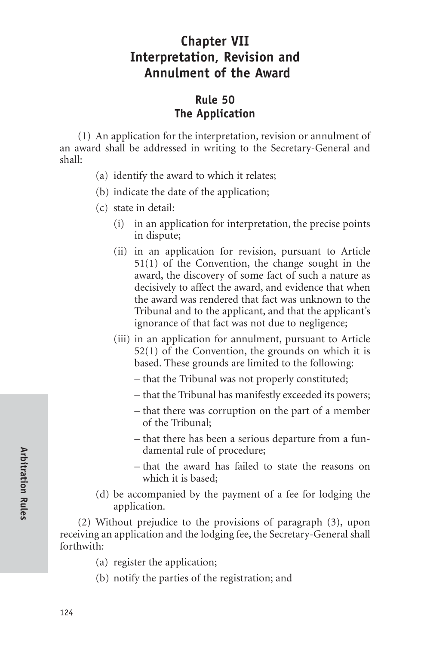# **Chapter VII Interpretation, Revision and Annulment of the Award**

# **Rule 50 The Application**

(1) An application for the interpretation, revision or annulment of an award shall be addressed in writing to the Secretary-General and shall:

- (a) identify the award to which it relates;
- (b) indicate the date of the application;
- (c) state in detail:
	- (i) in an application for interpretation, the precise points in dispute;
	- (ii) in an application for revision, pursuant to Article 51(1) of the Convention, the change sought in the award, the discovery of some fact of such a nature as decisively to affect the award, and evidence that when the award was rendered that fact was unknown to the Tribunal and to the applicant, and that the applicant's ignorance of that fact was not due to negligence;
	- (iii) in an application for annulment, pursuant to Article 52(1) of the Convention, the grounds on which it is based. These grounds are limited to the following:
		- that the Tribunal was not properly constituted;
		- that the Tribunal has manifestly exceeded its powers;
		- that there was corruption on the part of a member of the Tribunal;
		- that there has been a serious departure from a fundamental rule of procedure;
		- that the award has failed to state the reasons on which it is based;
- (d) be accompanied by the payment of a fee for lodging the application.

(2) Without prejudice to the provisions of paragraph (3), upon receiving an application and the lodging fee, the Secretary-General shall forthwith:

- (a) register the application;
- (b) notify the parties of the registration; and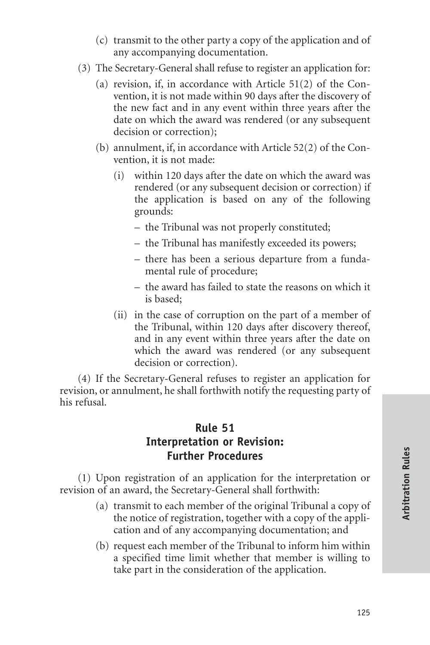- (c) transmit to the other party a copy of the application and of any accompanying documentation.
- (3) The Secretary-General shall refuse to register an application for:
	- (a) revision, if, in accordance with Article 51(2) of the Convention, it is not made within 90 days after the discovery of the new fact and in any event within three years after the date on which the award was rendered (or any subsequent decision or correction);
	- (b) annulment, if, in accordance with Article 52(2) of the Convention, it is not made:
		- (i) within 120 days after the date on which the award was rendered (or any subsequent decision or correction) if the application is based on any of the following grounds:
			- the Tribunal was not properly constituted;
			- the Tribunal has manifestly exceeded its powers;
			- there has been a serious departure from a fundamental rule of procedure;
			- the award has failed to state the reasons on which it is based;
		- (ii) in the case of corruption on the part of a member of the Tribunal, within 120 days after discovery thereof, and in any event within three years after the date on which the award was rendered (or any subsequent decision or correction).

(4) If the Secretary-General refuses to register an application for revision, or annulment, he shall forthwith notify the requesting party of his refusal.

# **Rule 51 Interpretation or Revision: Further Procedures**

(1) Upon registration of an application for the interpretation or revision of an award, the Secretary-General shall forthwith:

- (a) transmit to each member of the original Tribunal a copy of the notice of registration, together with a copy of the application and of any accompanying documentation; and
- (b) request each member of the Tribunal to inform him within a specified time limit whether that member is willing to take part in the consideration of the application.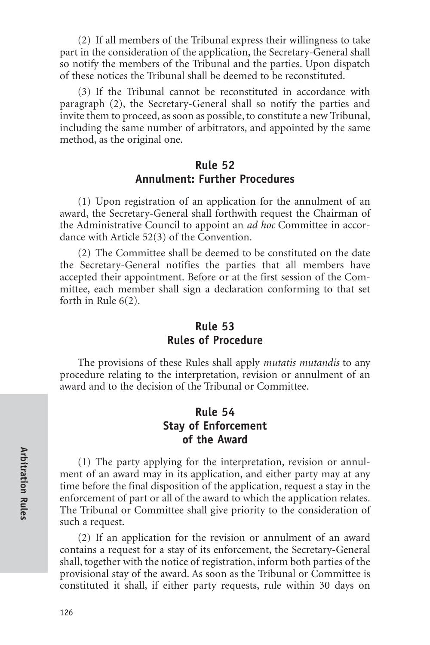(2) If all members of the Tribunal express their willingness to take part in the consideration of the application, the Secretary-General shall so notify the members of the Tribunal and the parties. Upon dispatch of these notices the Tribunal shall be deemed to be reconstituted.

(3) If the Tribunal cannot be reconstituted in accordance with paragraph (2), the Secretary-General shall so notify the parties and invite them to proceed, as soon as possible, to constitute a new Tribunal, including the same number of arbitrators, and appointed by the same method, as the original one.

#### **Rule 52 Annulment: Further Procedures**

(1) Upon registration of an application for the annulment of an award, the Secretary-General shall forthwith request the Chairman of the Administrative Council to appoint an *ad hoc* Committee in accordance with Article 52(3) of the Convention.

(2) The Committee shall be deemed to be constituted on the date the Secretary-General notifies the parties that all members have accepted their appointment. Before or at the first session of the Committee, each member shall sign a declaration conforming to that set forth in Rule 6(2).

# **Rule 53 Rules of Procedure**

The provisions of these Rules shall apply *mutatis mutandis* to any procedure relating to the interpretation, revision or annulment of an award and to the decision of the Tribunal or Committee.

## **Rule 54 Stay of Enforcement of the Award**

(1) The party applying for the interpretation, revision or annulment of an award may in its application, and either party may at any time before the final disposition of the application, request a stay in the enforcement of part or all of the award to which the application relates. The Tribunal or Committee shall give priority to the consideration of such a request.

(2) If an application for the revision or annulment of an award contains a request for a stay of its enforcement, the Secretary-General shall, together with the notice of registration, inform both parties of the provisional stay of the award. As soon as the Tribunal or Committee is constituted it shall, if either party requests, rule within 30 days on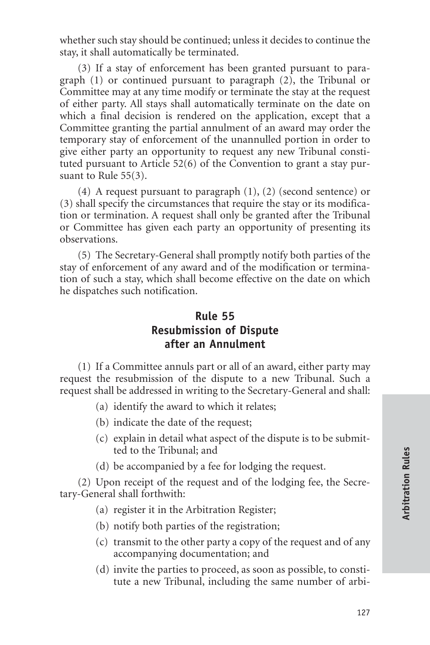whether such stay should be continued; unless it decides to continue the stay, it shall automatically be terminated.

(3) If a stay of enforcement has been granted pursuant to paragraph (1) or continued pursuant to paragraph (2), the Tribunal or Committee may at any time modify or terminate the stay at the request of either party. All stays shall automatically terminate on the date on which a final decision is rendered on the application, except that a Committee granting the partial annulment of an award may order the temporary stay of enforcement of the unannulled portion in order to give either party an opportunity to request any new Tribunal constituted pursuant to Article 52(6) of the Convention to grant a stay pursuant to Rule 55(3).

(4) A request pursuant to paragraph (1), (2) (second sentence) or (3) shall specify the circumstances that require the stay or its modification or termination. A request shall only be granted after the Tribunal or Committee has given each party an opportunity of presenting its observations.

(5) The Secretary-General shall promptly notify both parties of the stay of enforcement of any award and of the modification or termination of such a stay, which shall become effective on the date on which he dispatches such notification.

# **Rule 55 Resubmission of Dispute after an Annulment**

(1) If a Committee annuls part or all of an award, either party may request the resubmission of the dispute to a new Tribunal. Such a request shall be addressed in writing to the Secretary-General and shall:

- (a) identify the award to which it relates;
- (b) indicate the date of the request;
- (c) explain in detail what aspect of the dispute is to be submitted to the Tribunal; and
- (d) be accompanied by a fee for lodging the request.

(2) Upon receipt of the request and of the lodging fee, the Secretary-General shall forthwith:

- (a) register it in the Arbitration Register;
- (b) notify both parties of the registration;
- (c) transmit to the other party a copy of the request and of any accompanying documentation; and
- (d) invite the parties to proceed, as soon as possible, to constitute a new Tribunal, including the same number of arbi-